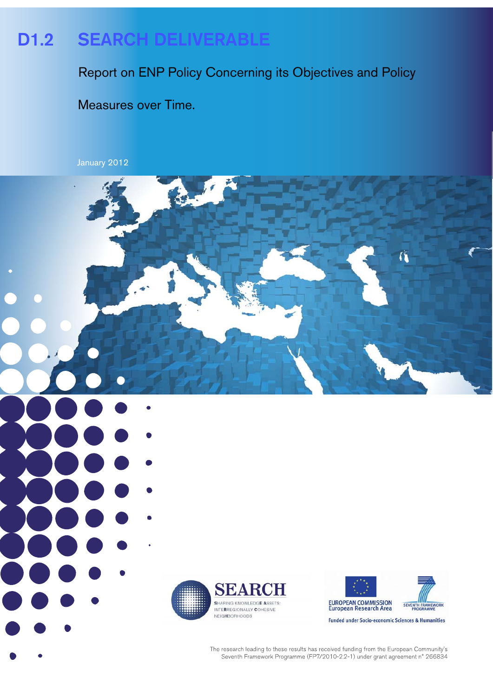# D1.2 SEARCH DELIVERABLE

Report on ENP Policy Concerning its Objectives and Policy

Measures over Time.

 $\mathcal{L}$ 

January 2012





6

The research leading to these results has received funding from the European Community's Seventh Framework Programme (FP7/2010-2.2-1) under grant agreement n° 266834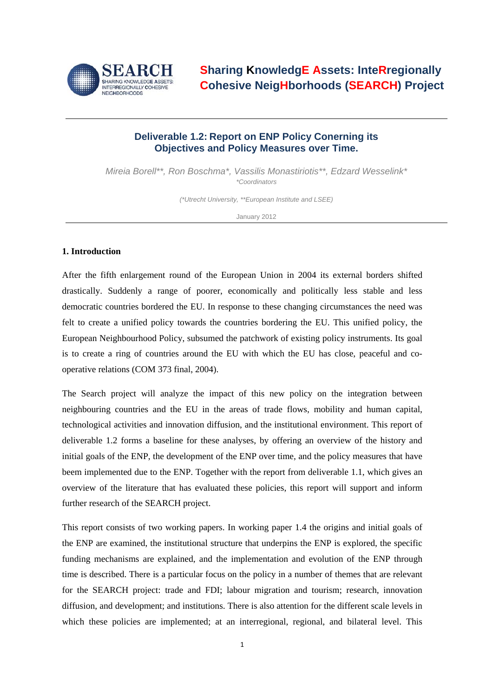

## **Deliverable 1.2: Report on ENP Policy Conerning its Objectives and Policy Measures over Time.**

*Mireia Borell\*\*, Ron Boschma\*, Vassilis Monastiriotis\*\*, Edzard Wesselink\* \*Coordinators* 

*(\*Utrecht University, \*\*European Institute and LSEE)* 

January 2012

## **1. Introduction**

After the fifth enlargement round of the European Union in 2004 its external borders shifted drastically. Suddenly a range of poorer, economically and politically less stable and less democratic countries bordered the EU. In response to these changing circumstances the need was felt to create a unified policy towards the countries bordering the EU. This unified policy, the European Neighbourhood Policy, subsumed the patchwork of existing policy instruments. Its goal is to create a ring of countries around the EU with which the EU has close, peaceful and cooperative relations (COM 373 final, 2004).

The Search project will analyze the impact of this new policy on the integration between neighbouring countries and the EU in the areas of trade flows, mobility and human capital, technological activities and innovation diffusion, and the institutional environment. This report of deliverable 1.2 forms a baseline for these analyses, by offering an overview of the history and initial goals of the ENP, the development of the ENP over time, and the policy measures that have beem implemented due to the ENP. Together with the report from deliverable 1.1, which gives an overview of the literature that has evaluated these policies, this report will support and inform further research of the SEARCH project.

This report consists of two working papers. In working paper 1.4 the origins and initial goals of the ENP are examined, the institutional structure that underpins the ENP is explored, the specific funding mechanisms are explained, and the implementation and evolution of the ENP through time is described. There is a particular focus on the policy in a number of themes that are relevant for the SEARCH project: trade and FDI; labour migration and tourism; research, innovation diffusion, and development; and institutions. There is also attention for the different scale levels in which these policies are implemented; at an interregional, regional, and bilateral level. This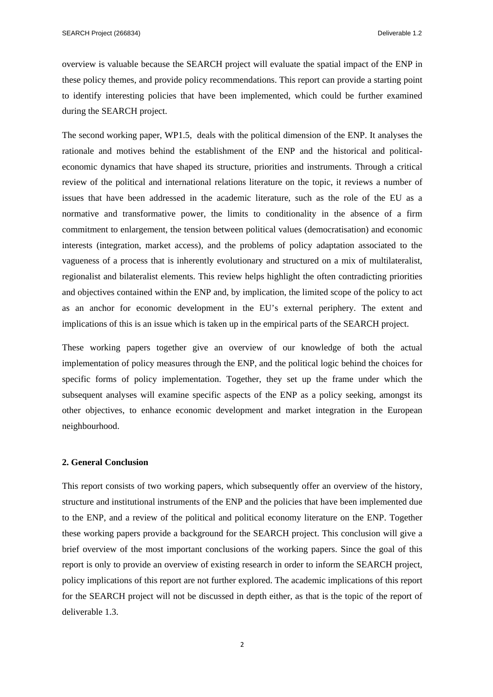overview is valuable because the SEARCH project will evaluate the spatial impact of the ENP in these policy themes, and provide policy recommendations. This report can provide a starting point to identify interesting policies that have been implemented, which could be further examined during the SEARCH project.

The second working paper, WP1.5, deals with the political dimension of the ENP. It analyses the rationale and motives behind the establishment of the ENP and the historical and politicaleconomic dynamics that have shaped its structure, priorities and instruments. Through a critical review of the political and international relations literature on the topic, it reviews a number of issues that have been addressed in the academic literature, such as the role of the EU as a normative and transformative power, the limits to conditionality in the absence of a firm commitment to enlargement, the tension between political values (democratisation) and economic interests (integration, market access), and the problems of policy adaptation associated to the vagueness of a process that is inherently evolutionary and structured on a mix of multilateralist, regionalist and bilateralist elements. This review helps highlight the often contradicting priorities and objectives contained within the ENP and, by implication, the limited scope of the policy to act as an anchor for economic development in the EU's external periphery. The extent and implications of this is an issue which is taken up in the empirical parts of the SEARCH project.

These working papers together give an overview of our knowledge of both the actual implementation of policy measures through the ENP, and the political logic behind the choices for specific forms of policy implementation. Together, they set up the frame under which the subsequent analyses will examine specific aspects of the ENP as a policy seeking, amongst its other objectives, to enhance economic development and market integration in the European neighbourhood.

#### **2. General Conclusion**

This report consists of two working papers, which subsequently offer an overview of the history, structure and institutional instruments of the ENP and the policies that have been implemented due to the ENP, and a review of the political and political economy literature on the ENP. Together these working papers provide a background for the SEARCH project. This conclusion will give a brief overview of the most important conclusions of the working papers. Since the goal of this report is only to provide an overview of existing research in order to inform the SEARCH project, policy implications of this report are not further explored. The academic implications of this report for the SEARCH project will not be discussed in depth either, as that is the topic of the report of deliverable 1.3.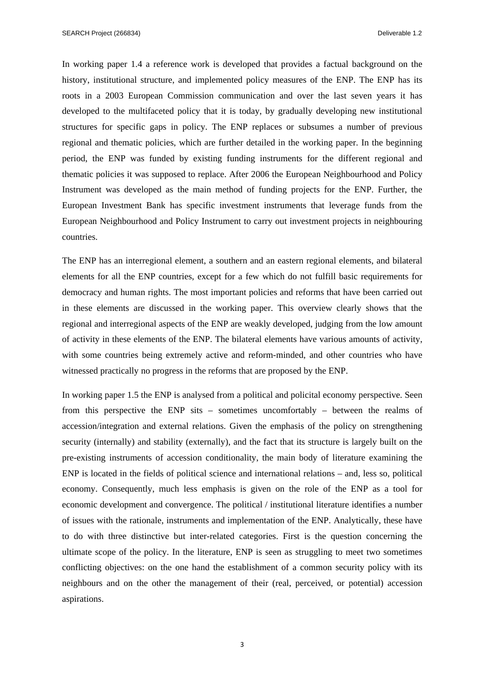In working paper 1.4 a reference work is developed that provides a factual background on the history, institutional structure, and implemented policy measures of the ENP. The ENP has its roots in a 2003 European Commission communication and over the last seven years it has developed to the multifaceted policy that it is today, by gradually developing new institutional structures for specific gaps in policy. The ENP replaces or subsumes a number of previous regional and thematic policies, which are further detailed in the working paper. In the beginning period, the ENP was funded by existing funding instruments for the different regional and thematic policies it was supposed to replace. After 2006 the European Neighbourhood and Policy Instrument was developed as the main method of funding projects for the ENP. Further, the European Investment Bank has specific investment instruments that leverage funds from the European Neighbourhood and Policy Instrument to carry out investment projects in neighbouring countries.

The ENP has an interregional element, a southern and an eastern regional elements, and bilateral elements for all the ENP countries, except for a few which do not fulfill basic requirements for democracy and human rights. The most important policies and reforms that have been carried out in these elements are discussed in the working paper. This overview clearly shows that the regional and interregional aspects of the ENP are weakly developed, judging from the low amount of activity in these elements of the ENP. The bilateral elements have various amounts of activity, with some countries being extremely active and reform-minded, and other countries who have witnessed practically no progress in the reforms that are proposed by the ENP.

In working paper 1.5 the ENP is analysed from a political and policital economy perspective. Seen from this perspective the ENP sits – sometimes uncomfortably – between the realms of accession/integration and external relations. Given the emphasis of the policy on strengthening security (internally) and stability (externally), and the fact that its structure is largely built on the pre-existing instruments of accession conditionality, the main body of literature examining the ENP is located in the fields of political science and international relations – and, less so, political economy. Consequently, much less emphasis is given on the role of the ENP as a tool for economic development and convergence. The political / institutional literature identifies a number of issues with the rationale, instruments and implementation of the ENP. Analytically, these have to do with three distinctive but inter-related categories. First is the question concerning the ultimate scope of the policy. In the literature, ENP is seen as struggling to meet two sometimes conflicting objectives: on the one hand the establishment of a common security policy with its neighbours and on the other the management of their (real, perceived, or potential) accession aspirations.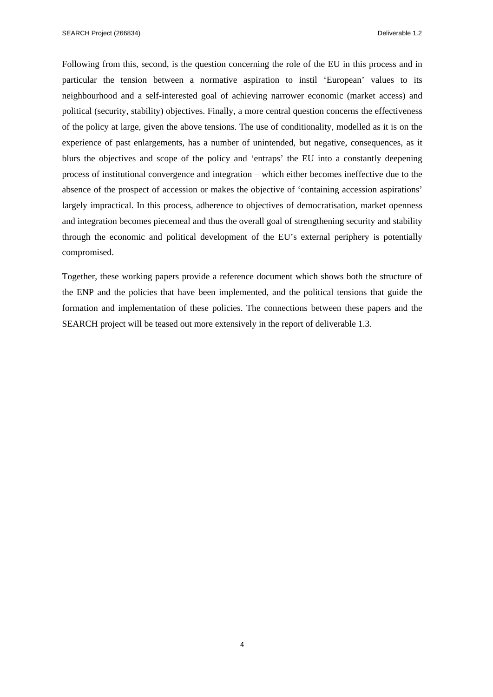Following from this, second, is the question concerning the role of the EU in this process and in particular the tension between a normative aspiration to instil 'European' values to its neighbourhood and a self-interested goal of achieving narrower economic (market access) and political (security, stability) objectives. Finally, a more central question concerns the effectiveness of the policy at large, given the above tensions. The use of conditionality, modelled as it is on the experience of past enlargements, has a number of unintended, but negative, consequences, as it blurs the objectives and scope of the policy and 'entraps' the EU into a constantly deepening process of institutional convergence and integration – which either becomes ineffective due to the absence of the prospect of accession or makes the objective of 'containing accession aspirations' largely impractical. In this process, adherence to objectives of democratisation, market openness and integration becomes piecemeal and thus the overall goal of strengthening security and stability through the economic and political development of the EU's external periphery is potentially compromised.

Together, these working papers provide a reference document which shows both the structure of the ENP and the policies that have been implemented, and the political tensions that guide the formation and implementation of these policies. The connections between these papers and the SEARCH project will be teased out more extensively in the report of deliverable 1.3.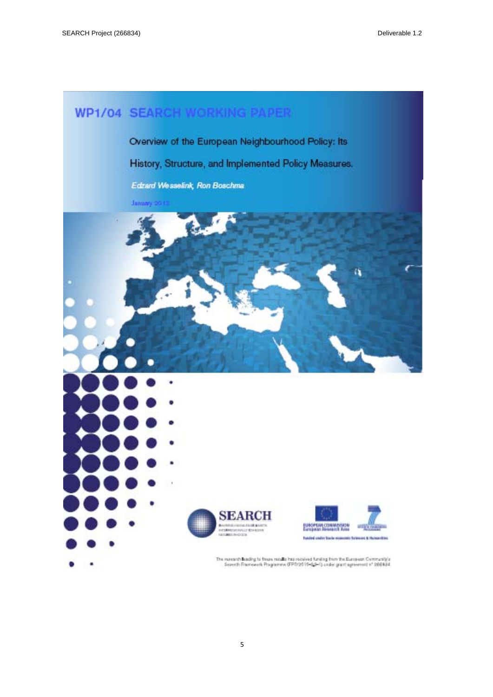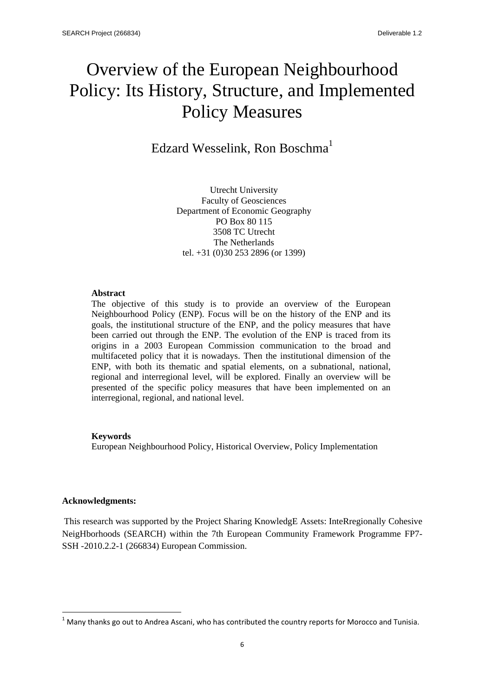## Overview of the European Neighbourhood Policy: Its History, Structure, and Implemented Policy Measures

Edzard Wesselink, Ron Boschma<sup>1</sup>

Utrecht University Faculty of Geosciences Department of Economic Geography PO Box 80 115 3508 TC Utrecht The Netherlands tel. +31 (0)30 253 2896 (or 1399)

### **Abstract**

The objective of this study is to provide an overview of the European Neighbourhood Policy (ENP). Focus will be on the history of the ENP and its goals, the institutional structure of the ENP, and the policy measures that have been carried out through the ENP. The evolution of the ENP is traced from its origins in a 2003 European Commission communication to the broad and multifaceted policy that it is nowadays. Then the institutional dimension of the ENP, with both its thematic and spatial elements, on a subnational, national, regional and interregional level, will be explored. Finally an overview will be presented of the specific policy measures that have been implemented on an interregional, regional, and national level.

## **Keywords**

European Neighbourhood Policy, Historical Overview, Policy Implementation

## **Acknowledgments:**

This research was supported by the Project Sharing KnowledgE Assets: InteRregionally Cohesive NeigHborhoods (SEARCH) within the 7th European Community Framework Programme FP7- SSH -2010.2.2-1 (266834) European Commission.

 $1$  Many thanks go out to Andrea Ascani, who has contributed the country reports for Morocco and Tunisia.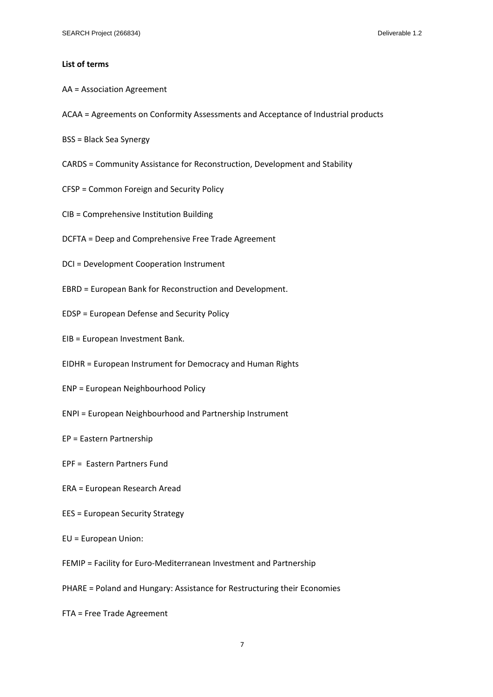#### **List of terms**

- AA = Association Agreement
- ACAA = Agreements on Conformity Assessments and Acceptance of Industrial products
- BSS = Black Sea Synergy
- CARDS = Community Assistance for Reconstruction, Development and Stability
- CFSP = Common Foreign and Security Policy
- CIB = Comprehensive Institution Building
- DCFTA = Deep and Comprehensive Free Trade Agreement
- DCI = Development Cooperation Instrument
- EBRD = European Bank for Reconstruction and Development.
- EDSP = European Defense and Security Policy
- EIB = European Investment Bank.
- EIDHR = European Instrument for Democracy and Human Rights
- ENP = European Neighbourhood Policy
- ENPI = European Neighbourhood and Partnership Instrument
- EP = Eastern Partnership
- EPF = Eastern Partners Fund
- ERA = European Research Aread
- EES = European Security Strategy
- EU = European Union:
- FEMIP = Facility for Euro‐Mediterranean Investment and Partnership
- PHARE = Poland and Hungary: Assistance for Restructuring their Economies
- FTA = Free Trade Agreement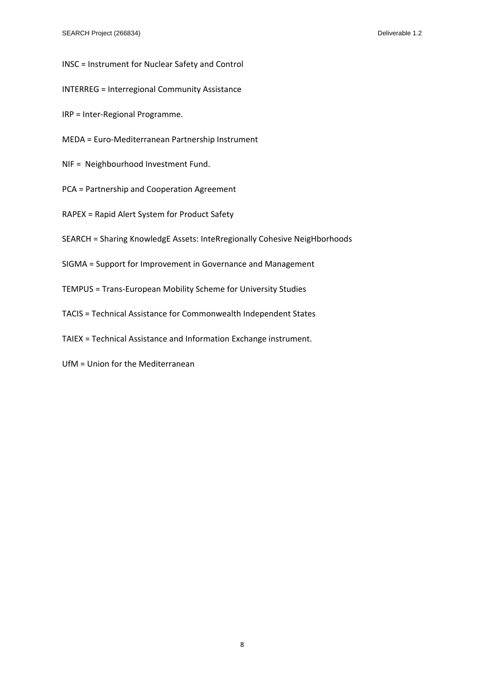- INSC = Instrument for Nuclear Safety and Control
- INTERREG = Interregional Community Assistance
- IRP = Inter‐Regional Programme.
- MEDA = Euro‐Mediterranean Partnership Instrument
- NIF = Neighbourhood Investment Fund.
- PCA = Partnership and Cooperation Agreement
- RAPEX = Rapid Alert System for Product Safety
- SEARCH = Sharing KnowledgE Assets: InteRregionally Cohesive NeigHborhoods
- SIGMA = Support for Improvement in Governance and Management
- TEMPUS = Trans‐European Mobility Scheme for University Studies
- TACIS = Technical Assistance for Commonwealth Independent States
- TAIEX = Technical Assistance and Information Exchange instrument.
- UfM = Union for the Mediterranean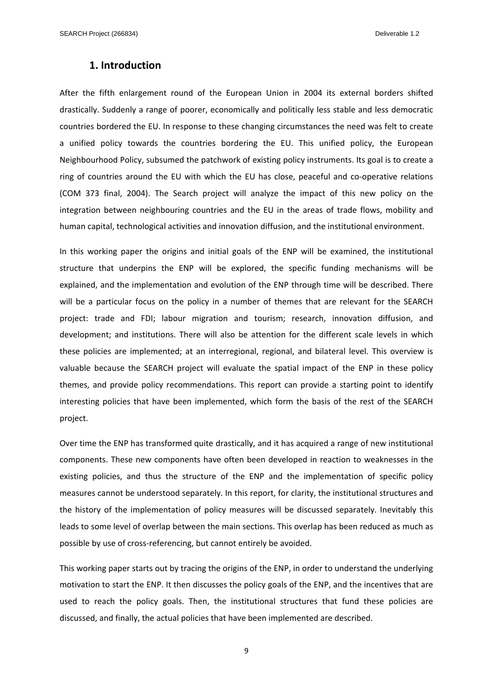## **1. Introduction**

After the fifth enlargement round of the European Union in 2004 its external borders shifted drastically. Suddenly a range of poorer, economically and politically less stable and less democratic countries bordered the EU. In response to these changing circumstances the need was felt to create a unified policy towards the countries bordering the EU. This unified policy, the European Neighbourhood Policy, subsumed the patchwork of existing policy instruments. Its goal is to create a ring of countries around the EU with which the EU has close, peaceful and co-operative relations (COM 373 final, 2004). The Search project will analyze the impact of this new policy on the integration between neighbouring countries and the EU in the areas of trade flows, mobility and human capital, technological activities and innovation diffusion, and the institutional environment.

In this working paper the origins and initial goals of the ENP will be examined, the institutional structure that underpins the ENP will be explored, the specific funding mechanisms will be explained, and the implementation and evolution of the ENP through time will be described. There will be a particular focus on the policy in a number of themes that are relevant for the SEARCH project: trade and FDI; labour migration and tourism; research, innovation diffusion, and development; and institutions. There will also be attention for the different scale levels in which these policies are implemented; at an interregional, regional, and bilateral level. This overview is valuable because the SEARCH project will evaluate the spatial impact of the ENP in these policy themes, and provide policy recommendations. This report can provide a starting point to identify interesting policies that have been implemented, which form the basis of the rest of the SEARCH project.

Over time the ENP has transformed quite drastically, and it has acquired a range of new institutional components. These new components have often been developed in reaction to weaknesses in the existing policies, and thus the structure of the ENP and the implementation of specific policy measures cannot be understood separately. In this report, for clarity, the institutional structures and the history of the implementation of policy measures will be discussed separately. Inevitably this leads to some level of overlap between the main sections. This overlap has been reduced as much as possible by use of cross‐referencing, but cannot entirely be avoided.

This working paper starts out by tracing the origins of the ENP, in order to understand the underlying motivation to start the ENP. It then discusses the policy goals of the ENP, and the incentives that are used to reach the policy goals. Then, the institutional structures that fund these policies are discussed, and finally, the actual policies that have been implemented are described.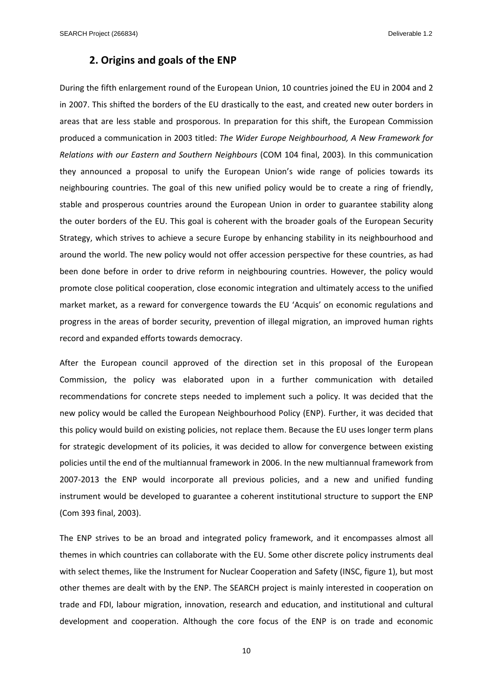## **2. Origins and goals of the ENP**

During the fifth enlargement round of the European Union, 10 countries joined the EU in 2004 and 2 in 2007. This shifted the borders of the EU drastically to the east, and created new outer borders in areas that are less stable and prosporous. In preparation for this shift, the European Commission produced a communication in 2003 titled: *The Wider Europe Neighbourhood, A New Framework for Relations with our Eastern and Southern Neighbours* (COM 104 final, 2003)*.* In this communication they announced a proposal to unify the European Union's wide range of policies towards its neighbouring countries. The goal of this new unified policy would be to create a ring of friendly, stable and prosperous countries around the European Union in order to guarantee stability along the outer borders of the EU. This goal is coherent with the broader goals of the European Security Strategy, which strives to achieve a secure Europe by enhancing stability in its neighbourhood and around the world. The new policy would not offer accession perspective for these countries, as had been done before in order to drive reform in neighbouring countries. However, the policy would promote close political cooperation, close economic integration and ultimately access to the unified market market, as a reward for convergence towards the EU 'Acquis' on economic regulations and progress in the areas of border security, prevention of illegal migration, an improved human rights record and expanded efforts towards democracy.

After the European council approved of the direction set in this proposal of the European Commission, the policy was elaborated upon in a further communication with detailed recommendations for concrete steps needed to implement such a policy. It was decided that the new policy would be called the European Neighbourhood Policy (ENP). Further, it was decided that this policy would build on existing policies, not replace them. Because the EU uses longer term plans for strategic development of its policies, it was decided to allow for convergence between existing policies until the end of the multiannual framework in 2006. In the new multiannual framework from 2007‐2013 the ENP would incorporate all previous policies, and a new and unified funding instrument would be developed to guarantee a coherent institutional structure to support the ENP (Com 393 final, 2003).

The ENP strives to be an broad and integrated policy framework, and it encompasses almost all themes in which countries can collaborate with the EU. Some other discrete policy instruments deal with select themes, like the Instrument for Nuclear Cooperation and Safety (INSC, figure 1), but most other themes are dealt with by the ENP. The SEARCH project is mainly interested in cooperation on trade and FDI, labour migration, innovation, research and education, and institutional and cultural development and cooperation. Although the core focus of the ENP is on trade and economic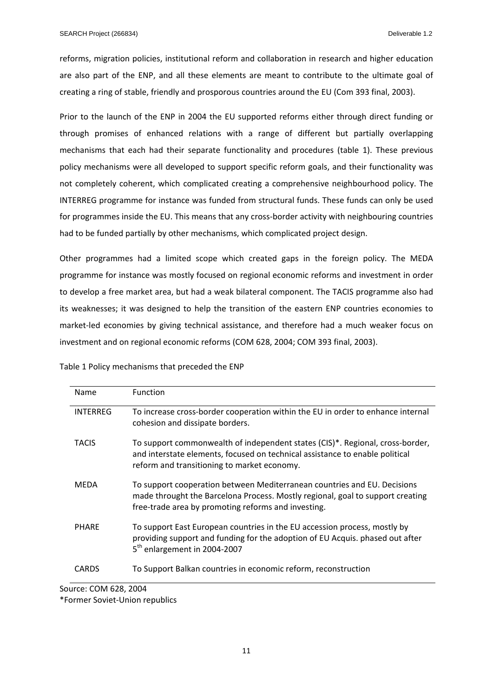reforms, migration policies, institutional reform and collaboration in research and higher education are also part of the ENP, and all these elements are meant to contribute to the ultimate goal of creating a ring of stable, friendly and prosporous countries around the EU (Com 393 final, 2003).

Prior to the launch of the ENP in 2004 the EU supported reforms either through direct funding or through promises of enhanced relations with a range of different but partially overlapping mechanisms that each had their separate functionality and procedures (table 1). These previous policy mechanisms were all developed to support specific reform goals, and their functionality was not completely coherent, which complicated creating a comprehensive neighbourhood policy. The INTERREG programme for instance was funded from structural funds. These funds can only be used for programmes inside the EU. This means that any cross-border activity with neighbouring countries had to be funded partially by other mechanisms, which complicated project design.

Other programmes had a limited scope which created gaps in the foreign policy. The MEDA programme for instance was mostly focused on regional economic reforms and investment in order to develop a free market area, but had a weak bilateral component. The TACIS programme also had its weaknesses; it was designed to help the transition of the eastern ENP countries economies to market-led economies by giving technical assistance, and therefore had a much weaker focus on investment and on regional economic reforms (COM 628, 2004; COM 393 final, 2003).

| <b>Name</b>     | <b>Function</b>                                                                                                                                                                                                   |
|-----------------|-------------------------------------------------------------------------------------------------------------------------------------------------------------------------------------------------------------------|
| <b>INTERREG</b> | To increase cross-border cooperation within the EU in order to enhance internal<br>cohesion and dissipate borders.                                                                                                |
| <b>TACIS</b>    | To support commonwealth of independent states (CIS)*. Regional, cross-border,<br>and interstate elements, focused on technical assistance to enable political<br>reform and transitioning to market economy.      |
| <b>MFDA</b>     | To support cooperation between Mediterranean countries and EU. Decisions<br>made throught the Barcelona Process. Mostly regional, goal to support creating<br>free-trade area by promoting reforms and investing. |
| <b>PHARE</b>    | To support East European countries in the EU accession process, mostly by<br>providing support and funding for the adoption of EU Acquis. phased out after<br>5 <sup>th</sup> enlargement in 2004-2007            |
| <b>CARDS</b>    | To Support Balkan countries in economic reform, reconstruction                                                                                                                                                    |

Table 1 Policy mechanisms that preceded the ENP

Source: COM 628, 2004

\*Former Soviet‐Union republics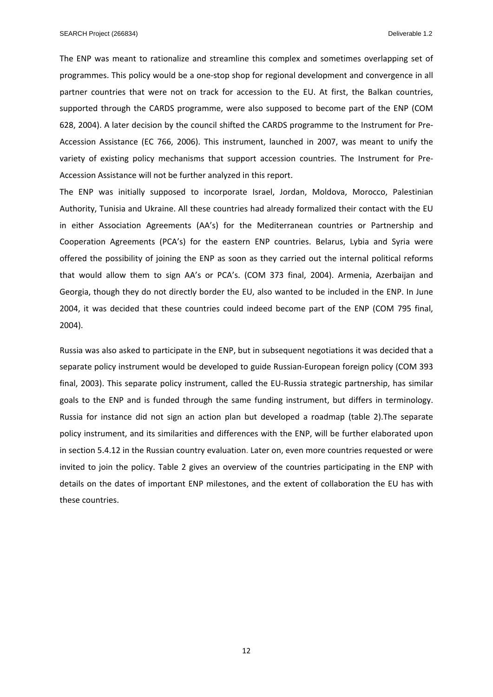The ENP was meant to rationalize and streamline this complex and sometimes overlapping set of programmes. This policy would be a one‐stop shop for regional development and convergence in all partner countries that were not on track for accession to the EU. At first, the Balkan countries, supported through the CARDS programme, were also supposed to become part of the ENP (COM 628, 2004). A later decision by the council shifted the CARDS programme to the Instrument for Pre‐ Accession Assistance (EC 766, 2006). This instrument, launched in 2007, was meant to unify the variety of existing policy mechanisms that support accession countries. The Instrument for Pre‐ Accession Assistance will not be further analyzed in this report.

The ENP was initially supposed to incorporate Israel, Jordan, Moldova, Morocco, Palestinian Authority, Tunisia and Ukraine. All these countries had already formalized their contact with the EU in either Association Agreements (AA's) for the Mediterranean countries or Partnership and Cooperation Agreements (PCA's) for the eastern ENP countries. Belarus, Lybia and Syria were offered the possibility of joining the ENP as soon as they carried out the internal political reforms that would allow them to sign AA's or PCA's. (COM 373 final, 2004). Armenia, Azerbaijan and Georgia, though they do not directly border the EU, also wanted to be included in the ENP. In June 2004, it was decided that these countries could indeed become part of the ENP (COM 795 final, 2004).

Russia was also asked to participate in the ENP, but in subsequent negotiations it was decided that a separate policy instrument would be developed to guide Russian‐European foreign policy (COM 393 final, 2003). This separate policy instrument, called the EU‐Russia strategic partnership, has similar goals to the ENP and is funded through the same funding instrument, but differs in terminology. Russia for instance did not sign an action plan but developed a roadmap (table 2).The separate policy instrument, and its similarities and differences with the ENP, will be further elaborated upon in section 5.4.12 in the Russian country evaluation. Later on, even more countries requested or were invited to join the policy. Table 2 gives an overview of the countries participating in the ENP with details on the dates of important ENP milestones, and the extent of collaboration the EU has with these countries.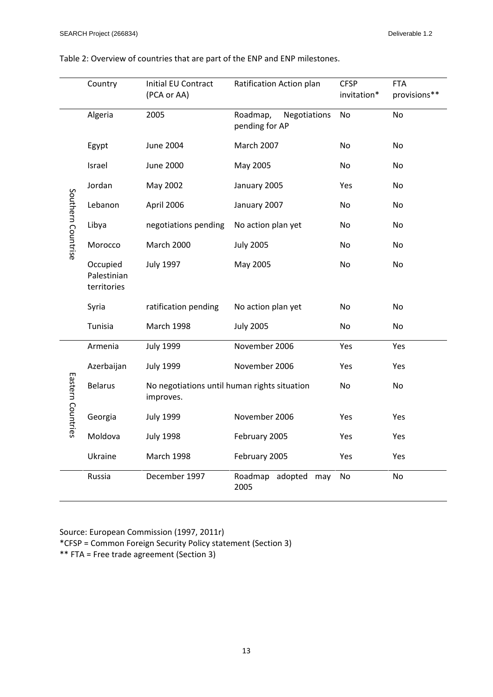|                    | Country                                | Initial EU Contract<br>(PCA or AA)                        | Ratification Action plan                   | <b>CFSP</b><br>invitation* | <b>FTA</b><br>provisions** |
|--------------------|----------------------------------------|-----------------------------------------------------------|--------------------------------------------|----------------------------|----------------------------|
|                    | Algeria                                | 2005                                                      | Roadmap,<br>Negotiations<br>pending for AP | No                         | No                         |
| Southern Countrise | Egypt                                  | <b>June 2004</b>                                          | <b>March 2007</b>                          | <b>No</b>                  | <b>No</b>                  |
|                    | Israel                                 | <b>June 2000</b>                                          | May 2005                                   | No                         | No                         |
|                    | Jordan                                 | May 2002                                                  | January 2005                               | Yes                        | No                         |
|                    | Lebanon                                | April 2006                                                | January 2007                               | <b>No</b>                  | No                         |
|                    | Libya                                  | negotiations pending                                      | No action plan yet                         | No                         | No.                        |
|                    | Morocco                                | March 2000                                                | <b>July 2005</b>                           | No                         | No                         |
|                    | Occupied<br>Palestinian<br>territories | <b>July 1997</b>                                          | May 2005                                   | No                         | No                         |
|                    | Syria                                  | ratification pending                                      | No action plan yet                         | No                         | No                         |
|                    | Tunisia                                | <b>March 1998</b>                                         | <b>July 2005</b>                           | No                         | No                         |
|                    | Armenia                                | <b>July 1999</b>                                          | November 2006                              | Yes                        | Yes                        |
| Eastern Countries  | Azerbaijan                             | <b>July 1999</b>                                          | November 2006                              | Yes                        | <b>Yes</b>                 |
|                    | <b>Belarus</b>                         | No negotiations until human rights situation<br>improves. |                                            | No                         | No                         |
|                    | Georgia                                | <b>July 1999</b>                                          | November 2006                              | Yes                        | Yes                        |
|                    | Moldova                                | <b>July 1998</b>                                          | February 2005                              | Yes                        | Yes                        |
|                    | Ukraine                                | <b>March 1998</b>                                         | February 2005                              | Yes                        | Yes                        |
|                    | Russia                                 | December 1997                                             | Roadmap adopted<br>may<br>2005             | No                         | No                         |

Table 2: Overview of countries that are part of the ENP and ENP milestones.

Source: European Commission (1997, 2011r)

\*CFSP = Common Foreign Security Policy statement (Section 3)

\*\* FTA = Free trade agreement (Section 3)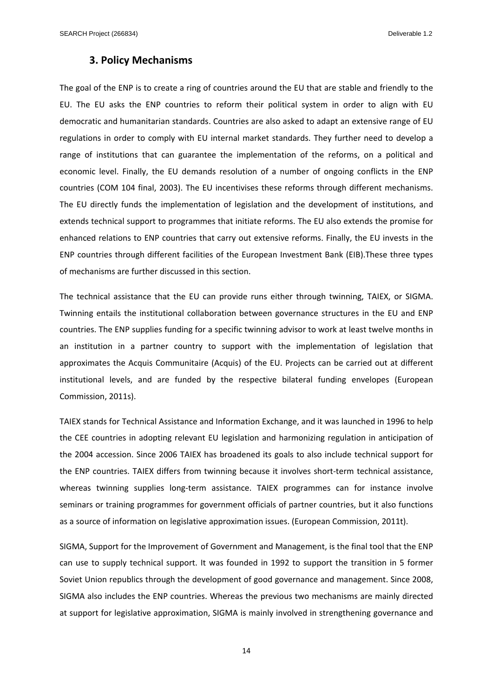## **3. Policy Mechanisms**

The goal of the ENP is to create a ring of countries around the EU that are stable and friendly to the EU. The EU asks the ENP countries to reform their political system in order to align with EU democratic and humanitarian standards. Countries are also asked to adapt an extensive range of EU regulations in order to comply with EU internal market standards. They further need to develop a range of institutions that can guarantee the implementation of the reforms, on a political and economic level. Finally, the EU demands resolution of a number of ongoing conflicts in the ENP countries (COM 104 final, 2003). The EU incentivises these reforms through different mechanisms. The EU directly funds the implementation of legislation and the development of institutions, and extends technical support to programmes that initiate reforms. The EU also extends the promise for enhanced relations to ENP countries that carry out extensive reforms. Finally, the EU invests in the ENP countries through different facilities of the European Investment Bank (EIB).These three types of mechanisms are further discussed in this section.

The technical assistance that the EU can provide runs either through twinning, TAIEX, or SIGMA. Twinning entails the institutional collaboration between governance structures in the EU and ENP countries. The ENP supplies funding for a specific twinning advisor to work at least twelve months in an institution in a partner country to support with the implementation of legislation that approximates the Acquis Communitaire (Acquis) of the EU. Projects can be carried out at different institutional levels, and are funded by the respective bilateral funding envelopes (European Commission, 2011s).

TAIEX stands for Technical Assistance and Information Exchange, and it was launched in 1996 to help the CEE countries in adopting relevant EU legislation and harmonizing regulation in anticipation of the 2004 accession. Since 2006 TAIEX has broadened its goals to also include technical support for the ENP countries. TAIEX differs from twinning because it involves short-term technical assistance, whereas twinning supplies long-term assistance. TAIEX programmes can for instance involve seminars or training programmes for government officials of partner countries, but it also functions as a source of information on legislative approximation issues. (European Commission, 2011t).

SIGMA, Support for the Improvement of Government and Management, is the final tool that the ENP can use to supply technical support. It was founded in 1992 to support the transition in 5 former Soviet Union republics through the development of good governance and management. Since 2008, SIGMA also includes the ENP countries. Whereas the previous two mechanisms are mainly directed at support for legislative approximation, SIGMA is mainly involved in strengthening governance and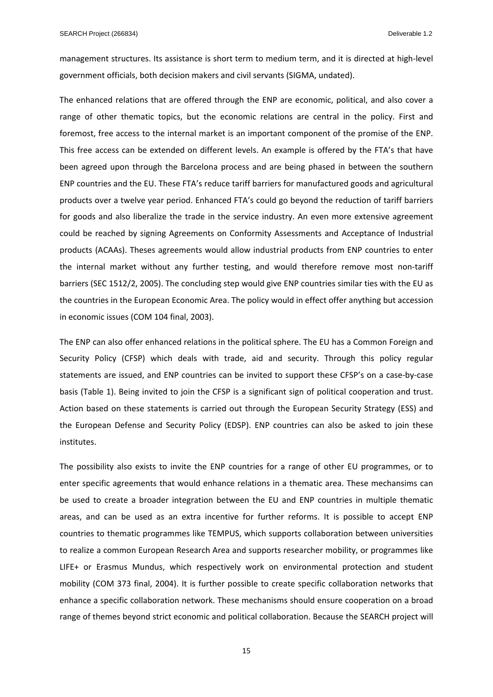management structures. Its assistance is short term to medium term, and it is directed at high‐level government officials, both decision makers and civil servants (SIGMA, undated).

The enhanced relations that are offered through the ENP are economic, political, and also cover a range of other thematic topics, but the economic relations are central in the policy. First and foremost, free access to the internal market is an important component of the promise of the ENP. This free access can be extended on different levels. An example is offered by the FTA's that have been agreed upon through the Barcelona process and are being phased in between the southern ENP countries and the EU. These FTA's reduce tariff barriers for manufactured goods and agricultural products over a twelve year period. Enhanced FTA's could go beyond the reduction of tariff barriers for goods and also liberalize the trade in the service industry. An even more extensive agreement could be reached by signing Agreements on Conformity Assessments and Acceptance of Industrial products (ACAAs). Theses agreements would allow industrial products from ENP countries to enter the internal market without any further testing, and would therefore remove most non-tariff barriers (SEC 1512/2, 2005). The concluding step would give ENP countries similar ties with the EU as the countries in the European Economic Area. The policy would in effect offer anything but accession in economic issues (COM 104 final, 2003).

The ENP can also offer enhanced relations in the political sphere. The EU has a Common Foreign and Security Policy (CFSP) which deals with trade, aid and security. Through this policy regular statements are issued, and ENP countries can be invited to support these CFSP's on a case‐by‐case basis (Table 1). Being invited to join the CFSP is a significant sign of political cooperation and trust. Action based on these statements is carried out through the European Security Strategy (ESS) and the European Defense and Security Policy (EDSP). ENP countries can also be asked to join these institutes.

The possibility also exists to invite the ENP countries for a range of other EU programmes, or to enter specific agreements that would enhance relations in a thematic area. These mechansims can be used to create a broader integration between the EU and ENP countries in multiple thematic areas, and can be used as an extra incentive for further reforms. It is possible to accept ENP countries to thematic programmes like TEMPUS, which supports collaboration between universities to realize a common European Research Area and supports researcher mobility, or programmes like LIFE+ or Erasmus Mundus, which respectively work on environmental protection and student mobility (COM 373 final, 2004). It is further possible to create specific collaboration networks that enhance a specific collaboration network. These mechanisms should ensure cooperation on a broad range of themes beyond strict economic and political collaboration. Because the SEARCH project will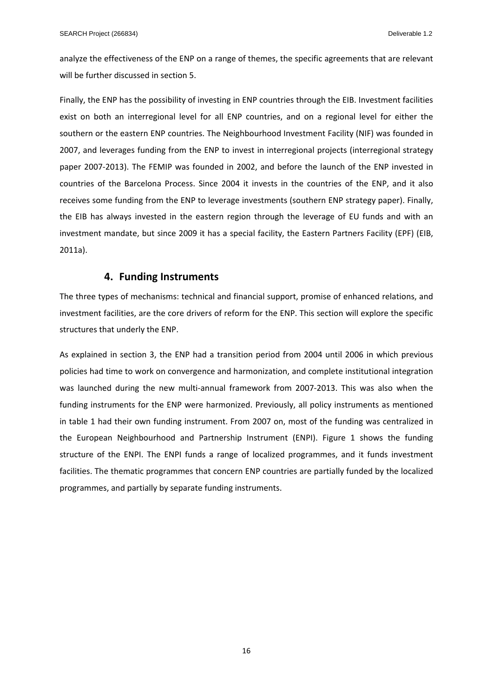analyze the effectiveness of the ENP on a range of themes, the specific agreements that are relevant will be further discussed in section 5.

Finally, the ENP has the possibility of investing in ENP countries through the EIB. Investment facilities exist on both an interregional level for all ENP countries, and on a regional level for either the southern or the eastern ENP countries. The Neighbourhood Investment Facility (NIF) was founded in 2007, and leverages funding from the ENP to invest in interregional projects (interregional strategy paper 2007-2013). The FEMIP was founded in 2002, and before the launch of the ENP invested in countries of the Barcelona Process. Since 2004 it invests in the countries of the ENP, and it also receives some funding from the ENP to leverage investments (southern ENP strategy paper). Finally, the EIB has always invested in the eastern region through the leverage of EU funds and with an investment mandate, but since 2009 it has a special facility, the Eastern Partners Facility (EPF) (EIB, 2011a).

## **4. Funding Instruments**

The three types of mechanisms: technical and financial support, promise of enhanced relations, and investment facilities, are the core drivers of reform for the ENP. This section will explore the specific structures that underly the ENP.

As explained in section 3, the ENP had a transition period from 2004 until 2006 in which previous policies had time to work on convergence and harmonization, and complete institutional integration was launched during the new multi‐annual framework from 2007‐2013. This was also when the funding instruments for the ENP were harmonized. Previously, all policy instruments as mentioned in table 1 had their own funding instrument. From 2007 on, most of the funding was centralized in the European Neighbourhood and Partnership Instrument (ENPI). Figure 1 shows the funding structure of the ENPI. The ENPI funds a range of localized programmes, and it funds investment facilities. The thematic programmes that concern ENP countries are partially funded by the localized programmes, and partially by separate funding instruments.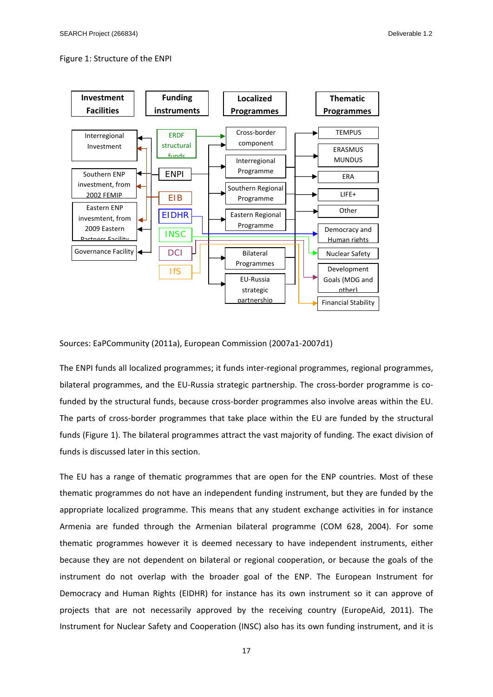#### Figure 1: Structure of the ENPI



Sources: EaPCommunity (2011a), European Commission (2007a1‐2007d1)

The ENPI funds all localized programmes; it funds inter-regional programmes, regional programmes, bilateral programmes, and the EU-Russia strategic partnership. The cross-border programme is cofunded by the structural funds, because cross-border programmes also involve areas within the EU. The parts of cross-border programmes that take place within the EU are funded by the structural funds (Figure 1). The bilateral programmes attract the vast majority of funding. The exact division of funds is discussed later in this section.

The EU has a range of thematic programmes that are open for the ENP countries. Most of these thematic programmes do not have an independent funding instrument, but they are funded by the appropriate localized programme. This means that any student exchange activities in for instance Armenia are funded through the Armenian bilateral programme (COM 628, 2004). For some thematic programmes however it is deemed necessary to have independent instruments, either because they are not dependent on bilateral or regional cooperation, or because the goals of the instrument do not overlap with the broader goal of the ENP. The European Instrument for Democracy and Human Rights (EIDHR) for instance has its own instrument so it can approve of projects that are not necessarily approved by the receiving country (EuropeAid, 2011). The Instrument for Nuclear Safety and Cooperation (INSC) also has its own funding instrument, and it is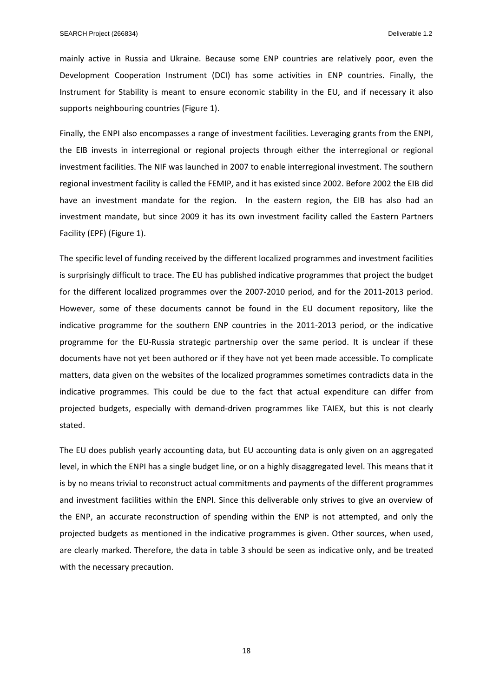mainly active in Russia and Ukraine. Because some ENP countries are relatively poor, even the Development Cooperation Instrument (DCI) has some activities in ENP countries. Finally, the Instrument for Stability is meant to ensure economic stability in the EU, and if necessary it also supports neighbouring countries (Figure 1).

Finally, the ENPI also encompasses a range of investment facilities. Leveraging grants from the ENPI, the EIB invests in interregional or regional projects through either the interregional or regional investment facilities. The NIF was launched in 2007 to enable interregional investment. The southern regional investment facility is called the FEMIP, and it has existed since 2002. Before 2002 the EIB did have an investment mandate for the region. In the eastern region, the EIB has also had an investment mandate, but since 2009 it has its own investment facility called the Eastern Partners Facility (EPF) (Figure 1).

The specific level of funding received by the different localized programmes and investment facilities is surprisingly difficult to trace. The EU has published indicative programmes that project the budget for the different localized programmes over the 2007-2010 period, and for the 2011-2013 period. However, some of these documents cannot be found in the EU document repository, like the indicative programme for the southern ENP countries in the 2011-2013 period, or the indicative programme for the EU‐Russia strategic partnership over the same period. It is unclear if these documents have not yet been authored or if they have not yet been made accessible. To complicate matters, data given on the websites of the localized programmes sometimes contradicts data in the indicative programmes. This could be due to the fact that actual expenditure can differ from projected budgets, especially with demand‐driven programmes like TAIEX, but this is not clearly stated.

The EU does publish yearly accounting data, but EU accounting data is only given on an aggregated level, in which the ENPI has a single budget line, or on a highly disaggregated level. This means that it is by no means trivial to reconstruct actual commitments and payments of the different programmes and investment facilities within the ENPI. Since this deliverable only strives to give an overview of the ENP, an accurate reconstruction of spending within the ENP is not attempted, and only the projected budgets as mentioned in the indicative programmes is given. Other sources, when used, are clearly marked. Therefore, the data in table 3 should be seen as indicative only, and be treated with the necessary precaution.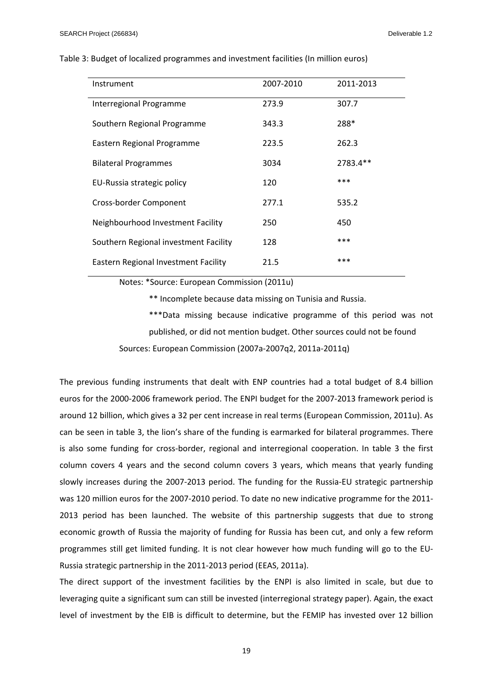| Instrument                            | 2007-2010 | 2011-2013 |
|---------------------------------------|-----------|-----------|
| Interregional Programme               | 273.9     | 307.7     |
| Southern Regional Programme           | 343.3     | 288*      |
| Eastern Regional Programme            | 223.5     | 262.3     |
| <b>Bilateral Programmes</b>           | 3034      | 2783.4**  |
| EU-Russia strategic policy            | 120       | ***       |
| Cross-border Component                | 277.1     | 535.2     |
| Neighbourhood Investment Facility     | 250       | 450       |
| Southern Regional investment Facility | 128       | ***       |
| Eastern Regional Investment Facility  | 21.5      | ***       |

#### Table 3: Budget of localized programmes and investment facilities (In million euros)

Notes: \*Source: European Commission (2011u)

\*\* Incomplete because data missing on Tunisia and Russia.

\*\*\*Data missing because indicative programme of this period was not published, or did not mention budget. Other sources could not be found

Sources: European Commission (2007a‐2007q2, 2011a‐2011q)

The previous funding instruments that dealt with ENP countries had a total budget of 8.4 billion euros for the 2000‐2006 framework period. The ENPI budget for the 2007‐2013 framework period is around 12 billion, which gives a 32 per cent increase in real terms (European Commission, 2011u). As can be seen in table 3, the lion's share of the funding is earmarked for bilateral programmes. There is also some funding for cross‐border, regional and interregional cooperation. In table 3 the first column covers 4 years and the second column covers 3 years, which means that yearly funding slowly increases during the 2007‐2013 period. The funding for the Russia‐EU strategic partnership was 120 million euros for the 2007‐2010 period. To date no new indicative programme for the 2011‐ 2013 period has been launched. The website of this partnership suggests that due to strong economic growth of Russia the majority of funding for Russia has been cut, and only a few reform programmes still get limited funding. It is not clear however how much funding will go to the EU‐ Russia strategic partnership in the 2011‐2013 period (EEAS, 2011a).

The direct support of the investment facilities by the ENPI is also limited in scale, but due to leveraging quite a significant sum can still be invested (interregional strategy paper). Again, the exact level of investment by the EIB is difficult to determine, but the FEMIP has invested over 12 billion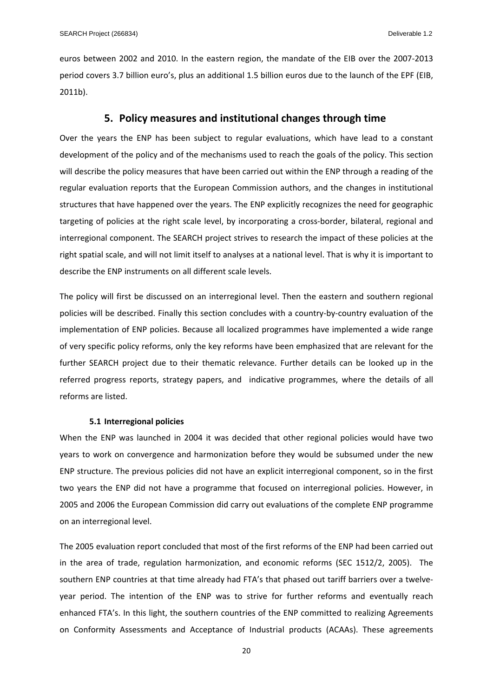euros between 2002 and 2010. In the eastern region, the mandate of the EIB over the 2007‐2013 period covers 3.7 billion euro's, plus an additional 1.5 billion euros due to the launch of the EPF (EIB, 2011b).

## **5. Policy measures and institutional changes through time**

Over the years the ENP has been subject to regular evaluations, which have lead to a constant development of the policy and of the mechanisms used to reach the goals of the policy. This section will describe the policy measures that have been carried out within the ENP through a reading of the regular evaluation reports that the European Commission authors, and the changes in institutional structures that have happened over the years. The ENP explicitly recognizes the need for geographic targeting of policies at the right scale level, by incorporating a cross-border, bilateral, regional and interregional component. The SEARCH project strives to research the impact of these policies at the right spatial scale, and will not limit itself to analyses at a national level. That is why it is important to describe the ENP instruments on all different scale levels.

The policy will first be discussed on an interregional level. Then the eastern and southern regional policies will be described. Finally this section concludes with a country‐by‐country evaluation of the implementation of ENP policies. Because all localized programmes have implemented a wide range of very specific policy reforms, only the key reforms have been emphasized that are relevant for the further SEARCH project due to their thematic relevance. Further details can be looked up in the referred progress reports, strategy papers, and indicative programmes, where the details of all reforms are listed.

#### **5.1 Interregional policies**

When the ENP was launched in 2004 it was decided that other regional policies would have two years to work on convergence and harmonization before they would be subsumed under the new ENP structure. The previous policies did not have an explicit interregional component, so in the first two years the ENP did not have a programme that focused on interregional policies. However, in 2005 and 2006 the European Commission did carry out evaluations of the complete ENP programme on an interregional level.

The 2005 evaluation report concluded that most of the first reforms of the ENP had been carried out in the area of trade, regulation harmonization, and economic reforms (SEC 1512/2, 2005). The southern ENP countries at that time already had FTA's that phased out tariff barriers over a twelveyear period. The intention of the ENP was to strive for further reforms and eventually reach enhanced FTA's. In this light, the southern countries of the ENP committed to realizing Agreements on Conformity Assessments and Acceptance of Industrial products (ACAAs). These agreements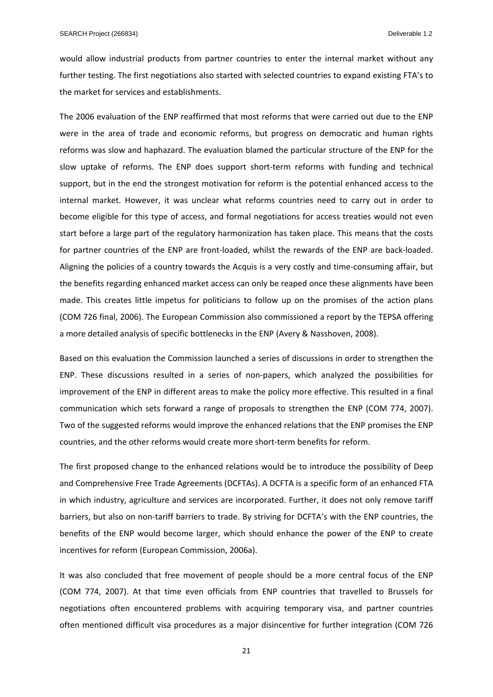would allow industrial products from partner countries to enter the internal market without any further testing. The first negotiations also started with selected countries to expand existing FTA's to the market for services and establishments.

The 2006 evaluation of the ENP reaffirmed that most reforms that were carried out due to the ENP were in the area of trade and economic reforms, but progress on democratic and human rights reforms was slow and haphazard. The evaluation blamed the particular structure of the ENP for the slow uptake of reforms. The ENP does support short‐term reforms with funding and technical support, but in the end the strongest motivation for reform is the potential enhanced access to the internal market. However, it was unclear what reforms countries need to carry out in order to become eligible for this type of access, and formal negotiations for access treaties would not even start before a large part of the regulatory harmonization has taken place. This means that the costs for partner countries of the ENP are front-loaded, whilst the rewards of the ENP are back-loaded. Aligning the policies of a country towards the Acquis is a very costly and time‐consuming affair, but the benefits regarding enhanced market access can only be reaped once these alignments have been made. This creates little impetus for politicians to follow up on the promises of the action plans (COM 726 final, 2006). The European Commission also commissioned a report by the TEPSA offering a more detailed analysis of specific bottlenecks in the ENP (Avery & Nasshoven, 2008).

Based on this evaluation the Commission launched a series of discussions in order to strengthen the ENP. These discussions resulted in a series of non‐papers, which analyzed the possibilities for improvement of the ENP in different areas to make the policy more effective. This resulted in a final communication which sets forward a range of proposals to strengthen the ENP (COM 774, 2007). Two of the suggested reforms would improve the enhanced relations that the ENP promises the ENP countries, and the other reforms would create more short‐term benefits for reform.

The first proposed change to the enhanced relations would be to introduce the possibility of Deep and Comprehensive Free Trade Agreements (DCFTAs). A DCFTA is a specific form of an enhanced FTA in which industry, agriculture and services are incorporated. Further, it does not only remove tariff barriers, but also on non-tariff barriers to trade. By striving for DCFTA's with the ENP countries, the benefits of the ENP would become larger, which should enhance the power of the ENP to create incentives for reform (European Commission, 2006a).

It was also concluded that free movement of people should be a more central focus of the ENP (COM 774, 2007). At that time even officials from ENP countries that travelled to Brussels for negotiations often encountered problems with acquiring temporary visa, and partner countries often mentioned difficult visa procedures as a major disincentive for further integration (COM 726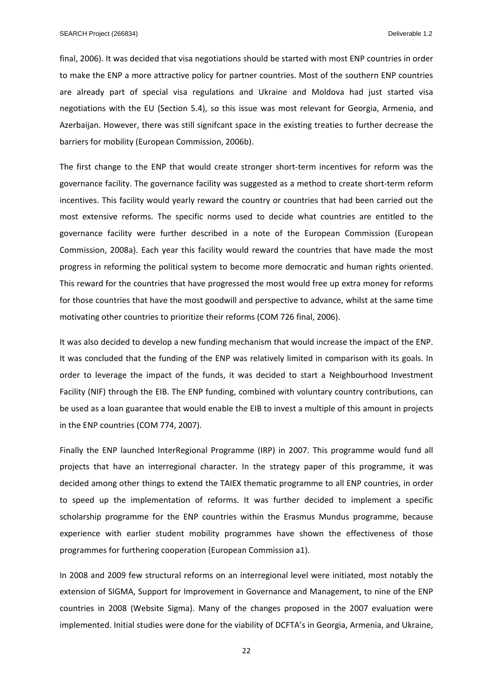final, 2006). It was decided that visa negotiations should be started with most ENP countries in order to make the ENP a more attractive policy for partner countries. Most of the southern ENP countries are already part of special visa regulations and Ukraine and Moldova had just started visa negotiations with the EU (Section 5.4), so this issue was most relevant for Georgia, Armenia, and Azerbaijan. However, there was still signifcant space in the existing treaties to further decrease the barriers for mobility (European Commission, 2006b).

The first change to the ENP that would create stronger short-term incentives for reform was the governance facility. The governance facility was suggested as a method to create short‐term reform incentives. This facility would yearly reward the country or countries that had been carried out the most extensive reforms. The specific norms used to decide what countries are entitled to the governance facility were further described in a note of the European Commission (European Commission, 2008a). Each year this facility would reward the countries that have made the most progress in reforming the political system to become more democratic and human rights oriented. This reward for the countries that have progressed the most would free up extra money for reforms for those countries that have the most goodwill and perspective to advance, whilst at the same time motivating other countries to prioritize their reforms (COM 726 final, 2006).

It was also decided to develop a new funding mechanism that would increase the impact of the ENP. It was concluded that the funding of the ENP was relatively limited in comparison with its goals. In order to leverage the impact of the funds, it was decided to start a Neighbourhood Investment Facility (NIF) through the EIB. The ENP funding, combined with voluntary country contributions, can be used as a loan guarantee that would enable the EIB to invest a multiple of this amount in projects in the ENP countries (COM 774, 2007).

Finally the ENP launched InterRegional Programme (IRP) in 2007. This programme would fund all projects that have an interregional character. In the strategy paper of this programme, it was decided among other things to extend the TAIEX thematic programme to all ENP countries, in order to speed up the implementation of reforms. It was further decided to implement a specific scholarship programme for the ENP countries within the Erasmus Mundus programme, because experience with earlier student mobility programmes have shown the effectiveness of those programmes for furthering cooperation (European Commission a1).

In 2008 and 2009 few structural reforms on an interregional level were initiated, most notably the extension of SIGMA, Support for Improvement in Governance and Management, to nine of the ENP countries in 2008 (Website Sigma). Many of the changes proposed in the 2007 evaluation were implemented. Initial studies were done for the viability of DCFTA's in Georgia, Armenia, and Ukraine,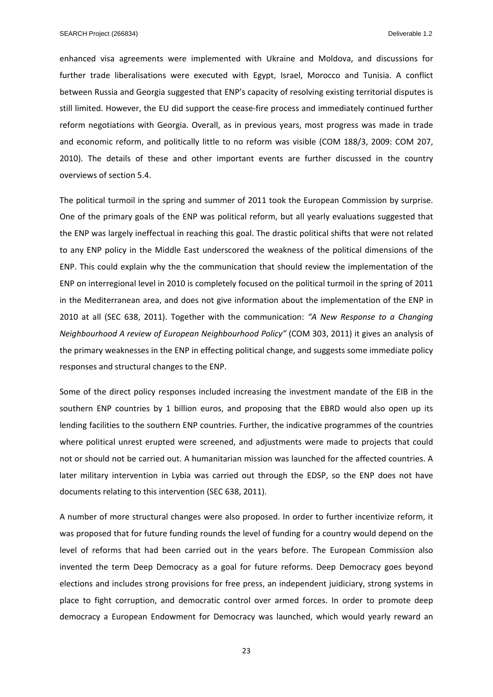enhanced visa agreements were implemented with Ukraine and Moldova, and discussions for further trade liberalisations were executed with Egypt, Israel, Morocco and Tunisia. A conflict between Russia and Georgia suggested that ENP's capacity of resolving existing territorial disputes is still limited. However, the EU did support the cease‐fire process and immediately continued further reform negotiations with Georgia. Overall, as in previous years, most progress was made in trade and economic reform, and politically little to no reform was visible (COM 188/3, 2009: COM 207, 2010). The details of these and other important events are further discussed in the country overviews of section 5.4.

The political turmoil in the spring and summer of 2011 took the European Commission by surprise. One of the primary goals of the ENP was political reform, but all yearly evaluations suggested that the ENP was largely ineffectual in reaching this goal. The drastic political shifts that were not related to any ENP policy in the Middle East underscored the weakness of the political dimensions of the ENP. This could explain why the the communication that should review the implementation of the ENP on interregional level in 2010 is completely focused on the political turmoil in the spring of 2011 in the Mediterranean area, and does not give information about the implementation of the ENP in 2010 at all (SEC 638, 2011). Together with the communication: *"A New Response to a Changing Neighbourhood A review of European Neighbourhood Policy"* (COM 303, 2011) it gives an analysis of the primary weaknesses in the ENP in effecting political change, and suggests some immediate policy responses and structural changes to the ENP.

Some of the direct policy responses included increasing the investment mandate of the EIB in the southern ENP countries by 1 billion euros, and proposing that the EBRD would also open up its lending facilities to the southern ENP countries. Further, the indicative programmes of the countries where political unrest erupted were screened, and adjustments were made to projects that could not or should not be carried out. A humanitarian mission was launched for the affected countries. A later military intervention in Lybia was carried out through the EDSP, so the ENP does not have documents relating to this intervention (SEC 638, 2011).

A number of more structural changes were also proposed. In order to further incentivize reform, it was proposed that for future funding rounds the level of funding for a country would depend on the level of reforms that had been carried out in the years before. The European Commission also invented the term Deep Democracy as a goal for future reforms. Deep Democracy goes beyond elections and includes strong provisions for free press, an independent juidiciary, strong systems in place to fight corruption, and democratic control over armed forces. In order to promote deep democracy a European Endowment for Democracy was launched, which would yearly reward an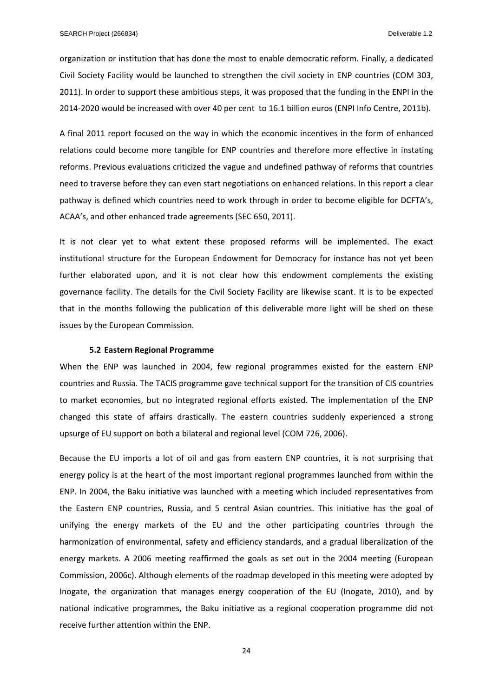organization or institution that has done the most to enable democratic reform. Finally, a dedicated Civil Society Facility would be launched to strengthen the civil society in ENP countries (COM 303, 2011). In order to support these ambitious steps, it was proposed that the funding in the ENPI in the 2014‐2020 would be increased with over 40 per cent to 16.1 billion euros (ENPI Info Centre, 2011b).

A final 2011 report focused on the way in which the economic incentives in the form of enhanced relations could become more tangible for ENP countries and therefore more effective in instating reforms. Previous evaluations criticized the vague and undefined pathway of reforms that countries need to traverse before they can even start negotiations on enhanced relations. In this report a clear pathway is defined which countries need to work through in order to become eligible for DCFTA's, ACAA's, and other enhanced trade agreements (SEC 650, 2011).

It is not clear yet to what extent these proposed reforms will be implemented. The exact institutional structure for the European Endowment for Democracy for instance has not yet been further elaborated upon, and it is not clear how this endowment complements the existing governance facility. The details for the Civil Society Facility are likewise scant. It is to be expected that in the months following the publication of this deliverable more light will be shed on these issues by the European Commission.

#### **5.2 Eastern Regional Programme**

When the ENP was launched in 2004, few regional programmes existed for the eastern ENP countries and Russia. The TACIS programme gave technical support for the transition of CIS countries to market economies, but no integrated regional efforts existed. The implementation of the ENP changed this state of affairs drastically. The eastern countries suddenly experienced a strong upsurge of EU support on both a bilateral and regional level (COM 726, 2006).

Because the EU imports a lot of oil and gas from eastern ENP countries, it is not surprising that energy policy is at the heart of the most important regional programmes launched from within the ENP. In 2004, the Baku initiative was launched with a meeting which included representatives from the Eastern ENP countries, Russia, and 5 central Asian countries. This initiative has the goal of unifying the energy markets of the EU and the other participating countries through the harmonization of environmental, safety and efficiency standards, and a gradual liberalization of the energy markets. A 2006 meeting reaffirmed the goals as set out in the 2004 meeting (European Commission, 2006c). Although elements of the roadmap developed in this meeting were adopted by Inogate, the organization that manages energy cooperation of the EU (Inogate, 2010), and by national indicative programmes, the Baku initiative as a regional cooperation programme did not receive further attention within the ENP.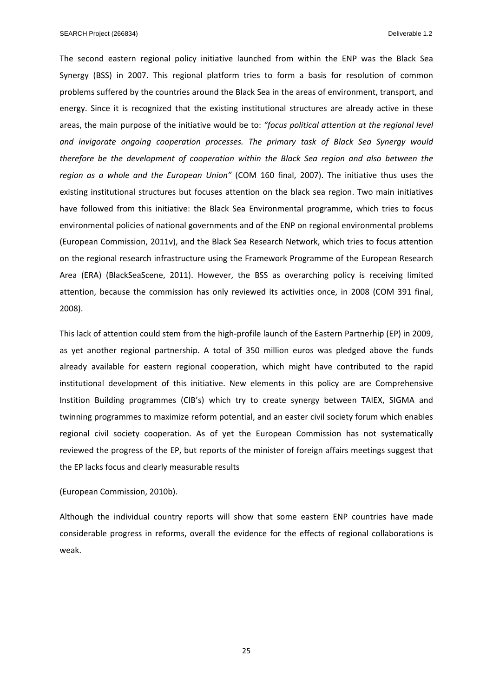The second eastern regional policy initiative launched from within the ENP was the Black Sea Synergy (BSS) in 2007. This regional platform tries to form a basis for resolution of common problems suffered by the countries around the Black Sea in the areas of environment, transport, and energy. Since it is recognized that the existing institutional structures are already active in these areas, the main purpose of the initiative would be to: *"focus political attention at the regional level and invigorate ongoing cooperation processes. The primary task of Black Sea Synergy would therefore be the development of cooperation within the Black Sea region and also between the region as a whole and the European Union"* (COM 160 final, 2007). The initiative thus uses the existing institutional structures but focuses attention on the black sea region. Two main initiatives have followed from this initiative: the Black Sea Environmental programme, which tries to focus environmental policies of national governments and of the ENP on regional environmental problems (European Commission, 2011v), and the Black Sea Research Network, which tries to focus attention on the regional research infrastructure using the Framework Programme of the European Research Area (ERA) (BlackSeaScene, 2011). However, the BSS as overarching policy is receiving limited attention, because the commission has only reviewed its activities once, in 2008 (COM 391 final, 2008).

This lack of attention could stem from the high‐profile launch of the Eastern Partnerhip (EP) in 2009, as yet another regional partnership. A total of 350 million euros was pledged above the funds already available for eastern regional cooperation, which might have contributed to the rapid institutional development of this initiative. New elements in this policy are are Comprehensive Instition Building programmes (CIB's) which try to create synergy between TAIEX, SIGMA and twinning programmes to maximize reform potential, and an easter civil society forum which enables regional civil society cooperation. As of yet the European Commission has not systematically reviewed the progress of the EP, but reports of the minister of foreign affairs meetings suggest that the EP lacks focus and clearly measurable results

#### (European Commission, 2010b).

Although the individual country reports will show that some eastern ENP countries have made considerable progress in reforms, overall the evidence for the effects of regional collaborations is weak.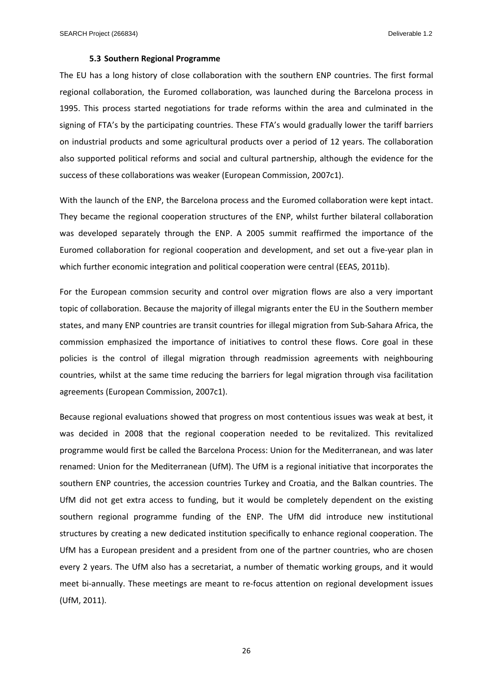#### **5.3 Southern Regional Programme**

The EU has a long history of close collaboration with the southern ENP countries. The first formal regional collaboration, the Euromed collaboration, was launched during the Barcelona process in 1995. This process started negotiations for trade reforms within the area and culminated in the signing of FTA's by the participating countries. These FTA's would gradually lower the tariff barriers on industrial products and some agricultural products over a period of 12 years. The collaboration also supported political reforms and social and cultural partnership, although the evidence for the success of these collaborations was weaker (European Commission, 2007c1).

With the launch of the ENP, the Barcelona process and the Euromed collaboration were kept intact. They became the regional cooperation structures of the ENP, whilst further bilateral collaboration was developed separately through the ENP. A 2005 summit reaffirmed the importance of the Euromed collaboration for regional cooperation and development, and set out a five-year plan in which further economic integration and political cooperation were central (EEAS, 2011b).

For the European commsion security and control over migration flows are also a very important topic of collaboration. Because the majority of illegal migrants enter the EU in the Southern member states, and many ENP countries are transit countries for illegal migration from Sub‐Sahara Africa, the commission emphasized the importance of initiatives to control these flows. Core goal in these policies is the control of illegal migration through readmission agreements with neighbouring countries, whilst at the same time reducing the barriers for legal migration through visa facilitation agreements (European Commission, 2007c1).

Because regional evaluations showed that progress on most contentious issues was weak at best, it was decided in 2008 that the regional cooperation needed to be revitalized. This revitalized programme would first be called the Barcelona Process: Union for the Mediterranean, and was later renamed: Union for the Mediterranean (UfM). The UfM is a regional initiative that incorporates the southern ENP countries, the accession countries Turkey and Croatia, and the Balkan countries. The UfM did not get extra access to funding, but it would be completely dependent on the existing southern regional programme funding of the ENP. The UfM did introduce new institutional structures by creating a new dedicated institution specifically to enhance regional cooperation. The UfM has a European president and a president from one of the partner countries, who are chosen every 2 years. The UfM also has a secretariat, a number of thematic working groups, and it would meet bi-annually. These meetings are meant to re-focus attention on regional development issues (UfM, 2011).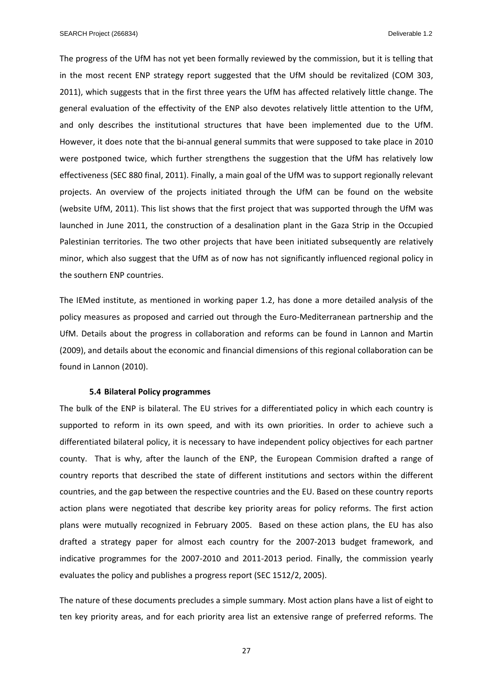The progress of the UfM has not yet been formally reviewed by the commission, but it is telling that in the most recent ENP strategy report suggested that the UfM should be revitalized (COM 303, 2011), which suggests that in the first three years the UfM has affected relatively little change. The general evaluation of the effectivity of the ENP also devotes relatively little attention to the UfM, and only describes the institutional structures that have been implemented due to the UfM. However, it does note that the bi-annual general summits that were supposed to take place in 2010 were postponed twice, which further strengthens the suggestion that the UfM has relatively low effectiveness (SEC 880 final, 2011). Finally, a main goal of the UfM was to support regionally relevant projects. An overview of the projects initiated through the UfM can be found on the website (website UfM, 2011). This list shows that the first project that was supported through the UfM was launched in June 2011, the construction of a desalination plant in the Gaza Strip in the Occupied Palestinian territories. The two other projects that have been initiated subsequently are relatively minor, which also suggest that the UfM as of now has not significantly influenced regional policy in the southern ENP countries.

The IEMed institute, as mentioned in working paper 1.2, has done a more detailed analysis of the policy measures as proposed and carried out through the Euro‐Mediterranean partnership and the UfM. Details about the progress in collaboration and reforms can be found in Lannon and Martin (2009), and details about the economic and financial dimensions of this regional collaboration can be found in Lannon (2010).

#### **5.4 Bilateral Policy programmes**

The bulk of the ENP is bilateral. The EU strives for a differentiated policy in which each country is supported to reform in its own speed, and with its own priorities. In order to achieve such a differentiated bilateral policy, it is necessary to have independent policy objectives for each partner county. That is why, after the launch of the ENP, the European Commision drafted a range of country reports that described the state of different institutions and sectors within the different countries, and the gap between the respective countries and the EU. Based on these country reports action plans were negotiated that describe key priority areas for policy reforms. The first action plans were mutually recognized in February 2005. Based on these action plans, the EU has also drafted a strategy paper for almost each country for the 2007‐2013 budget framework, and indicative programmes for the 2007‐2010 and 2011‐2013 period. Finally, the commission yearly evaluates the policy and publishes a progress report (SEC 1512/2, 2005).

The nature of these documents precludes a simple summary. Most action plans have a list of eight to ten key priority areas, and for each priority area list an extensive range of preferred reforms. The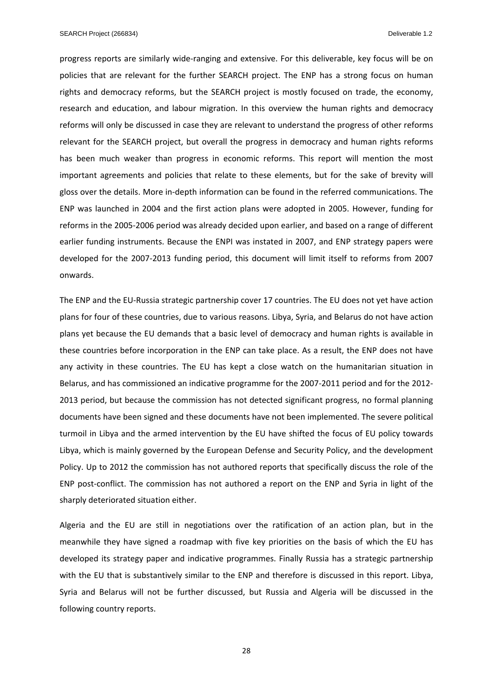progress reports are similarly wide‐ranging and extensive. For this deliverable, key focus will be on policies that are relevant for the further SEARCH project. The ENP has a strong focus on human rights and democracy reforms, but the SEARCH project is mostly focused on trade, the economy, research and education, and labour migration. In this overview the human rights and democracy reforms will only be discussed in case they are relevant to understand the progress of other reforms relevant for the SEARCH project, but overall the progress in democracy and human rights reforms has been much weaker than progress in economic reforms. This report will mention the most important agreements and policies that relate to these elements, but for the sake of brevity will gloss over the details. More in‐depth information can be found in the referred communications. The ENP was launched in 2004 and the first action plans were adopted in 2005. However, funding for reforms in the 2005‐2006 period was already decided upon earlier, and based on a range of different earlier funding instruments. Because the ENPI was instated in 2007, and ENP strategy papers were developed for the 2007‐2013 funding period, this document will limit itself to reforms from 2007 onwards.

The ENP and the EU‐Russia strategic partnership cover 17 countries. The EU does not yet have action plans for four of these countries, due to various reasons. Libya, Syria, and Belarus do not have action plans yet because the EU demands that a basic level of democracy and human rights is available in these countries before incorporation in the ENP can take place. As a result, the ENP does not have any activity in these countries. The EU has kept a close watch on the humanitarian situation in Belarus, and has commissioned an indicative programme for the 2007-2011 period and for the 2012-2013 period, but because the commission has not detected significant progress, no formal planning documents have been signed and these documents have not been implemented. The severe political turmoil in Libya and the armed intervention by the EU have shifted the focus of EU policy towards Libya, which is mainly governed by the European Defense and Security Policy, and the development Policy. Up to 2012 the commission has not authored reports that specifically discuss the role of the ENP post-conflict. The commission has not authored a report on the ENP and Syria in light of the sharply deteriorated situation either.

Algeria and the EU are still in negotiations over the ratification of an action plan, but in the meanwhile they have signed a roadmap with five key priorities on the basis of which the EU has developed its strategy paper and indicative programmes. Finally Russia has a strategic partnership with the EU that is substantively similar to the ENP and therefore is discussed in this report. Libya, Syria and Belarus will not be further discussed, but Russia and Algeria will be discussed in the following country reports.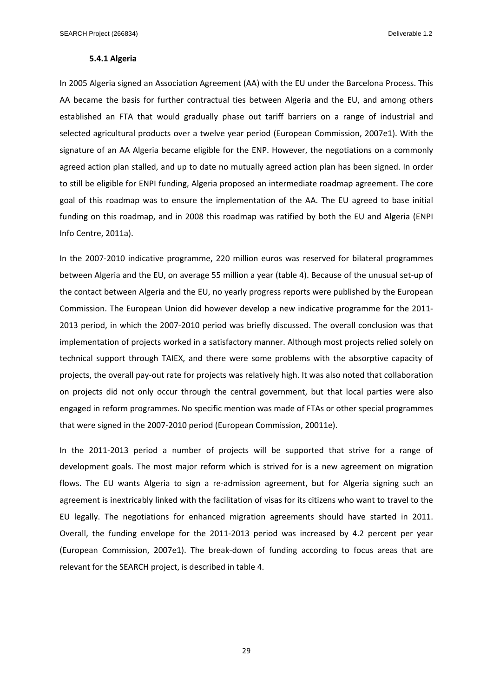#### **5.4.1 Algeria**

In 2005 Algeria signed an Association Agreement (AA) with the EU under the Barcelona Process. This AA became the basis for further contractual ties between Algeria and the EU, and among others established an FTA that would gradually phase out tariff barriers on a range of industrial and selected agricultural products over a twelve year period (European Commission, 2007e1). With the signature of an AA Algeria became eligible for the ENP. However, the negotiations on a commonly agreed action plan stalled, and up to date no mutually agreed action plan has been signed. In order to still be eligible for ENPI funding, Algeria proposed an intermediate roadmap agreement. The core goal of this roadmap was to ensure the implementation of the AA. The EU agreed to base initial funding on this roadmap, and in 2008 this roadmap was ratified by both the EU and Algeria (ENPI Info Centre, 2011a).

In the 2007‐2010 indicative programme, 220 million euros was reserved for bilateral programmes between Algeria and the EU, on average 55 million a year (table 4). Because of the unusual set‐up of the contact between Algeria and the EU, no yearly progress reports were published by the European Commission. The European Union did however develop a new indicative programme for the 2011‐ 2013 period, in which the 2007‐2010 period was briefly discussed. The overall conclusion was that implementation of projects worked in a satisfactory manner. Although most projects relied solely on technical support through TAIEX, and there were some problems with the absorptive capacity of projects, the overall pay‐out rate for projects was relatively high. It was also noted that collaboration on projects did not only occur through the central government, but that local parties were also engaged in reform programmes. No specific mention was made of FTAs or other special programmes that were signed in the 2007‐2010 period (European Commission, 20011e).

In the 2011-2013 period a number of projects will be supported that strive for a range of development goals. The most major reform which is strived for is a new agreement on migration flows. The EU wants Algeria to sign a re-admission agreement, but for Algeria signing such an agreement is inextricably linked with the facilitation of visas for its citizens who want to travel to the EU legally. The negotiations for enhanced migration agreements should have started in 2011. Overall, the funding envelope for the 2011-2013 period was increased by 4.2 percent per year (European Commission, 2007e1). The break‐down of funding according to focus areas that are relevant for the SEARCH project, is described in table 4.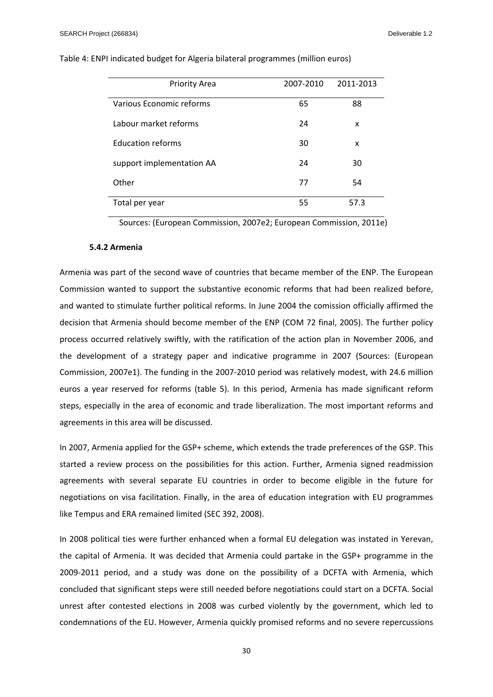| <b>Priority Area</b>      | 2007-2010 | 2011-2013 |
|---------------------------|-----------|-----------|
| Various Economic reforms  | 65        | 88        |
| Labour market reforms     | 24        | x         |
| <b>Education reforms</b>  | 30        | x         |
| support implementation AA | 24        | 30        |
| Other                     | 77        | 54        |
| Total per year            | 55        | 57.3      |

Table 4: ENPI indicated budget for Algeria bilateral programmes (million euros)

Sources: (European Commission, 2007e2; European Commission, 2011e)

#### **5.4.2 Armenia**

Armenia was part of the second wave of countries that became member of the ENP. The European Commission wanted to support the substantive economic reforms that had been realized before, and wanted to stimulate further political reforms. In June 2004 the comission officially affirmed the decision that Armenia should become member of the ENP (COM 72 final, 2005). The further policy process occurred relatively swiftly, with the ratification of the action plan in November 2006, and the development of a strategy paper and indicative programme in 2007 (Sources: (European Commission, 2007e1). The funding in the 2007‐2010 period was relatively modest, with 24.6 million euros a year reserved for reforms (table 5). In this period, Armenia has made significant reform steps, especially in the area of economic and trade liberalization. The most important reforms and agreements in this area will be discussed.

In 2007, Armenia applied for the GSP+ scheme, which extends the trade preferences of the GSP. This started a review process on the possibilities for this action. Further, Armenia signed readmission agreements with several separate EU countries in order to become eligible in the future for negotiations on visa facilitation. Finally, in the area of education integration with EU programmes like Tempus and ERA remained limited (SEC 392, 2008).

In 2008 political ties were further enhanced when a formal EU delegation was instated in Yerevan, the capital of Armenia. It was decided that Armenia could partake in the GSP+ programme in the 2009-2011 period, and a study was done on the possibility of a DCFTA with Armenia, which concluded that significant steps were still needed before negotiations could start on a DCFTA. Social unrest after contested elections in 2008 was curbed violently by the government, which led to condemnations of the EU. However, Armenia quickly promised reforms and no severe repercussions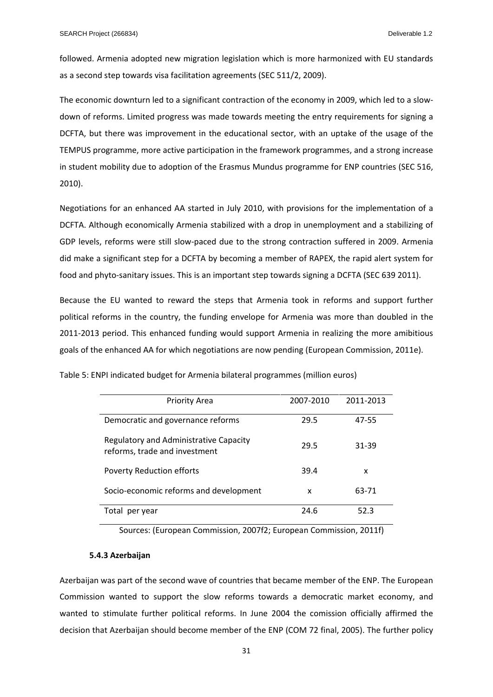followed. Armenia adopted new migration legislation which is more harmonized with EU standards as a second step towards visa facilitation agreements (SEC 511/2, 2009).

The economic downturn led to a significant contraction of the economy in 2009, which led to a slowdown of reforms. Limited progress was made towards meeting the entry requirements for signing a DCFTA, but there was improvement in the educational sector, with an uptake of the usage of the TEMPUS programme, more active participation in the framework programmes, and a strong increase in student mobility due to adoption of the Erasmus Mundus programme for ENP countries (SEC 516, 2010).

Negotiations for an enhanced AA started in July 2010, with provisions for the implementation of a DCFTA. Although economically Armenia stabilized with a drop in unemployment and a stabilizing of GDP levels, reforms were still slow-paced due to the strong contraction suffered in 2009. Armenia did make a significant step for a DCFTA by becoming a member of RAPEX, the rapid alert system for food and phyto-sanitary issues. This is an important step towards signing a DCFTA (SEC 639 2011).

Because the EU wanted to reward the steps that Armenia took in reforms and support further political reforms in the country, the funding envelope for Armenia was more than doubled in the 2011-2013 period. This enhanced funding would support Armenia in realizing the more amibitious goals of the enhanced AA for which negotiations are now pending (European Commission, 2011e).

| <b>Priority Area</b>                                                    | 2007-2010 | 2011-2013 |
|-------------------------------------------------------------------------|-----------|-----------|
|                                                                         |           |           |
| Democratic and governance reforms                                       | 29.5      | 47-55     |
| Regulatory and Administrative Capacity<br>reforms, trade and investment | 29.5      | 31-39     |
| <b>Poverty Reduction efforts</b>                                        | 39.4      | x         |
| Socio-economic reforms and development                                  | x         | 63-71     |
| Total per year                                                          | 24.6      | 52.3      |

Table 5: ENPI indicated budget for Armenia bilateral programmes (million euros)

Sources: (European Commission, 2007f2; European Commission, 2011f)

#### **5.4.3 Azerbaijan**

Azerbaijan was part of the second wave of countries that became member of the ENP. The European Commission wanted to support the slow reforms towards a democratic market economy, and wanted to stimulate further political reforms. In June 2004 the comission officially affirmed the decision that Azerbaijan should become member of the ENP (COM 72 final, 2005). The further policy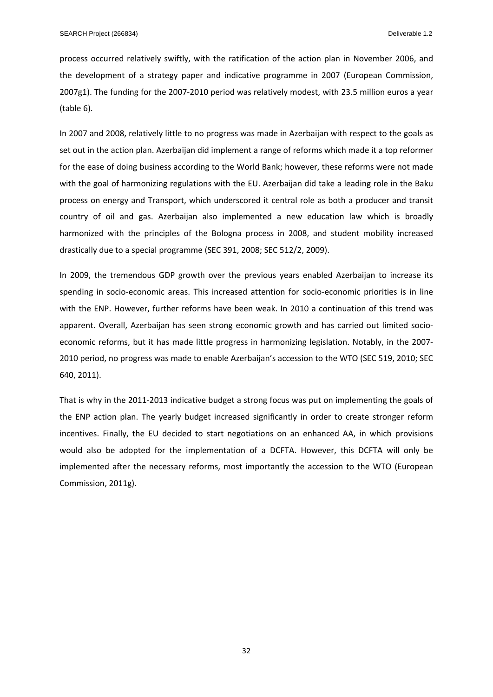process occurred relatively swiftly, with the ratification of the action plan in November 2006, and the development of a strategy paper and indicative programme in 2007 (European Commission, 2007g1). The funding for the 2007‐2010 period was relatively modest, with 23.5 million euros a year (table 6).

In 2007 and 2008, relatively little to no progress was made in Azerbaijan with respect to the goals as set out in the action plan. Azerbaijan did implement a range of reforms which made it a top reformer for the ease of doing business according to the World Bank; however, these reforms were not made with the goal of harmonizing regulations with the EU. Azerbaijan did take a leading role in the Baku process on energy and Transport, which underscored it central role as both a producer and transit country of oil and gas. Azerbaijan also implemented a new education law which is broadly harmonized with the principles of the Bologna process in 2008, and student mobility increased drastically due to a special programme (SEC 391, 2008; SEC 512/2, 2009).

In 2009, the tremendous GDP growth over the previous years enabled Azerbaijan to increase its spending in socio-economic areas. This increased attention for socio-economic priorities is in line with the ENP. However, further reforms have been weak. In 2010 a continuation of this trend was apparent. Overall, Azerbaijan has seen strong economic growth and has carried out limited socioeconomic reforms, but it has made little progress in harmonizing legislation. Notably, in the 2007‐ 2010 period, no progress was made to enable Azerbaijan's accession to the WTO (SEC 519, 2010; SEC 640, 2011).

That is why in the 2011‐2013 indicative budget a strong focus was put on implementing the goals of the ENP action plan. The yearly budget increased significantly in order to create stronger reform incentives. Finally, the EU decided to start negotiations on an enhanced AA, in which provisions would also be adopted for the implementation of a DCFTA. However, this DCFTA will only be implemented after the necessary reforms, most importantly the accession to the WTO (European Commission, 2011g).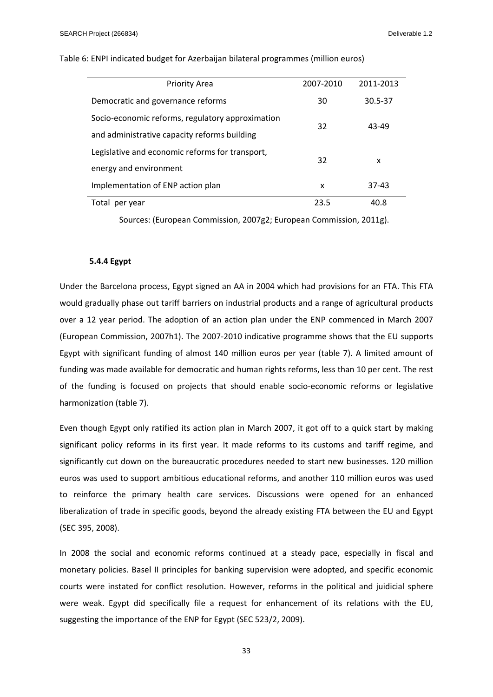| <b>Priority Area</b>                             | 2007-2010 | 2011-2013 |
|--------------------------------------------------|-----------|-----------|
| Democratic and governance reforms                | 30        | 30.5-37   |
| Socio-economic reforms, regulatory approximation | 32        | 43-49     |
| and administrative capacity reforms building     |           |           |
| Legislative and economic reforms for transport,  | 32        | x         |
| energy and environment                           |           |           |
| Implementation of ENP action plan                | x         | 37-43     |
| Total per year                                   | 23.5      | 40.8      |

Table 6: ENPI indicated budget for Azerbaijan bilateral programmes (million euros)

Sources: (European Commission, 2007g2; European Commission, 2011g).

#### **5.4.4 Egypt**

Under the Barcelona process, Egypt signed an AA in 2004 which had provisions for an FTA. This FTA would gradually phase out tariff barriers on industrial products and a range of agricultural products over a 12 year period. The adoption of an action plan under the ENP commenced in March 2007 (European Commission, 2007h1). The 2007‐2010 indicative programme shows that the EU supports Egypt with significant funding of almost 140 million euros per year (table 7). A limited amount of funding was made available for democratic and human rights reforms, less than 10 per cent. The rest of the funding is focused on projects that should enable socio‐economic reforms or legislative harmonization (table 7).

Even though Egypt only ratified its action plan in March 2007, it got off to a quick start by making significant policy reforms in its first year. It made reforms to its customs and tariff regime, and significantly cut down on the bureaucratic procedures needed to start new businesses. 120 million euros was used to support ambitious educational reforms, and another 110 million euros was used to reinforce the primary health care services. Discussions were opened for an enhanced liberalization of trade in specific goods, beyond the already existing FTA between the EU and Egypt (SEC 395, 2008).

In 2008 the social and economic reforms continued at a steady pace, especially in fiscal and monetary policies. Basel II principles for banking supervision were adopted, and specific economic courts were instated for conflict resolution. However, reforms in the political and juidicial sphere were weak. Egypt did specifically file a request for enhancement of its relations with the EU, suggesting the importance of the ENP for Egypt (SEC 523/2, 2009).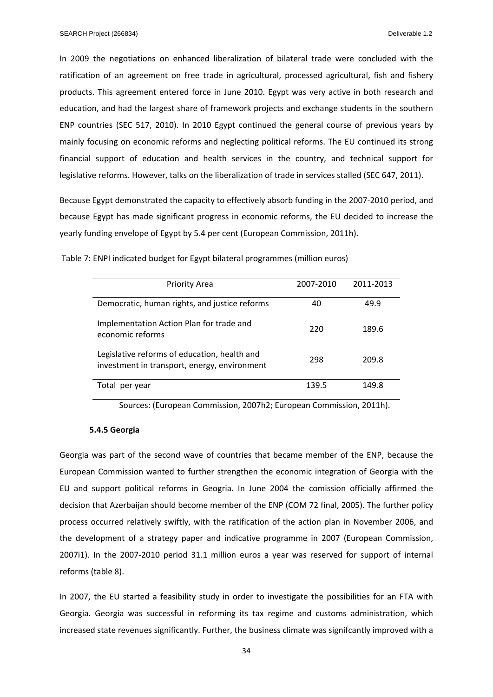In 2009 the negotiations on enhanced liberalization of bilateral trade were concluded with the ratification of an agreement on free trade in agricultural, processed agricultural, fish and fishery products. This agreement entered force in June 2010. Egypt was very active in both research and education, and had the largest share of framework projects and exchange students in the southern ENP countries (SEC 517, 2010). In 2010 Egypt continued the general course of previous years by mainly focusing on economic reforms and neglecting political reforms. The EU continued its strong financial support of education and health services in the country, and technical support for legislative reforms. However, talks on the liberalization of trade in services stalled (SEC 647, 2011).

Because Egypt demonstrated the capacity to effectively absorb funding in the 2007‐2010 period, and because Egypt has made significant progress in economic reforms, the EU decided to increase the yearly funding envelope of Egypt by 5.4 per cent (European Commission, 2011h).

| <b>Priority Area</b>                                                                         | 2007-2010 | 2011-2013 |
|----------------------------------------------------------------------------------------------|-----------|-----------|
| Democratic, human rights, and justice reforms                                                | 40        | 49.9      |
| Implementation Action Plan for trade and<br>economic reforms                                 | 220       | 189.6     |
| Legislative reforms of education, health and<br>investment in transport, energy, environment | 298       | 209.8     |
| Total<br>per year                                                                            | 139.5     | 149.8     |

Table 7: ENPI indicated budget for Egypt bilateral programmes (million euros)

Sources: (European Commission, 2007h2; European Commission, 2011h).

#### **5.4.5 Georgia**

Georgia was part of the second wave of countries that became member of the ENP, because the European Commission wanted to further strengthen the economic integration of Georgia with the EU and support political reforms in Geogria. In June 2004 the comission officially affirmed the decision that Azerbaijan should become member of the ENP (COM 72 final, 2005). The further policy process occurred relatively swiftly, with the ratification of the action plan in November 2006, and the development of a strategy paper and indicative programme in 2007 (European Commission, 2007i1). In the 2007-2010 period 31.1 million euros a year was reserved for support of internal reforms (table 8).

In 2007, the EU started a feasibility study in order to investigate the possibilities for an FTA with Georgia. Georgia was successful in reforming its tax regime and customs administration, which increased state revenues significantly. Further, the business climate was signifcantly improved with a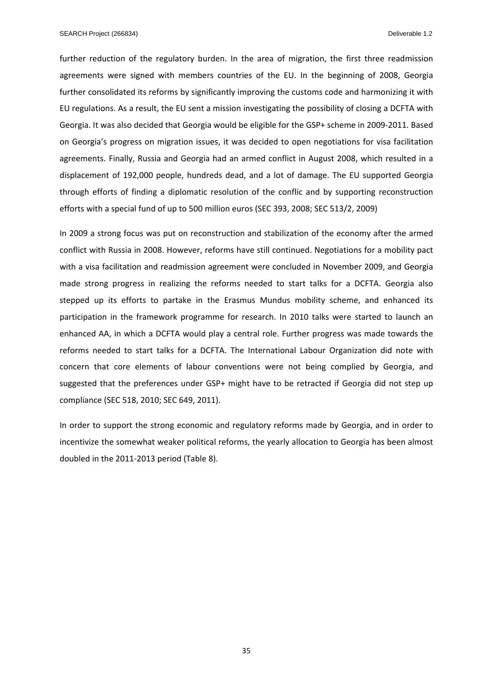further reduction of the regulatory burden. In the area of migration, the first three readmission agreements were signed with members countries of the EU. In the beginning of 2008, Georgia further consolidated its reforms by significantly improving the customs code and harmonizing it with EU regulations. As a result, the EU sent a mission investigating the possibility of closing a DCFTA with Georgia. It was also decided that Georgia would be eligible for the GSP+ scheme in 2009‐2011. Based on Georgia's progress on migration issues, it was decided to open negotiations for visa facilitation agreements. Finally, Russia and Georgia had an armed conflict in August 2008, which resulted in a displacement of 192,000 people, hundreds dead, and a lot of damage. The EU supported Georgia through efforts of finding a diplomatic resolution of the conflic and by supporting reconstruction efforts with a special fund of up to 500 million euros (SEC 393, 2008; SEC 513/2, 2009)

In 2009 a strong focus was put on reconstruction and stabilization of the economy after the armed conflict with Russia in 2008. However, reforms have still continued. Negotiations for a mobility pact with a visa facilitation and readmission agreement were concluded in November 2009, and Georgia made strong progress in realizing the reforms needed to start talks for a DCFTA. Georgia also stepped up its efforts to partake in the Erasmus Mundus mobility scheme, and enhanced its participation in the framework programme for research. In 2010 talks were started to launch an enhanced AA, in which a DCFTA would play a central role. Further progress was made towards the reforms needed to start talks for a DCFTA. The International Labour Organization did note with concern that core elements of labour conventions were not being complied by Georgia, and suggested that the preferences under GSP+ might have to be retracted if Georgia did not step up compliance (SEC 518, 2010; SEC 649, 2011).

In order to support the strong economic and regulatory reforms made by Georgia, and in order to incentivize the somewhat weaker political reforms, the yearly allocation to Georgia has been almost doubled in the 2011‐2013 period (Table 8).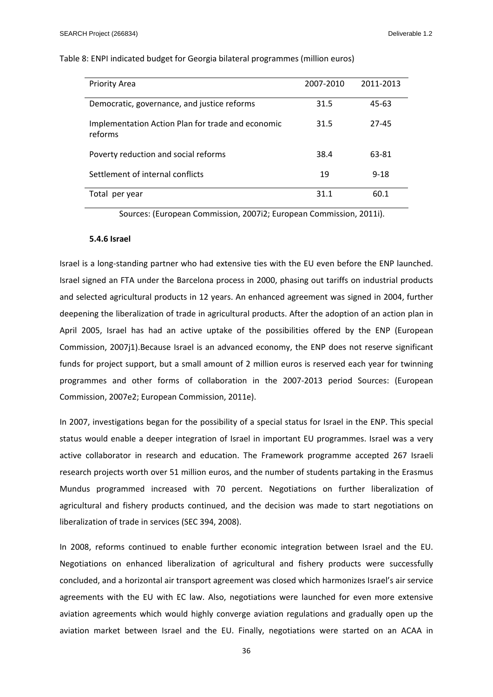| <b>Priority Area</b>                                         | 2007-2010 | 2011-2013 |
|--------------------------------------------------------------|-----------|-----------|
| Democratic, governance, and justice reforms                  | 31.5      | $45 - 63$ |
| Implementation Action Plan for trade and economic<br>reforms | 31.5      | 27-45     |
| Poverty reduction and social reforms                         | 38.4      | 63-81     |
| Settlement of internal conflicts                             | 19        | $9 - 18$  |
| Total per year                                               | 31.1      | 60.1      |

#### Table 8: ENPI indicated budget for Georgia bilateral programmes (million euros)

Sources: (European Commission, 2007i2; European Commission, 2011i).

#### **5.4.6 Israel**

Israel is a long-standing partner who had extensive ties with the EU even before the ENP launched. Israel signed an FTA under the Barcelona process in 2000, phasing out tariffs on industrial products and selected agricultural products in 12 years. An enhanced agreement was signed in 2004, further deepening the liberalization of trade in agricultural products. After the adoption of an action plan in April 2005, Israel has had an active uptake of the possibilities offered by the ENP (European Commission, 2007j1).Because Israel is an advanced economy, the ENP does not reserve significant funds for project support, but a small amount of 2 million euros is reserved each year for twinning programmes and other forms of collaboration in the 2007‐2013 period Sources: (European Commission, 2007e2; European Commission, 2011e).

In 2007, investigations began for the possibility of a special status for Israel in the ENP. This special status would enable a deeper integration of Israel in important EU programmes. Israel was a very active collaborator in research and education. The Framework programme accepted 267 Israeli research projects worth over 51 million euros, and the number of students partaking in the Erasmus Mundus programmed increased with 70 percent. Negotiations on further liberalization of agricultural and fishery products continued, and the decision was made to start negotiations on liberalization of trade in services (SEC 394, 2008).

In 2008, reforms continued to enable further economic integration between Israel and the EU. Negotiations on enhanced liberalization of agricultural and fishery products were successfully concluded, and a horizontal air transport agreement was closed which harmonizes Israel's air service agreements with the EU with EC law. Also, negotiations were launched for even more extensive aviation agreements which would highly converge aviation regulations and gradually open up the aviation market between Israel and the EU. Finally, negotiations were started on an ACAA in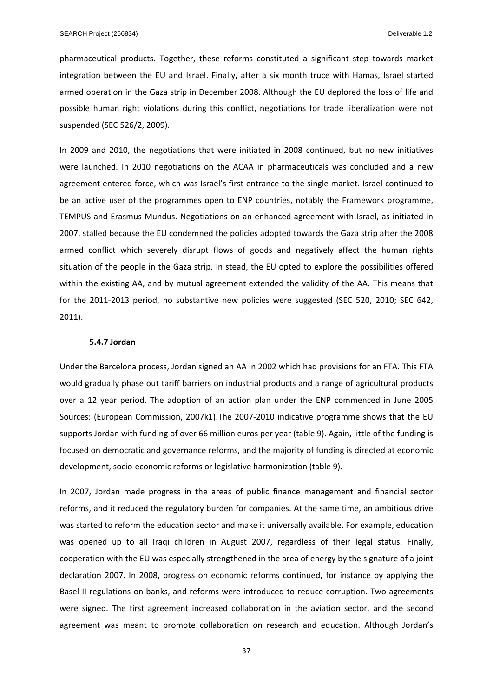pharmaceutical products. Together, these reforms constituted a significant step towards market integration between the EU and Israel. Finally, after a six month truce with Hamas, Israel started armed operation in the Gaza strip in December 2008. Although the EU deplored the loss of life and possible human right violations during this conflict, negotiations for trade liberalization were not suspended (SEC 526/2, 2009).

In 2009 and 2010, the negotiations that were initiated in 2008 continued, but no new initiatives were launched. In 2010 negotiations on the ACAA in pharmaceuticals was concluded and a new agreement entered force, which was Israel's first entrance to the single market. Israel continued to be an active user of the programmes open to ENP countries, notably the Framework programme, TEMPUS and Erasmus Mundus. Negotiations on an enhanced agreement with Israel, as initiated in 2007, stalled because the EU condemned the policies adopted towards the Gaza strip after the 2008 armed conflict which severely disrupt flows of goods and negatively affect the human rights situation of the people in the Gaza strip. In stead, the EU opted to explore the possibilities offered within the existing AA, and by mutual agreement extended the validity of the AA. This means that for the 2011-2013 period, no substantive new policies were suggested (SEC 520, 2010; SEC 642, 2011).

#### **5.4.7 Jordan**

Under the Barcelona process, Jordan signed an AA in 2002 which had provisions for an FTA. This FTA would gradually phase out tariff barriers on industrial products and a range of agricultural products over a 12 year period. The adoption of an action plan under the ENP commenced in June 2005 Sources: (European Commission, 2007k1).The 2007‐2010 indicative programme shows that the EU supports Jordan with funding of over 66 million euros per year (table 9). Again, little of the funding is focused on democratic and governance reforms, and the majority of funding is directed at economic development, socio‐economic reforms or legislative harmonization (table 9).

In 2007, Jordan made progress in the areas of public finance management and financial sector reforms, and it reduced the regulatory burden for companies. At the same time, an ambitious drive was started to reform the education sector and make it universally available. For example, education was opened up to all Iraqi children in August 2007, regardless of their legal status. Finally, cooperation with the EU was especially strengthened in the area of energy by the signature of a joint declaration 2007. In 2008, progress on economic reforms continued, for instance by applying the Basel II regulations on banks, and reforms were introduced to reduce corruption. Two agreements were signed. The first agreement increased collaboration in the aviation sector, and the second agreement was meant to promote collaboration on research and education. Although Jordan's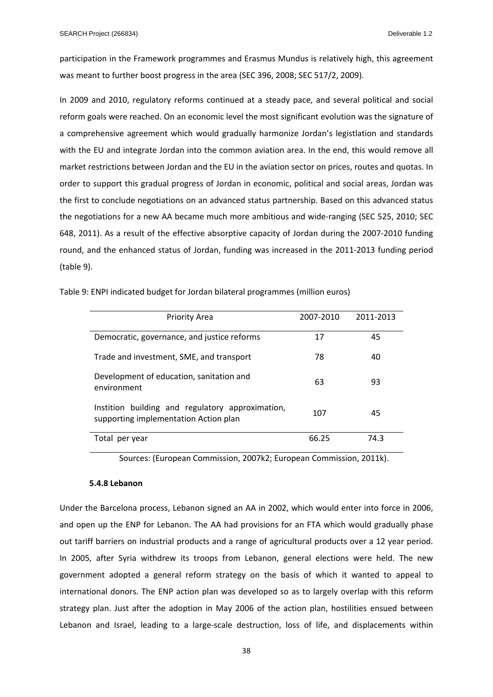participation in the Framework programmes and Erasmus Mundus is relatively high, this agreement was meant to further boost progress in the area (SEC 396, 2008; SEC 517/2, 2009).

In 2009 and 2010, regulatory reforms continued at a steady pace, and several political and social reform goals were reached. On an economic level the most significant evolution was the signature of a comprehensive agreement which would gradually harmonize Jordan's legistlation and standards with the EU and integrate Jordan into the common aviation area. In the end, this would remove all market restrictions between Jordan and the EU in the aviation sector on prices, routes and quotas. In order to support this gradual progress of Jordan in economic, political and social areas, Jordan was the first to conclude negotiations on an advanced status partnership. Based on this advanced status the negotiations for a new AA became much more ambitious and wide-ranging (SEC 525, 2010; SEC 648, 2011). As a result of the effective absorptive capacity of Jordan during the 2007‐2010 funding round, and the enhanced status of Jordan, funding was increased in the 2011‐2013 funding period (table 9).

| <b>Priority Area</b>                                                                      | 2007-2010 | 2011-2013 |
|-------------------------------------------------------------------------------------------|-----------|-----------|
| Democratic, governance, and justice reforms                                               | 17        | 45        |
| Trade and investment, SME, and transport                                                  | 78        | 40        |
| Development of education, sanitation and<br>environment                                   | 63        | 93        |
| Instition building and regulatory approximation,<br>supporting implementation Action plan | 107       | 45        |
| Total<br>per year                                                                         | 66.25     | 74.3      |

Table 9: ENPI indicated budget for Jordan bilateral programmes (million euros)

Sources: (European Commission, 2007k2; European Commission, 2011k).

## **5.4.8 Lebanon**

Under the Barcelona process, Lebanon signed an AA in 2002, which would enter into force in 2006, and open up the ENP for Lebanon. The AA had provisions for an FTA which would gradually phase out tariff barriers on industrial products and a range of agricultural products over a 12 year period. In 2005, after Syria withdrew its troops from Lebanon, general elections were held. The new government adopted a general reform strategy on the basis of which it wanted to appeal to international donors. The ENP action plan was developed so as to largely overlap with this reform strategy plan. Just after the adoption in May 2006 of the action plan, hostilities ensued between Lebanon and Israel, leading to a large-scale destruction, loss of life, and displacements within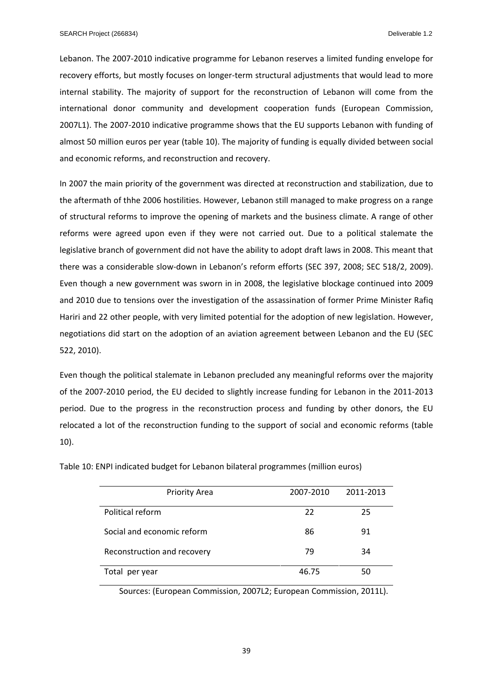Lebanon. The 2007‐2010 indicative programme for Lebanon reserves a limited funding envelope for recovery efforts, but mostly focuses on longer-term structural adjustments that would lead to more internal stability. The majority of support for the reconstruction of Lebanon will come from the international donor community and development cooperation funds (European Commission, 2007L1). The 2007‐2010 indicative programme shows that the EU supports Lebanon with funding of almost 50 million euros per year (table 10). The majority of funding is equally divided between social and economic reforms, and reconstruction and recovery.

In 2007 the main priority of the government was directed at reconstruction and stabilization, due to the aftermath of thhe 2006 hostilities. However, Lebanon still managed to make progress on a range of structural reforms to improve the opening of markets and the business climate. A range of other reforms were agreed upon even if they were not carried out. Due to a political stalemate the legislative branch of government did not have the ability to adopt draft laws in 2008. This meant that there was a considerable slow‐down in Lebanon's reform efforts (SEC 397, 2008; SEC 518/2, 2009). Even though a new government was sworn in in 2008, the legislative blockage continued into 2009 and 2010 due to tensions over the investigation of the assassination of former Prime Minister Rafiq Hariri and 22 other people, with very limited potential for the adoption of new legislation. However, negotiations did start on the adoption of an aviation agreement between Lebanon and the EU (SEC 522, 2010).

Even though the political stalemate in Lebanon precluded any meaningful reforms over the majority of the 2007‐2010 period, the EU decided to slightly increase funding for Lebanon in the 2011‐2013 period. Due to the progress in the reconstruction process and funding by other donors, the EU relocated a lot of the reconstruction funding to the support of social and economic reforms (table 10).

| <b>Priority Area</b>        | 2007-2010 | 2011-2013 |
|-----------------------------|-----------|-----------|
| Political reform            | 22        | 25        |
| Social and economic reform  | 86        | 91        |
| Reconstruction and recovery | 79        | 34        |
| Total per year              | 46.75     | 50        |

Table 10: ENPI indicated budget for Lebanon bilateral programmes (million euros)

Sources: (European Commission, 2007L2; European Commission, 2011L).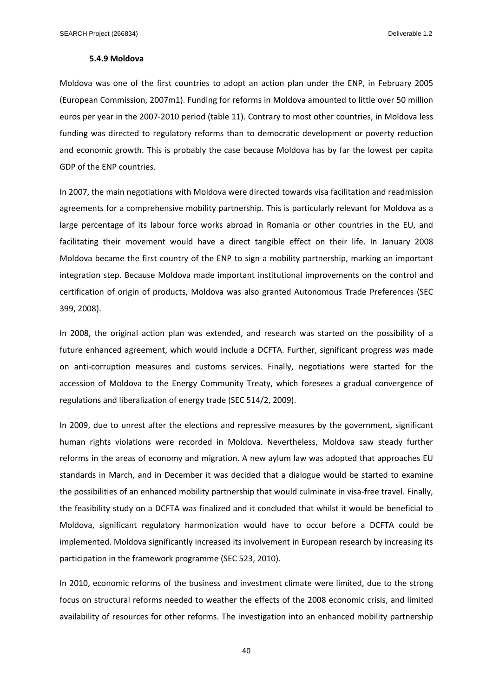#### **5.4.9 Moldova**

Moldova was one of the first countries to adopt an action plan under the ENP, in February 2005 (European Commission, 2007m1). Funding for reforms in Moldova amounted to little over 50 million euros per year in the 2007‐2010 period (table 11). Contrary to most other countries, in Moldova less funding was directed to regulatory reforms than to democratic development or poverty reduction and economic growth. This is probably the case because Moldova has by far the lowest per capita GDP of the ENP countries.

In 2007, the main negotiations with Moldova were directed towards visa facilitation and readmission agreements for a comprehensive mobility partnership. This is particularly relevant for Moldova as a large percentage of its labour force works abroad in Romania or other countries in the EU, and facilitating their movement would have a direct tangible effect on their life. In January 2008 Moldova became the first country of the ENP to sign a mobility partnership, marking an important integration step. Because Moldova made important institutional improvements on the control and certification of origin of products, Moldova was also granted Autonomous Trade Preferences (SEC 399, 2008).

In 2008, the original action plan was extended, and research was started on the possibility of a future enhanced agreement, which would include a DCFTA. Further, significant progress was made on anti‐corruption measures and customs services. Finally, negotiations were started for the accession of Moldova to the Energy Community Treaty, which foresees a gradual convergence of regulations and liberalization of energy trade (SEC 514/2, 2009).

In 2009, due to unrest after the elections and repressive measures by the government, significant human rights violations were recorded in Moldova. Nevertheless, Moldova saw steady further reforms in the areas of economy and migration. A new aylum law was adopted that approaches EU standards in March, and in December it was decided that a dialogue would be started to examine the possibilities of an enhanced mobility partnership that would culminate in visa-free travel. Finally, the feasibility study on a DCFTA was finalized and it concluded that whilst it would be beneficial to Moldova, significant regulatory harmonization would have to occur before a DCFTA could be implemented. Moldova significantly increased its involvement in European research by increasing its participation in the framework programme (SEC 523, 2010).

In 2010, economic reforms of the business and investment climate were limited, due to the strong focus on structural reforms needed to weather the effects of the 2008 economic crisis, and limited availability of resources for other reforms. The investigation into an enhanced mobility partnership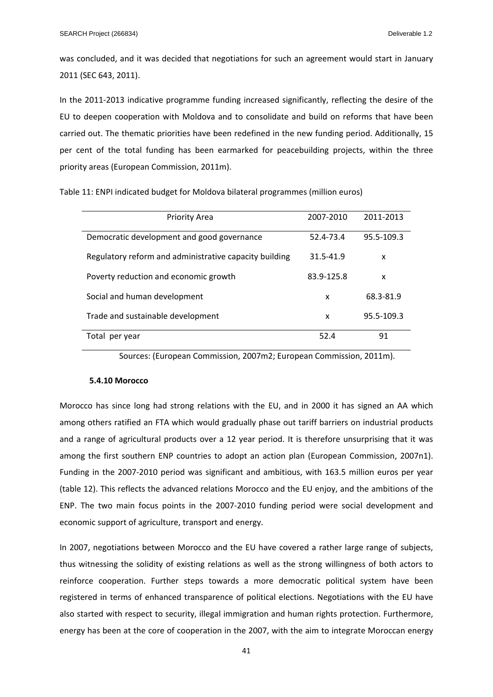was concluded, and it was decided that negotiations for such an agreement would start in January 2011 (SEC 643, 2011).

In the 2011-2013 indicative programme funding increased significantly, reflecting the desire of the EU to deepen cooperation with Moldova and to consolidate and build on reforms that have been carried out. The thematic priorities have been redefined in the new funding period. Additionally, 15 per cent of the total funding has been earmarked for peacebuilding projects, within the three priority areas (European Commission, 2011m).

| <b>Priority Area</b>                                   | 2007-2010  | 2011-2013  |
|--------------------------------------------------------|------------|------------|
| Democratic development and good governance             | 52.4-73.4  | 95.5-109.3 |
| Regulatory reform and administrative capacity building | 31.5-41.9  | x          |
| Poverty reduction and economic growth                  | 83.9-125.8 | x          |
| Social and human development                           | x          | 68.3-81.9  |
| Trade and sustainable development                      | x          | 95.5-109.3 |
| Total per year                                         | 52.4       | 91         |

Table 11: ENPI indicated budget for Moldova bilateral programmes (million euros)

Sources: (European Commission, 2007m2; European Commission, 2011m).

## **5.4.10 Morocco**

Morocco has since long had strong relations with the EU, and in 2000 it has signed an AA which among others ratified an FTA which would gradually phase out tariff barriers on industrial products and a range of agricultural products over a 12 year period. It is therefore unsurprising that it was among the first southern ENP countries to adopt an action plan (European Commission, 2007n1). Funding in the 2007‐2010 period was significant and ambitious, with 163.5 million euros per year (table 12). This reflects the advanced relations Morocco and the EU enjoy, and the ambitions of the ENP. The two main focus points in the 2007‐2010 funding period were social development and economic support of agriculture, transport and energy.

In 2007, negotiations between Morocco and the EU have covered a rather large range of subjects, thus witnessing the solidity of existing relations as well as the strong willingness of both actors to reinforce cooperation. Further steps towards a more democratic political system have been registered in terms of enhanced transparence of political elections. Negotiations with the EU have also started with respect to security, illegal immigration and human rights protection. Furthermore, energy has been at the core of cooperation in the 2007, with the aim to integrate Moroccan energy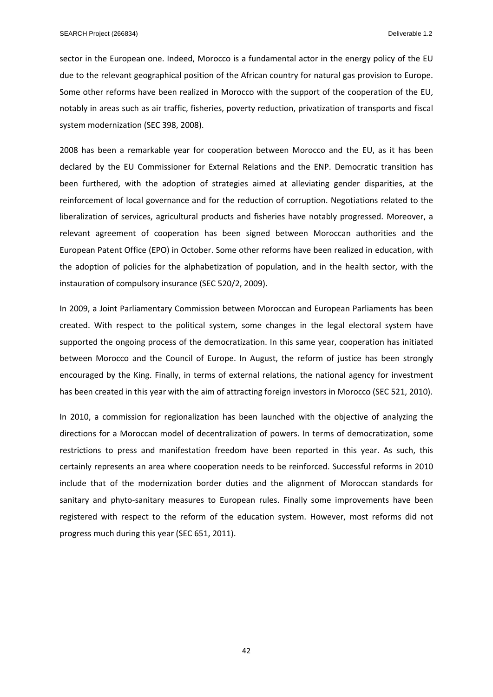sector in the European one. Indeed, Morocco is a fundamental actor in the energy policy of the EU due to the relevant geographical position of the African country for natural gas provision to Europe. Some other reforms have been realized in Morocco with the support of the cooperation of the EU, notably in areas such as air traffic, fisheries, poverty reduction, privatization of transports and fiscal system modernization (SEC 398, 2008).

2008 has been a remarkable year for cooperation between Morocco and the EU, as it has been declared by the EU Commissioner for External Relations and the ENP. Democratic transition has been furthered, with the adoption of strategies aimed at alleviating gender disparities, at the reinforcement of local governance and for the reduction of corruption. Negotiations related to the liberalization of services, agricultural products and fisheries have notably progressed. Moreover, a relevant agreement of cooperation has been signed between Moroccan authorities and the European Patent Office (EPO) in October. Some other reforms have been realized in education, with the adoption of policies for the alphabetization of population, and in the health sector, with the instauration of compulsory insurance (SEC 520/2, 2009).

In 2009, a Joint Parliamentary Commission between Moroccan and European Parliaments has been created. With respect to the political system, some changes in the legal electoral system have supported the ongoing process of the democratization. In this same year, cooperation has initiated between Morocco and the Council of Europe. In August, the reform of justice has been strongly encouraged by the King. Finally, in terms of external relations, the national agency for investment has been created in this year with the aim of attracting foreign investors in Morocco (SEC 521, 2010).

In 2010, a commission for regionalization has been launched with the objective of analyzing the directions for a Moroccan model of decentralization of powers. In terms of democratization, some restrictions to press and manifestation freedom have been reported in this year. As such, this certainly represents an area where cooperation needs to be reinforced. Successful reforms in 2010 include that of the modernization border duties and the alignment of Moroccan standards for sanitary and phyto-sanitary measures to European rules. Finally some improvements have been registered with respect to the reform of the education system. However, most reforms did not progress much during this year (SEC 651, 2011).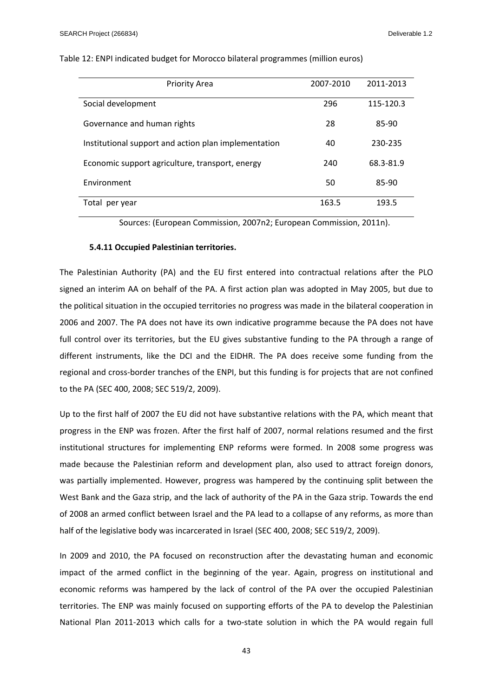| <b>Priority Area</b>                                 | 2007-2010 | 2011-2013 |
|------------------------------------------------------|-----------|-----------|
| Social development                                   | 296       | 115-120.3 |
| Governance and human rights                          | 28        | 85-90     |
| Institutional support and action plan implementation | 40        | 230-235   |
| Economic support agriculture, transport, energy      | 240       | 68.3-81.9 |
| Environment                                          | 50        | 85-90     |
| Total per year                                       | 163.5     | 193.5     |

#### Table 12: ENPI indicated budget for Morocco bilateral programmes (million euros)

Sources: (European Commission, 2007n2; European Commission, 2011n).

## **5.4.11 Occupied Palestinian territories.**

The Palestinian Authority (PA) and the EU first entered into contractual relations after the PLO signed an interim AA on behalf of the PA. A first action plan was adopted in May 2005, but due to the political situation in the occupied territories no progress was made in the bilateral cooperation in 2006 and 2007. The PA does not have its own indicative programme because the PA does not have full control over its territories, but the EU gives substantive funding to the PA through a range of different instruments, like the DCI and the EIDHR. The PA does receive some funding from the regional and cross‐border tranches of the ENPI, but this funding is for projects that are not confined to the PA (SEC 400, 2008; SEC 519/2, 2009).

Up to the first half of 2007 the EU did not have substantive relations with the PA, which meant that progress in the ENP was frozen. After the first half of 2007, normal relations resumed and the first institutional structures for implementing ENP reforms were formed. In 2008 some progress was made because the Palestinian reform and development plan, also used to attract foreign donors, was partially implemented. However, progress was hampered by the continuing split between the West Bank and the Gaza strip, and the lack of authority of the PA in the Gaza strip. Towards the end of 2008 an armed conflict between Israel and the PA lead to a collapse of any reforms, as more than half of the legislative body was incarcerated in Israel (SEC 400, 2008; SEC 519/2, 2009).

In 2009 and 2010, the PA focused on reconstruction after the devastating human and economic impact of the armed conflict in the beginning of the year. Again, progress on institutional and economic reforms was hampered by the lack of control of the PA over the occupied Palestinian territories. The ENP was mainly focused on supporting efforts of the PA to develop the Palestinian National Plan 2011-2013 which calls for a two-state solution in which the PA would regain full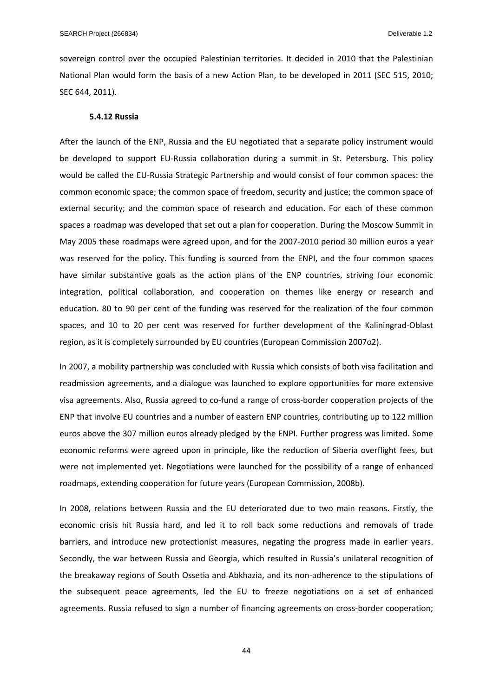sovereign control over the occupied Palestinian territories. It decided in 2010 that the Palestinian National Plan would form the basis of a new Action Plan, to be developed in 2011 (SEC 515, 2010; SEC 644, 2011).

#### **5.4.12 Russia**

After the launch of the ENP, Russia and the EU negotiated that a separate policy instrument would be developed to support EU-Russia collaboration during a summit in St. Petersburg. This policy would be called the EU‐Russia Strategic Partnership and would consist of four common spaces: the common economic space; the common space of freedom, security and justice; the common space of external security; and the common space of research and education. For each of these common spaces a roadmap was developed that set out a plan for cooperation. During the Moscow Summit in May 2005 these roadmaps were agreed upon, and for the 2007‐2010 period 30 million euros a year was reserved for the policy. This funding is sourced from the ENPI, and the four common spaces have similar substantive goals as the action plans of the ENP countries, striving four economic integration, political collaboration, and cooperation on themes like energy or research and education. 80 to 90 per cent of the funding was reserved for the realization of the four common spaces, and 10 to 20 per cent was reserved for further development of the Kaliningrad‐Oblast region, as it is completely surrounded by EU countries (European Commission 2007o2).

In 2007, a mobility partnership was concluded with Russia which consists of both visa facilitation and readmission agreements, and a dialogue was launched to explore opportunities for more extensive visa agreements. Also, Russia agreed to co-fund a range of cross-border cooperation projects of the ENP that involve EU countries and a number of eastern ENP countries, contributing up to 122 million euros above the 307 million euros already pledged by the ENPI. Further progress was limited. Some economic reforms were agreed upon in principle, like the reduction of Siberia overflight fees, but were not implemented yet. Negotiations were launched for the possibility of a range of enhanced roadmaps, extending cooperation for future years (European Commission, 2008b).

In 2008, relations between Russia and the EU deteriorated due to two main reasons. Firstly, the economic crisis hit Russia hard, and led it to roll back some reductions and removals of trade barriers, and introduce new protectionist measures, negating the progress made in earlier years. Secondly, the war between Russia and Georgia, which resulted in Russia's unilateral recognition of the breakaway regions of South Ossetia and Abkhazia, and its non‐adherence to the stipulations of the subsequent peace agreements, led the EU to freeze negotiations on a set of enhanced agreements. Russia refused to sign a number of financing agreements on cross‐border cooperation;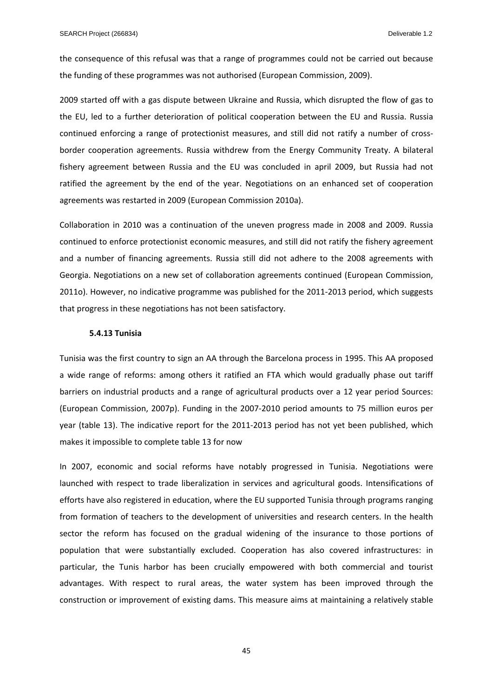the consequence of this refusal was that a range of programmes could not be carried out because the funding of these programmes was not authorised (European Commission, 2009).

2009 started off with a gas dispute between Ukraine and Russia, which disrupted the flow of gas to the EU, led to a further deterioration of political cooperation between the EU and Russia. Russia continued enforcing a range of protectionist measures, and still did not ratify a number of crossborder cooperation agreements. Russia withdrew from the Energy Community Treaty. A bilateral fishery agreement between Russia and the EU was concluded in april 2009, but Russia had not ratified the agreement by the end of the year. Negotiations on an enhanced set of cooperation agreements was restarted in 2009 (European Commission 2010a).

Collaboration in 2010 was a continuation of the uneven progress made in 2008 and 2009. Russia continued to enforce protectionist economic measures, and still did not ratify the fishery agreement and a number of financing agreements. Russia still did not adhere to the 2008 agreements with Georgia. Negotiations on a new set of collaboration agreements continued (European Commission, 2011o). However, no indicative programme was published for the 2011‐2013 period, which suggests that progress in these negotiations has not been satisfactory.

## **5.4.13 Tunisia**

Tunisia was the first country to sign an AA through the Barcelona process in 1995. This AA proposed a wide range of reforms: among others it ratified an FTA which would gradually phase out tariff barriers on industrial products and a range of agricultural products over a 12 year period Sources: (European Commission, 2007p). Funding in the 2007‐2010 period amounts to 75 million euros per year (table 13). The indicative report for the 2011‐2013 period has not yet been published, which makes it impossible to complete table 13 for now

In 2007, economic and social reforms have notably progressed in Tunisia. Negotiations were launched with respect to trade liberalization in services and agricultural goods. Intensifications of efforts have also registered in education, where the EU supported Tunisia through programs ranging from formation of teachers to the development of universities and research centers. In the health sector the reform has focused on the gradual widening of the insurance to those portions of population that were substantially excluded. Cooperation has also covered infrastructures: in particular, the Tunis harbor has been crucially empowered with both commercial and tourist advantages. With respect to rural areas, the water system has been improved through the construction or improvement of existing dams. This measure aims at maintaining a relatively stable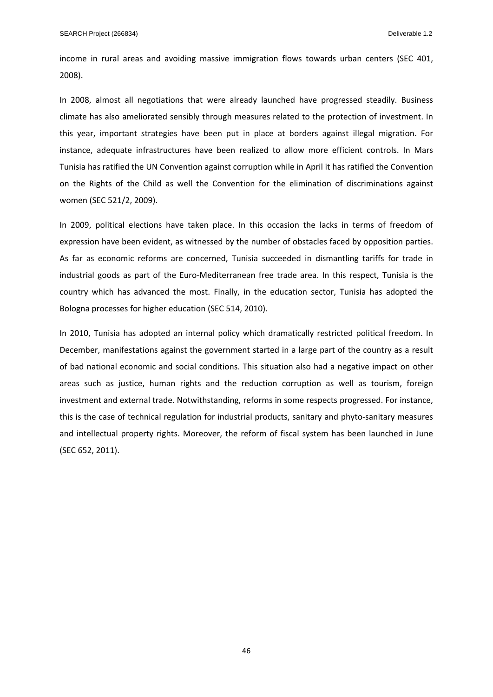income in rural areas and avoiding massive immigration flows towards urban centers (SEC 401, 2008).

In 2008, almost all negotiations that were already launched have progressed steadily. Business climate has also ameliorated sensibly through measures related to the protection of investment. In this year, important strategies have been put in place at borders against illegal migration. For instance, adequate infrastructures have been realized to allow more efficient controls. In Mars Tunisia has ratified the UN Convention against corruption while in April it has ratified the Convention on the Rights of the Child as well the Convention for the elimination of discriminations against women (SEC 521/2, 2009).

In 2009, political elections have taken place. In this occasion the lacks in terms of freedom of expression have been evident, as witnessed by the number of obstacles faced by opposition parties. As far as economic reforms are concerned, Tunisia succeeded in dismantling tariffs for trade in industrial goods as part of the Euro‐Mediterranean free trade area. In this respect, Tunisia is the country which has advanced the most. Finally, in the education sector, Tunisia has adopted the Bologna processes for higher education (SEC 514, 2010).

In 2010, Tunisia has adopted an internal policy which dramatically restricted political freedom. In December, manifestations against the government started in a large part of the country as a result of bad national economic and social conditions. This situation also had a negative impact on other areas such as justice, human rights and the reduction corruption as well as tourism, foreign investment and external trade. Notwithstanding, reforms in some respects progressed. For instance, this is the case of technical regulation for industrial products, sanitary and phyto‐sanitary measures and intellectual property rights. Moreover, the reform of fiscal system has been launched in June (SEC 652, 2011).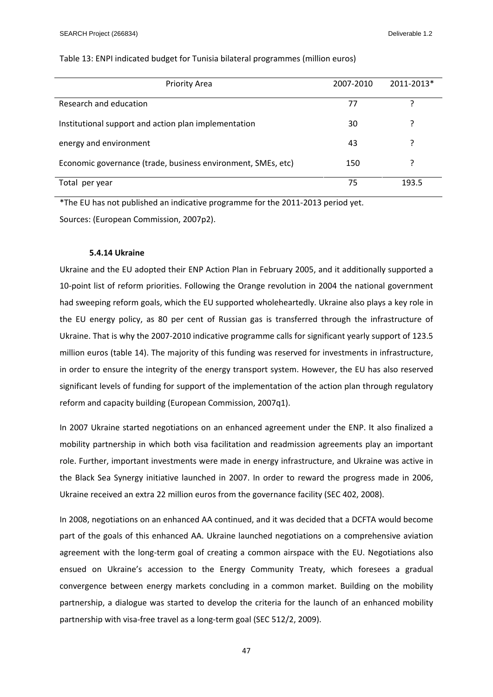| <b>Priority Area</b>                                         | 2007-2010 | 2011-2013* |
|--------------------------------------------------------------|-----------|------------|
| Research and education                                       | 77        |            |
| Institutional support and action plan implementation         | 30        |            |
| energy and environment                                       | 43        |            |
| Economic governance (trade, business environment, SMEs, etc) | 150       |            |
| Total per year                                               | 75        | 193.5      |

## Table 13: ENPI indicated budget for Tunisia bilateral programmes (million euros)

\*The EU has not published an indicative programme for the 2011‐2013 period yet. Sources: (European Commission, 2007p2).

## **5.4.14 Ukraine**

Ukraine and the EU adopted their ENP Action Plan in February 2005, and it additionally supported a 10‐point list of reform priorities. Following the Orange revolution in 2004 the national government had sweeping reform goals, which the EU supported wholeheartedly. Ukraine also plays a key role in the EU energy policy, as 80 per cent of Russian gas is transferred through the infrastructure of Ukraine. That is why the 2007‐2010 indicative programme calls for significant yearly support of 123.5 million euros (table 14). The majority of this funding was reserved for investments in infrastructure, in order to ensure the integrity of the energy transport system. However, the EU has also reserved significant levels of funding for support of the implementation of the action plan through regulatory reform and capacity building (European Commission, 2007q1).

In 2007 Ukraine started negotiations on an enhanced agreement under the ENP. It also finalized a mobility partnership in which both visa facilitation and readmission agreements play an important role. Further, important investments were made in energy infrastructure, and Ukraine was active in the Black Sea Synergy initiative launched in 2007. In order to reward the progress made in 2006, Ukraine received an extra 22 million euros from the governance facility (SEC 402, 2008).

In 2008, negotiations on an enhanced AA continued, and it was decided that a DCFTA would become part of the goals of this enhanced AA. Ukraine launched negotiations on a comprehensive aviation agreement with the long-term goal of creating a common airspace with the EU. Negotiations also ensued on Ukraine's accession to the Energy Community Treaty, which foresees a gradual convergence between energy markets concluding in a common market. Building on the mobility partnership, a dialogue was started to develop the criteria for the launch of an enhanced mobility partnership with visa-free travel as a long-term goal (SEC 512/2, 2009).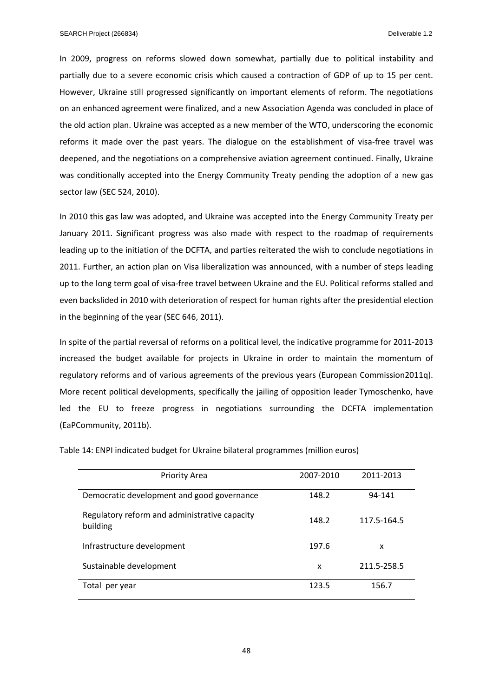In 2009, progress on reforms slowed down somewhat, partially due to political instability and partially due to a severe economic crisis which caused a contraction of GDP of up to 15 per cent. However, Ukraine still progressed significantly on important elements of reform. The negotiations on an enhanced agreement were finalized, and a new Association Agenda was concluded in place of the old action plan. Ukraine was accepted as a new member of the WTO, underscoring the economic reforms it made over the past years. The dialogue on the establishment of visa-free travel was deepened, and the negotiations on a comprehensive aviation agreement continued. Finally, Ukraine was conditionally accepted into the Energy Community Treaty pending the adoption of a new gas sector law (SEC 524, 2010).

In 2010 this gas law was adopted, and Ukraine was accepted into the Energy Community Treaty per January 2011. Significant progress was also made with respect to the roadmap of requirements leading up to the initiation of the DCFTA, and parties reiterated the wish to conclude negotiations in 2011. Further, an action plan on Visa liberalization was announced, with a number of steps leading up to the long term goal of visa‐free travel between Ukraine and the EU. Political reforms stalled and even backslided in 2010 with deterioration of respect for human rights after the presidential election in the beginning of the year (SEC 646, 2011).

In spite of the partial reversal of reforms on a political level, the indicative programme for 2011‐2013 increased the budget available for projects in Ukraine in order to maintain the momentum of regulatory reforms and of various agreements of the previous years (European Commission2011q). More recent political developments, specifically the jailing of opposition leader Tymoschenko, have led the EU to freeze progress in negotiations surrounding the DCFTA implementation (EaPCommunity, 2011b).

| <b>Priority Area</b>                                      | 2007-2010 | 2011-2013   |
|-----------------------------------------------------------|-----------|-------------|
| Democratic development and good governance                | 148.2     | 94-141      |
| Regulatory reform and administrative capacity<br>building | 148.2     | 117.5-164.5 |
| Infrastructure development                                | 197.6     | x           |
| Sustainable development                                   | x         | 211.5-258.5 |
| Total per year                                            | 123.5     | 156.7       |

Table 14: ENPI indicated budget for Ukraine bilateral programmes (million euros)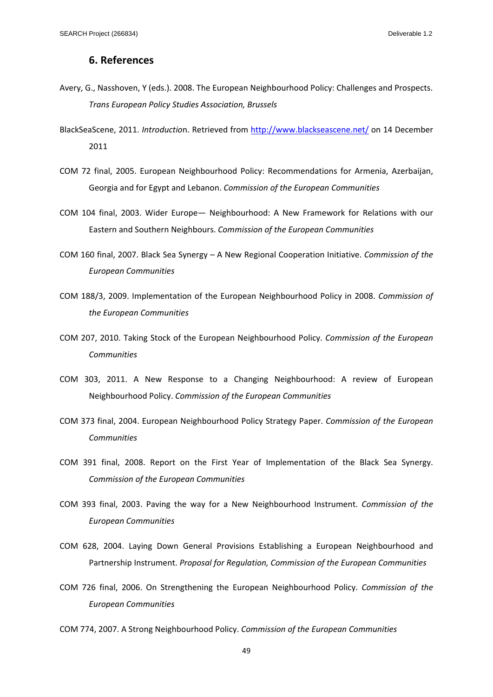## **6. References**

- Avery, G., Nasshoven, Y (eds.). 2008. The European Neighbourhood Policy: Challenges and Prospects. *Trans European Policy Studies Association, Brussels*
- BlackSeaScene, 2011. *Introductio*n. Retrieved from http://www.blackseascene.net/ on 14 December 2011
- COM 72 final, 2005. European Neighbourhood Policy: Recommendations for Armenia, Azerbaijan, Georgia and for Egypt and Lebanon. *Commission of the European Communities*
- COM 104 final, 2003. Wider Europe— Neighbourhood: A New Framework for Relations with our Eastern and Southern Neighbours. *Commission of the European Communities*
- COM 160 final, 2007. Black Sea Synergy A New Regional Cooperation Initiative. *Commission of the European Communities*
- COM 188/3, 2009. Implementation of the European Neighbourhood Policy in 2008. *Commission of the European Communities*
- COM 207, 2010. Taking Stock of the European Neighbourhood Policy. *Commission of the European Communities*
- COM 303, 2011. A New Response to a Changing Neighbourhood: A review of European Neighbourhood Policy. *Commission of the European Communities*
- COM 373 final, 2004. European Neighbourhood Policy Strategy Paper. *Commission of the European Communities*
- COM 391 final, 2008. Report on the First Year of Implementation of the Black Sea Synergy. *Commission of the European Communities*
- COM 393 final, 2003. Paving the way for a New Neighbourhood Instrument. *Commission of the European Communities*
- COM 628, 2004. Laying Down General Provisions Establishing a European Neighbourhood and Partnership Instrument. *Proposal for Regulation, Commission of the European Communities*
- COM 726 final, 2006. On Strengthening the European Neighbourhood Policy. *Commission of the European Communities*
- COM 774, 2007. A Strong Neighbourhood Policy. *Commission of the European Communities*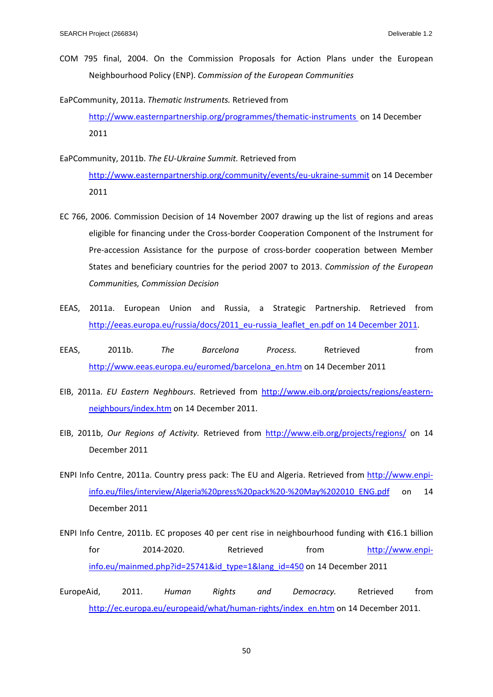COM 795 final, 2004. On the Commission Proposals for Action Plans under the European Neighbourhood Policy (ENP). *Commission of the European Communities*

EaPCommunity, 2011a. *Thematic Instruments.* Retrieved from http://www.easternpartnership.org/programmes/thematic-instruments on 14 December 2011

EaPCommunity, 2011b. *The EU‐Ukraine Summit.* Retrieved from

http://www.easternpartnership.org/community/events/eu‐ukraine‐summit on 14 December 2011

- EC 766, 2006. Commission Decision of 14 November 2007 drawing up the list of regions and areas eligible for financing under the Cross-border Cooperation Component of the Instrument for Pre‐accession Assistance for the purpose of cross‐border cooperation between Member States and beneficiary countries for the period 2007 to 2013. *Commission of the European Communities, Commission Decision*
- EEAS, 2011a. European Union and Russia, a Strategic Partnership. Retrieved from http://eeas.europa.eu/russia/docs/2011\_eu-russia\_leaflet\_en.pdf on 14 December 2011.
- EEAS, 2011b. *The Barcelona Process.* Retrieved from http://www.eeas.europa.eu/euromed/barcelona\_en.htm on 14 December 2011
- EIB, 2011a. *EU Eastern Neghbours*. Retrieved from http://www.eib.org/projects/regions/eastern‐ neighbours/index.htm on 14 December 2011.
- EIB, 2011b, *Our Regions of Activity.* Retrieved from http://www.eib.org/projects/regions/ on 14 December 2011
- ENPI Info Centre, 2011a. Country press pack: The EU and Algeria. Retrieved from http://www.enpiinfo.eu/files/interview/Algeria%20press%20pack%20‐%20May%202010\_ENG.pdf on 14 December 2011

ENPI Info Centre, 2011b. EC proposes 40 per cent rise in neighbourhood funding with €16.1 billion for 2014‐2020. Retrieved from http://www.enpiinfo.eu/mainmed.php?id=25741&id\_type=1&lang\_id=450 on 14 December 2011

EuropeAid, 2011. *Human Rights and Democracy.* Retrieved from http://ec.europa.eu/europeaid/what/human-rights/index\_en.htm on 14 December 2011.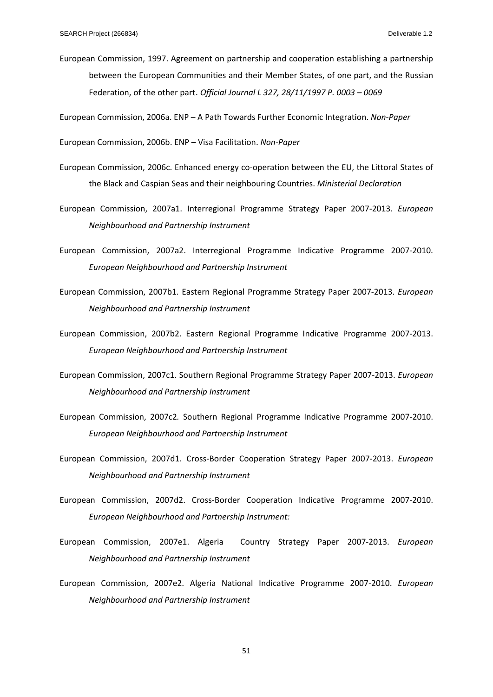European Commission, 1997. Agreement on partnership and cooperation establishing a partnership between the European Communities and their Member States, of one part, and the Russian Federation, of the other part. *Official Journal L 327, 28/11/1997 P. 0003 – 0069* 

European Commission, 2006a. ENP – A Path Towards Further Economic Integration. *Non‐Paper*

European Commission, 2006b. ENP – Visa Facilitation. *Non‐Paper*

- European Commission, 2006c. Enhanced energy co-operation between the EU, the Littoral States of the Black and Caspian Seas and their neighbouring Countries. *Ministerial Declaration*
- European Commission, 2007a1. Interregional Programme Strategy Paper 2007‐2013. *European Neighbourhood and Partnership Instrument*
- European Commission, 2007a2. Interregional Programme Indicative Programme 2007‐2010. *European Neighbourhood and Partnership Instrument*
- European Commission, 2007b1. Eastern Regional Programme Strategy Paper 2007‐2013. *European Neighbourhood and Partnership Instrument*
- European Commission, 2007b2. Eastern Regional Programme Indicative Programme 2007‐2013. *European Neighbourhood and Partnership Instrument*
- European Commission, 2007c1. Southern Regional Programme Strategy Paper 2007‐2013. *European Neighbourhood and Partnership Instrument*
- European Commission, 2007c2*.* Southern Regional Programme Indicative Programme 2007‐2010. *European Neighbourhood and Partnership Instrument*
- European Commission, 2007d1. Cross‐Border Cooperation Strategy Paper 2007‐2013. *European Neighbourhood and Partnership Instrument*
- European Commission, 2007d2. Cross‐Border Cooperation Indicative Programme 2007‐2010. *European Neighbourhood and Partnership Instrument:*
- European Commission, 2007e1. Algeria Country Strategy Paper 2007‐2013. *European Neighbourhood and Partnership Instrument*
- European Commission, 2007e2. Algeria National Indicative Programme 2007‐2010. *European Neighbourhood and Partnership Instrument*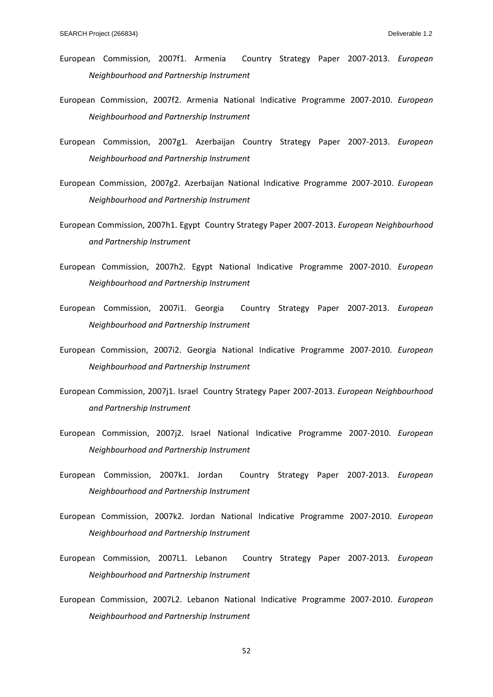- European Commission, 2007f1. Armenia Country Strategy Paper 2007‐2013. *European Neighbourhood and Partnership Instrument*
- European Commission, 2007f2. Armenia National Indicative Programme 2007‐2010. *European Neighbourhood and Partnership Instrument*
- European Commission, 2007g1. Azerbaijan Country Strategy Paper 2007‐2013. *European Neighbourhood and Partnership Instrument*
- European Commission, 2007g2. Azerbaijan National Indicative Programme 2007‐2010. *European Neighbourhood and Partnership Instrument*
- European Commission, 2007h1. Egypt Country Strategy Paper 2007‐2013. *European Neighbourhood and Partnership Instrument*
- European Commission, 2007h2. Egypt National Indicative Programme 2007‐2010. *European Neighbourhood and Partnership Instrument*
- European Commission, 2007i1. Georgia Country Strategy Paper 2007‐2013. *European Neighbourhood and Partnership Instrument*
- European Commission, 2007i2. Georgia National Indicative Programme 2007‐2010. *European Neighbourhood and Partnership Instrument*
- European Commission, 2007j1. Israel Country Strategy Paper 2007‐2013. *European Neighbourhood and Partnership Instrument*
- European Commission, 2007j2. Israel National Indicative Programme 2007‐2010. *European Neighbourhood and Partnership Instrument*
- European Commission, 2007k1. Jordan Country Strategy Paper 2007‐2013. *European Neighbourhood and Partnership Instrument*
- European Commission, 2007k2. Jordan National Indicative Programme 2007‐2010. *European Neighbourhood and Partnership Instrument*
- European Commission, 2007L1. Lebanon Country Strategy Paper 2007‐2013. *European Neighbourhood and Partnership Instrument*
- European Commission, 2007L2. Lebanon National Indicative Programme 2007‐2010. *European Neighbourhood and Partnership Instrument*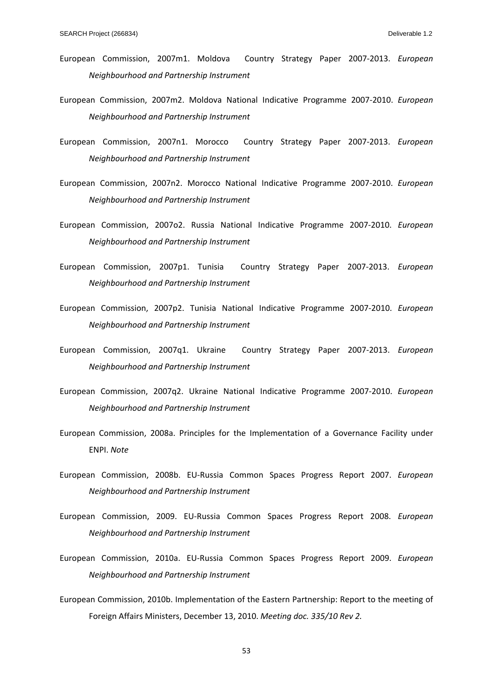- European Commission, 2007m1. Moldova Country Strategy Paper 2007‐2013. *European Neighbourhood and Partnership Instrument*
- European Commission, 2007m2. Moldova National Indicative Programme 2007‐2010. *European Neighbourhood and Partnership Instrument*
- European Commission, 2007n1. Morocco Country Strategy Paper 2007‐2013. *European Neighbourhood and Partnership Instrument*
- European Commission, 2007n2. Morocco National Indicative Programme 2007‐2010. *European Neighbourhood and Partnership Instrument*
- European Commission, 2007o2. Russia National Indicative Programme 2007‐2010. *European Neighbourhood and Partnership Instrument*
- European Commission, 2007p1. Tunisia Country Strategy Paper 2007‐2013. *European Neighbourhood and Partnership Instrument*
- European Commission, 2007p2. Tunisia National Indicative Programme 2007‐2010. *European Neighbourhood and Partnership Instrument*
- European Commission, 2007q1. Ukraine Country Strategy Paper 2007‐2013. *European Neighbourhood and Partnership Instrument*
- European Commission, 2007q2. Ukraine National Indicative Programme 2007‐2010. *European Neighbourhood and Partnership Instrument*
- European Commission, 2008a. Principles for the Implementation of a Governance Facility under ENPI. *Note*
- European Commission, 2008b. EU‐Russia Common Spaces Progress Report 2007. *European Neighbourhood and Partnership Instrument*
- European Commission, 2009. EU‐Russia Common Spaces Progress Report 2008. *European Neighbourhood and Partnership Instrument*
- European Commission, 2010a. EU‐Russia Common Spaces Progress Report 2009. *European Neighbourhood and Partnership Instrument*
- European Commission, 2010b. Implementation of the Eastern Partnership: Report to the meeting of Foreign Affairs Ministers, December 13, 2010. *Meeting doc. 335/10 Rev 2.*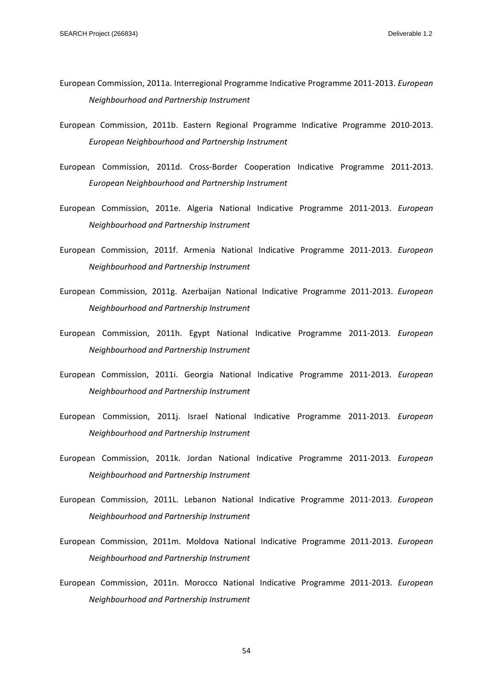- European Commission, 2011a. Interregional Programme Indicative Programme 2011‐2013. *European Neighbourhood and Partnership Instrument*
- European Commission, 2011b. Eastern Regional Programme Indicative Programme 2010‐2013. *European Neighbourhood and Partnership Instrument*
- European Commission, 2011d. Cross‐Border Cooperation Indicative Programme 2011‐2013. *European Neighbourhood and Partnership Instrument*
- European Commission, 2011e. Algeria National Indicative Programme 2011‐2013. *European Neighbourhood and Partnership Instrument*
- European Commission, 2011f. Armenia National Indicative Programme 2011‐2013. *European Neighbourhood and Partnership Instrument*
- European Commission, 2011g. Azerbaijan National Indicative Programme 2011‐2013. *European Neighbourhood and Partnership Instrument*
- European Commission, 2011h. Egypt National Indicative Programme 2011‐2013. *European Neighbourhood and Partnership Instrument*
- European Commission, 2011i. Georgia National Indicative Programme 2011‐2013. *European Neighbourhood and Partnership Instrument*
- European Commission, 2011j. Israel National Indicative Programme 2011‐2013. *European Neighbourhood and Partnership Instrument*
- European Commission, 2011k. Jordan National Indicative Programme 2011‐2013. *European Neighbourhood and Partnership Instrument*
- European Commission, 2011L. Lebanon National Indicative Programme 2011‐2013. *European Neighbourhood and Partnership Instrument*
- European Commission, 2011m. Moldova National Indicative Programme 2011‐2013. *European Neighbourhood and Partnership Instrument*
- European Commission, 2011n. Morocco National Indicative Programme 2011‐2013. *European Neighbourhood and Partnership Instrument*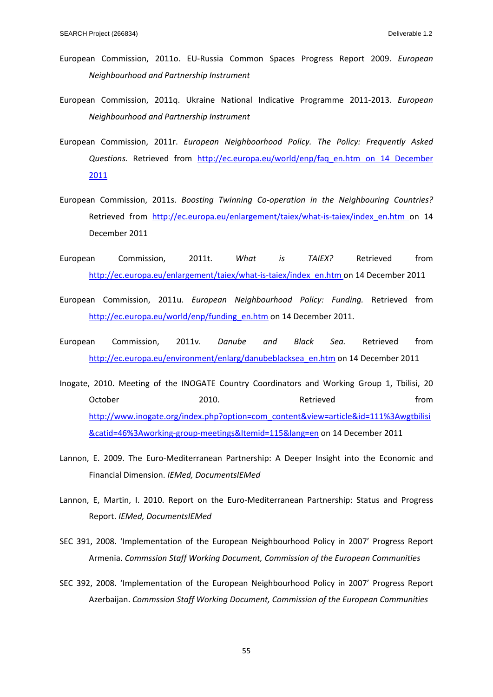- European Commission, 2011o. EU‐Russia Common Spaces Progress Report 2009. *European Neighbourhood and Partnership Instrument*
- European Commission, 2011q. Ukraine National Indicative Programme 2011‐2013. *European Neighbourhood and Partnership Instrument*
- European Commission, 2011r. *European Neighboorhood Policy. The Policy: Frequently Asked Questions.* Retrieved from http://ec.europa.eu/world/enp/faq\_en.htm on 14 December 2011
- European Commission, 2011s. *Boosting Twinning Co‐operation in the Neighbouring Countries?* Retrieved from http://ec.europa.eu/enlargement/taiex/what-is-taiex/index en.htm on 14 December 2011
- European Commission, 2011t. *What is TAIEX?* Retrieved from http://ec.europa.eu/enlargement/taiex/what-is-taiex/index\_en.htm on 14 December 2011
- European Commission, 2011u. *European Neighbourhood Policy: Funding.* Retrieved from http://ec.europa.eu/world/enp/funding\_en.htm on 14 December 2011.
- European Commission, 2011v. *Danube and Black Sea.* Retrieved from http://ec.europa.eu/environment/enlarg/danubeblacksea\_en.htm on 14 December 2011
- Inogate, 2010. Meeting of the INOGATE Country Coordinators and Working Group 1, Tbilisi, 20 October 2010. 2010. Retrieved From http://www.inogate.org/index.php?option=com\_content&view=article&id=111%3Awgtbilisi &catid=46%3Aworking‐group‐meetings&Itemid=115&lang=en on 14 December 2011
- Lannon, E. 2009. The Euro-Mediterranean Partnership: A Deeper Insight into the Economic and Financial Dimension. *IEMed, DocumentsIEMed*
- Lannon, E, Martin, I. 2010. Report on the Euro-Mediterranean Partnership: Status and Progress Report. *IEMed, DocumentsIEMed*
- SEC 391, 2008. 'Implementation of the European Neighbourhood Policy in 2007' Progress Report Armenia. *Commssion Staff Working Document, Commission of the European Communities*
- SEC 392, 2008. 'Implementation of the European Neighbourhood Policy in 2007' Progress Report Azerbaijan. *Commssion Staff Working Document, Commission of the European Communities*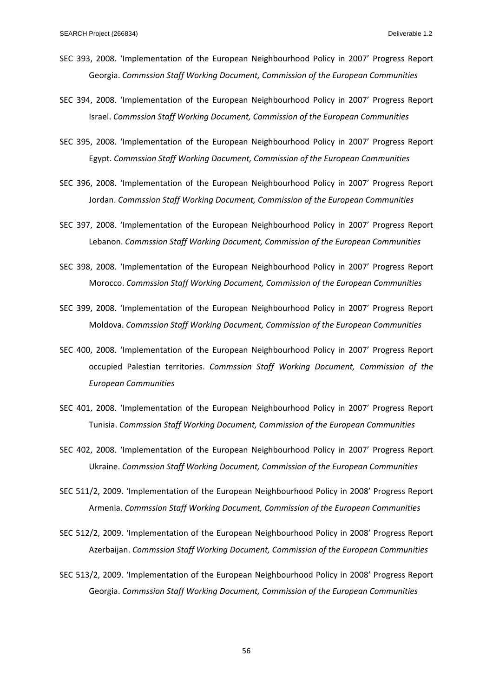- SEC 393, 2008. 'Implementation of the European Neighbourhood Policy in 2007' Progress Report Georgia. *Commssion Staff Working Document, Commission of the European Communities*
- SEC 394, 2008. 'Implementation of the European Neighbourhood Policy in 2007' Progress Report Israel. *Commssion Staff Working Document, Commission of the European Communities*
- SEC 395, 2008. 'Implementation of the European Neighbourhood Policy in 2007' Progress Report Egypt. *Commssion Staff Working Document, Commission of the European Communities*
- SEC 396, 2008. 'Implementation of the European Neighbourhood Policy in 2007' Progress Report Jordan. *Commssion Staff Working Document, Commission of the European Communities*
- SEC 397, 2008. 'Implementation of the European Neighbourhood Policy in 2007' Progress Report Lebanon. *Commssion Staff Working Document, Commission of the European Communities*
- SEC 398, 2008. 'Implementation of the European Neighbourhood Policy in 2007' Progress Report Morocco. *Commssion Staff Working Document, Commission of the European Communities*
- SEC 399, 2008. 'Implementation of the European Neighbourhood Policy in 2007' Progress Report Moldova. *Commssion Staff Working Document, Commission of the European Communities*
- SEC 400, 2008. 'Implementation of the European Neighbourhood Policy in 2007' Progress Report occupied Palestian territories. *Commssion Staff Working Document, Commission of the European Communities*
- SEC 401, 2008. 'Implementation of the European Neighbourhood Policy in 2007' Progress Report Tunisia. *Commssion Staff Working Document, Commission of the European Communities*
- SEC 402, 2008. 'Implementation of the European Neighbourhood Policy in 2007' Progress Report Ukraine. *Commssion Staff Working Document, Commission of the European Communities*
- SEC 511/2, 2009. 'Implementation of the European Neighbourhood Policy in 2008' Progress Report Armenia. *Commssion Staff Working Document, Commission of the European Communities*
- SEC 512/2, 2009. 'Implementation of the European Neighbourhood Policy in 2008' Progress Report Azerbaijan. *Commssion Staff Working Document, Commission of the European Communities*
- SEC 513/2, 2009. 'Implementation of the European Neighbourhood Policy in 2008' Progress Report Georgia. *Commssion Staff Working Document, Commission of the European Communities*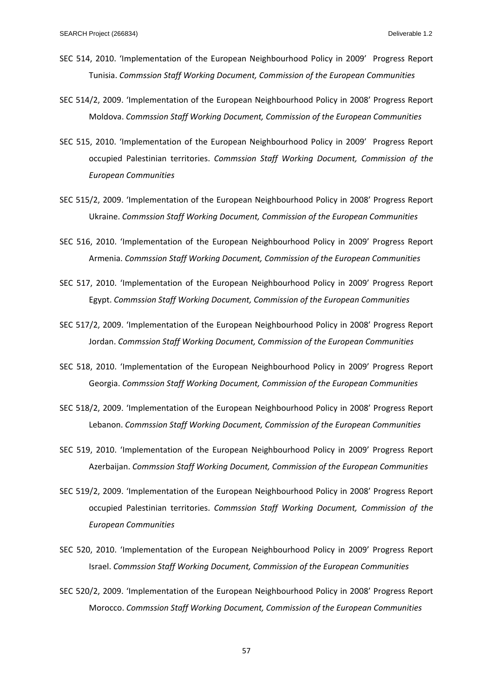- SEC 514, 2010. 'Implementation of the European Neighbourhood Policy in 2009' Progress Report Tunisia. *Commssion Staff Working Document, Commission of the European Communities*
- SEC 514/2, 2009. 'Implementation of the European Neighbourhood Policy in 2008' Progress Report Moldova. *Commssion Staff Working Document, Commission of the European Communities*
- SEC 515, 2010. 'Implementation of the European Neighbourhood Policy in 2009' Progress Report occupied Palestinian territories. *Commssion Staff Working Document, Commission of the European Communities*
- SEC 515/2, 2009. 'Implementation of the European Neighbourhood Policy in 2008' Progress Report Ukraine. *Commssion Staff Working Document, Commission of the European Communities*
- SEC 516, 2010. 'Implementation of the European Neighbourhood Policy in 2009' Progress Report Armenia. *Commssion Staff Working Document, Commission of the European Communities*
- SEC 517, 2010. 'Implementation of the European Neighbourhood Policy in 2009' Progress Report Egypt. *Commssion Staff Working Document, Commission of the European Communities*
- SEC 517/2, 2009. 'Implementation of the European Neighbourhood Policy in 2008' Progress Report Jordan. *Commssion Staff Working Document, Commission of the European Communities*
- SEC 518, 2010. 'Implementation of the European Neighbourhood Policy in 2009' Progress Report Georgia. *Commssion Staff Working Document, Commission of the European Communities*
- SEC 518/2, 2009. 'Implementation of the European Neighbourhood Policy in 2008' Progress Report Lebanon. *Commssion Staff Working Document, Commission of the European Communities*
- SEC 519, 2010. 'Implementation of the European Neighbourhood Policy in 2009' Progress Report Azerbaijan. *Commssion Staff Working Document, Commission of the European Communities*
- SEC 519/2, 2009. 'Implementation of the European Neighbourhood Policy in 2008' Progress Report occupied Palestinian territories. *Commssion Staff Working Document, Commission of the European Communities*
- SEC 520, 2010. 'Implementation of the European Neighbourhood Policy in 2009' Progress Report Israel. *Commssion Staff Working Document, Commission of the European Communities*
- SEC 520/2, 2009. 'Implementation of the European Neighbourhood Policy in 2008' Progress Report Morocco. *Commssion Staff Working Document, Commission of the European Communities*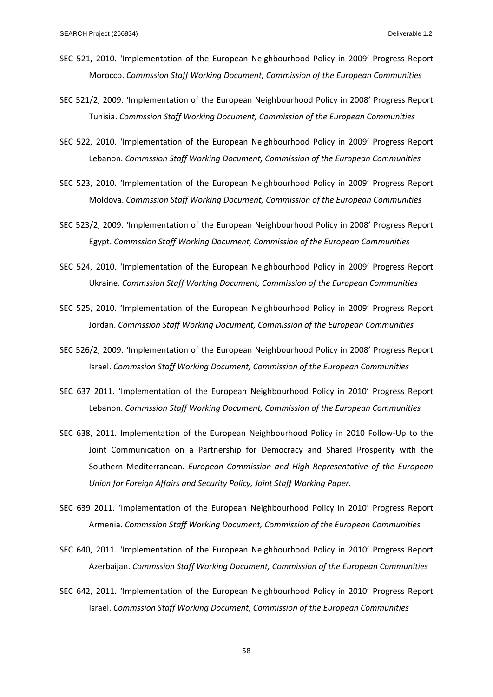- SEC 521, 2010. 'Implementation of the European Neighbourhood Policy in 2009' Progress Report Morocco. *Commssion Staff Working Document, Commission of the European Communities*
- SEC 521/2, 2009. 'Implementation of the European Neighbourhood Policy in 2008' Progress Report Tunisia. *Commssion Staff Working Document, Commission of the European Communities*
- SEC 522, 2010. 'Implementation of the European Neighbourhood Policy in 2009' Progress Report Lebanon. *Commssion Staff Working Document, Commission of the European Communities*
- SEC 523, 2010. 'Implementation of the European Neighbourhood Policy in 2009' Progress Report Moldova. *Commssion Staff Working Document, Commission of the European Communities*
- SEC 523/2, 2009. 'Implementation of the European Neighbourhood Policy in 2008' Progress Report Egypt. *Commssion Staff Working Document, Commission of the European Communities*
- SEC 524, 2010. 'Implementation of the European Neighbourhood Policy in 2009' Progress Report Ukraine. *Commssion Staff Working Document, Commission of the European Communities*
- SEC 525, 2010. 'Implementation of the European Neighbourhood Policy in 2009' Progress Report Jordan. *Commssion Staff Working Document, Commission of the European Communities*
- SEC 526/2, 2009. 'Implementation of the European Neighbourhood Policy in 2008' Progress Report Israel. *Commssion Staff Working Document, Commission of the European Communities*
- SEC 637 2011. 'Implementation of the European Neighbourhood Policy in 2010' Progress Report Lebanon. *Commssion Staff Working Document, Commission of the European Communities*
- SEC 638, 2011. Implementation of the European Neighbourhood Policy in 2010 Follow‐Up to the Joint Communication on a Partnership for Democracy and Shared Prosperity with the Southern Mediterranean. *European Commission and High Representative of the European Union for Foreign Affairs and Security Policy, Joint Staff Working Paper.*
- SEC 639 2011. 'Implementation of the European Neighbourhood Policy in 2010' Progress Report Armenia. *Commssion Staff Working Document, Commission of the European Communities*
- SEC 640, 2011. 'Implementation of the European Neighbourhood Policy in 2010' Progress Report Azerbaijan. *Commssion Staff Working Document, Commission of the European Communities*
- SEC 642, 2011. 'Implementation of the European Neighbourhood Policy in 2010' Progress Report Israel. *Commssion Staff Working Document, Commission of the European Communities*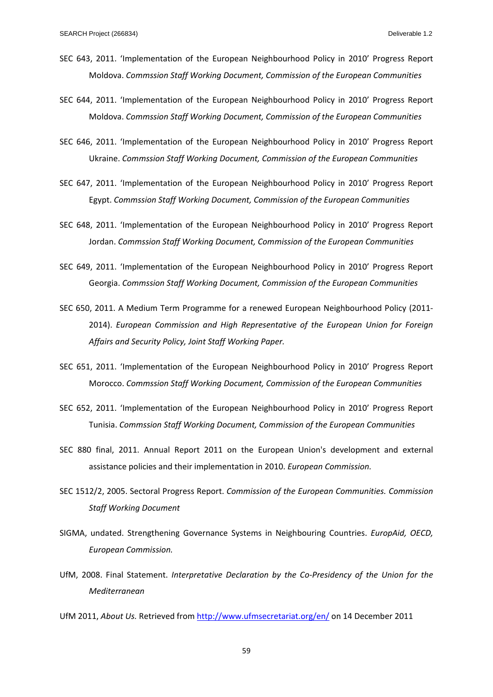- SEC 643, 2011. 'Implementation of the European Neighbourhood Policy in 2010' Progress Report Moldova. *Commssion Staff Working Document, Commission of the European Communities*
- SEC 644, 2011. 'Implementation of the European Neighbourhood Policy in 2010' Progress Report Moldova. *Commssion Staff Working Document, Commission of the European Communities*
- SEC 646, 2011. 'Implementation of the European Neighbourhood Policy in 2010' Progress Report Ukraine. *Commssion Staff Working Document, Commission of the European Communities*
- SEC 647, 2011. 'Implementation of the European Neighbourhood Policy in 2010' Progress Report Egypt. *Commssion Staff Working Document, Commission of the European Communities*
- SEC 648, 2011. 'Implementation of the European Neighbourhood Policy in 2010' Progress Report Jordan. *Commssion Staff Working Document, Commission of the European Communities*
- SEC 649, 2011. 'Implementation of the European Neighbourhood Policy in 2010' Progress Report Georgia. *Commssion Staff Working Document, Commission of the European Communities*
- SEC 650, 2011. A Medium Term Programme for a renewed European Neighbourhood Policy (2011‐ 2014). *European Commission and High Representative of the European Union for Foreign Affairs and Security Policy, Joint Staff Working Paper.*
- SEC 651, 2011. 'Implementation of the European Neighbourhood Policy in 2010' Progress Report Morocco. *Commssion Staff Working Document, Commission of the European Communities*
- SEC 652, 2011. 'Implementation of the European Neighbourhood Policy in 2010' Progress Report Tunisia. *Commssion Staff Working Document, Commission of the European Communities*
- SEC 880 final, 2011. Annual Report 2011 on the European Union's development and external assistance policies and their implementation in 2010. *European Commission.*
- SEC 1512/2, 2005. Sectoral Progress Report. *Commission of the European Communities. Commission Staff Working Document*
- SIGMA, undated. Strengthening Governance Systems in Neighbouring Countries. *EuropAid, OECD, European Commission.*
- UfM, 2008. Final Statement. *Interpretative Declaration by the Co‐Presidency of the Union for the Mediterranean*
- UfM 2011, *About Us.* Retrieved from http://www.ufmsecretariat.org/en/ on 14 December 2011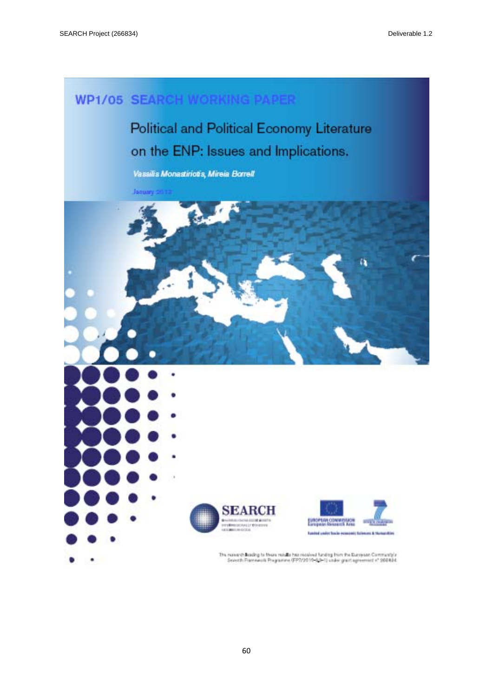## **WP1/05 SEARCH WORKING PAPER**

Political and Political Economy Literature on the ENP: Issues and Implications.

Vassilis Monastiriotis, Mireia Borrell

January 2012





**UI COMMISSION**<br>CRENAULT AVEC ad under the in account this area in the

The nanesth Beading to these notalls has received funding from the European Community's Seventh Framework Programme (FP3/2010-3:0-1) under grant agreement e" 200804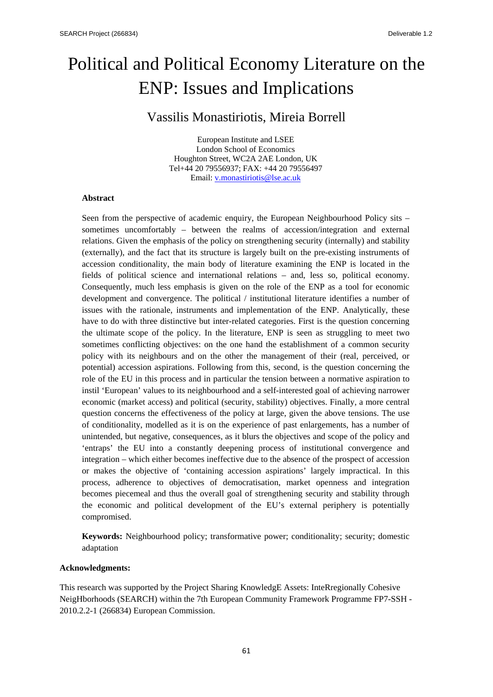# Political and Political Economy Literature on the ENP: Issues and Implications

## Vassilis Monastiriotis, Mireia Borrell

European Institute and LSEE London School of Economics Houghton Street, WC2A 2AE London, UK Tel+44 20 79556937; FAX: +44 20 79556497 Email: v.monastiriotis@lse.ac.uk

## **Abstract**

Seen from the perspective of academic enquiry, the European Neighbourhood Policy sits – sometimes uncomfortably – between the realms of accession/integration and external relations. Given the emphasis of the policy on strengthening security (internally) and stability (externally), and the fact that its structure is largely built on the pre-existing instruments of accession conditionality, the main body of literature examining the ENP is located in the fields of political science and international relations – and, less so, political economy. Consequently, much less emphasis is given on the role of the ENP as a tool for economic development and convergence. The political / institutional literature identifies a number of issues with the rationale, instruments and implementation of the ENP. Analytically, these have to do with three distinctive but inter-related categories. First is the question concerning the ultimate scope of the policy. In the literature, ENP is seen as struggling to meet two sometimes conflicting objectives: on the one hand the establishment of a common security policy with its neighbours and on the other the management of their (real, perceived, or potential) accession aspirations. Following from this, second, is the question concerning the role of the EU in this process and in particular the tension between a normative aspiration to instil 'European' values to its neighbourhood and a self-interested goal of achieving narrower economic (market access) and political (security, stability) objectives. Finally, a more central question concerns the effectiveness of the policy at large, given the above tensions. The use of conditionality, modelled as it is on the experience of past enlargements, has a number of unintended, but negative, consequences, as it blurs the objectives and scope of the policy and 'entraps' the EU into a constantly deepening process of institutional convergence and integration – which either becomes ineffective due to the absence of the prospect of accession or makes the objective of 'containing accession aspirations' largely impractical. In this process, adherence to objectives of democratisation, market openness and integration becomes piecemeal and thus the overall goal of strengthening security and stability through the economic and political development of the EU's external periphery is potentially compromised.

**Keywords:** Neighbourhood policy; transformative power; conditionality; security; domestic adaptation

## **Acknowledgments:**

This research was supported by the Project Sharing KnowledgE Assets: InteRregionally Cohesive NeigHborhoods (SEARCH) within the 7th European Community Framework Programme FP7-SSH - 2010.2.2-1 (266834) European Commission.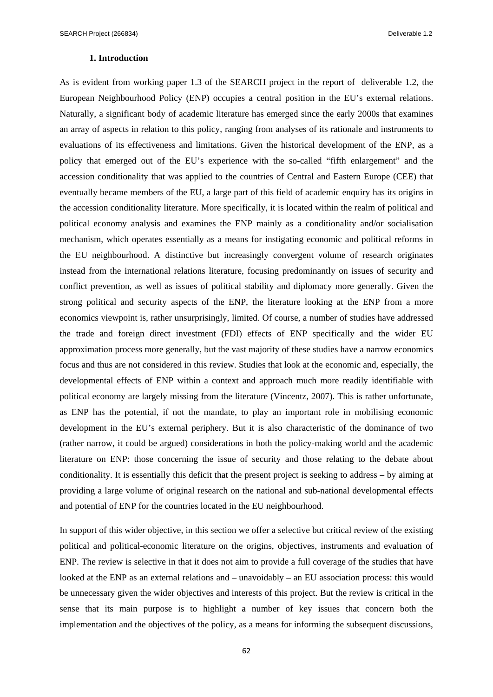## **1. Introduction**

As is evident from working paper 1.3 of the SEARCH project in the report of deliverable 1.2, the European Neighbourhood Policy (ENP) occupies a central position in the EU's external relations. Naturally, a significant body of academic literature has emerged since the early 2000s that examines an array of aspects in relation to this policy, ranging from analyses of its rationale and instruments to evaluations of its effectiveness and limitations. Given the historical development of the ENP, as a policy that emerged out of the EU's experience with the so-called "fifth enlargement" and the accession conditionality that was applied to the countries of Central and Eastern Europe (CEE) that eventually became members of the EU, a large part of this field of academic enquiry has its origins in the accession conditionality literature. More specifically, it is located within the realm of political and political economy analysis and examines the ENP mainly as a conditionality and/or socialisation mechanism, which operates essentially as a means for instigating economic and political reforms in the EU neighbourhood. A distinctive but increasingly convergent volume of research originates instead from the international relations literature, focusing predominantly on issues of security and conflict prevention, as well as issues of political stability and diplomacy more generally. Given the strong political and security aspects of the ENP, the literature looking at the ENP from a more economics viewpoint is, rather unsurprisingly, limited. Of course, a number of studies have addressed the trade and foreign direct investment (FDI) effects of ENP specifically and the wider EU approximation process more generally, but the vast majority of these studies have a narrow economics focus and thus are not considered in this review. Studies that look at the economic and, especially, the developmental effects of ENP within a context and approach much more readily identifiable with political economy are largely missing from the literature (Vincentz, 2007). This is rather unfortunate, as ENP has the potential, if not the mandate, to play an important role in mobilising economic development in the EU's external periphery. But it is also characteristic of the dominance of two (rather narrow, it could be argued) considerations in both the policy-making world and the academic literature on ENP: those concerning the issue of security and those relating to the debate about conditionality. It is essentially this deficit that the present project is seeking to address – by aiming at providing a large volume of original research on the national and sub-national developmental effects and potential of ENP for the countries located in the EU neighbourhood.

In support of this wider objective, in this section we offer a selective but critical review of the existing political and political-economic literature on the origins, objectives, instruments and evaluation of ENP. The review is selective in that it does not aim to provide a full coverage of the studies that have looked at the ENP as an external relations and – unavoidably – an EU association process: this would be unnecessary given the wider objectives and interests of this project. But the review is critical in the sense that its main purpose is to highlight a number of key issues that concern both the implementation and the objectives of the policy, as a means for informing the subsequent discussions,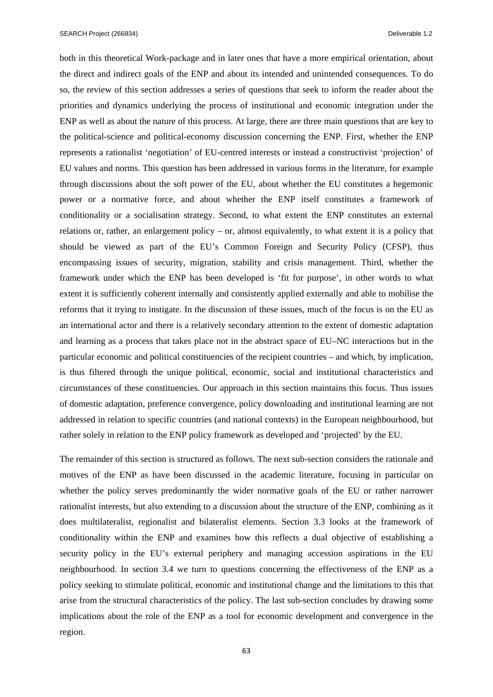SEARCH Project (266834) Deliverable 1.2

both in this theoretical Work-package and in later ones that have a more empirical orientation, about the direct and indirect goals of the ENP and about its intended and unintended consequences. To do so, the review of this section addresses a series of questions that seek to inform the reader about the priorities and dynamics underlying the process of institutional and economic integration under the ENP as well as about the nature of this process. At large, there are three main questions that are key to the political-science and political-economy discussion concerning the ENP. First, whether the ENP represents a rationalist 'negotiation' of EU-centred interests or instead a constructivist 'projection' of EU values and norms. This question has been addressed in various forms in the literature, for example through discussions about the soft power of the EU, about whether the EU constitutes a hegemonic power or a normative force, and about whether the ENP itself constitutes a framework of conditionality or a socialisation strategy. Second, to what extent the ENP constitutes an external relations or, rather, an enlargement policy – or, almost equivalently, to what extent it is a policy that should be viewed as part of the EU's Common Foreign and Security Policy (CFSP), thus encompassing issues of security, migration, stability and crisis management. Third, whether the framework under which the ENP has been developed is 'fit for purpose', in other words to what extent it is sufficiently coherent internally and consistently applied externally and able to mobilise the reforms that it trying to instigate. In the discussion of these issues, much of the focus is on the EU as an international actor and there is a relatively secondary attention to the extent of domestic adaptation and learning as a process that takes place not in the abstract space of EU–NC interactions but in the particular economic and political constituencies of the recipient countries – and which, by implication, is thus filtered through the unique political, economic, social and institutional characteristics and circumstances of these constituencies. Our approach in this section maintains this focus. Thus issues of domestic adaptation, preference convergence, policy downloading and institutional learning are not addressed in relation to specific countries (and national contexts) in the European neighbourhood, but rather solely in relation to the ENP policy framework as developed and 'projected' by the EU.

The remainder of this section is structured as follows. The next sub-section considers the rationale and motives of the ENP as have been discussed in the academic literature, focusing in particular on whether the policy serves predominantly the wider normative goals of the EU or rather narrower rationalist interests, but also extending to a discussion about the structure of the ENP, combining as it does multilateralist, regionalist and bilateralist elements. Section 3.3 looks at the framework of conditionality within the ENP and examines how this reflects a dual objective of establishing a security policy in the EU's external periphery and managing accession aspirations in the EU neighbourhood. In section 3.4 we turn to questions concerning the effectiveness of the ENP as a policy seeking to stimulate political, economic and institutional change and the limitations to this that arise from the structural characteristics of the policy. The last sub-section concludes by drawing some implications about the role of the ENP as a tool for economic development and convergence in the region.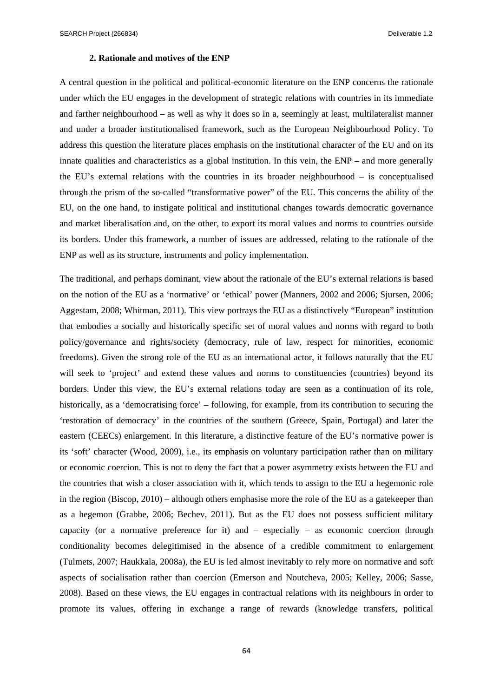SEARCH Project (266834) Deliverable 1.2

## **2. Rationale and motives of the ENP**

A central question in the political and political-economic literature on the ENP concerns the rationale under which the EU engages in the development of strategic relations with countries in its immediate and farther neighbourhood – as well as why it does so in a, seemingly at least, multilateralist manner and under a broader institutionalised framework, such as the European Neighbourhood Policy. To address this question the literature places emphasis on the institutional character of the EU and on its innate qualities and characteristics as a global institution. In this vein, the ENP – and more generally the EU's external relations with the countries in its broader neighbourhood – is conceptualised through the prism of the so-called "transformative power" of the EU. This concerns the ability of the EU, on the one hand, to instigate political and institutional changes towards democratic governance and market liberalisation and, on the other, to export its moral values and norms to countries outside its borders. Under this framework, a number of issues are addressed, relating to the rationale of the ENP as well as its structure, instruments and policy implementation.

The traditional, and perhaps dominant, view about the rationale of the EU's external relations is based on the notion of the EU as a 'normative' or 'ethical' power (Manners, 2002 and 2006; Sjursen, 2006; Aggestam, 2008; Whitman, 2011). This view portrays the EU as a distinctively "European" institution that embodies a socially and historically specific set of moral values and norms with regard to both policy/governance and rights/society (democracy, rule of law, respect for minorities, economic freedoms). Given the strong role of the EU as an international actor, it follows naturally that the EU will seek to 'project' and extend these values and norms to constituencies (countries) beyond its borders. Under this view, the EU's external relations today are seen as a continuation of its role, historically, as a 'democratising force' – following, for example, from its contribution to securing the 'restoration of democracy' in the countries of the southern (Greece, Spain, Portugal) and later the eastern (CEECs) enlargement. In this literature, a distinctive feature of the EU's normative power is its 'soft' character (Wood, 2009), i.e., its emphasis on voluntary participation rather than on military or economic coercion. This is not to deny the fact that a power asymmetry exists between the EU and the countries that wish a closer association with it, which tends to assign to the EU a hegemonic role in the region (Biscop, 2010) – although others emphasise more the role of the EU as a gatekeeper than as a hegemon (Grabbe, 2006; Bechev, 2011). But as the EU does not possess sufficient military capacity (or a normative preference for it) and  $-$  especially  $-$  as economic coercion through conditionality becomes delegitimised in the absence of a credible commitment to enlargement (Tulmets, 2007; Haukkala, 2008a), the EU is led almost inevitably to rely more on normative and soft aspects of socialisation rather than coercion (Emerson and Noutcheva, 2005; Kelley, 2006; Sasse, 2008). Based on these views, the EU engages in contractual relations with its neighbours in order to promote its values, offering in exchange a range of rewards (knowledge transfers, political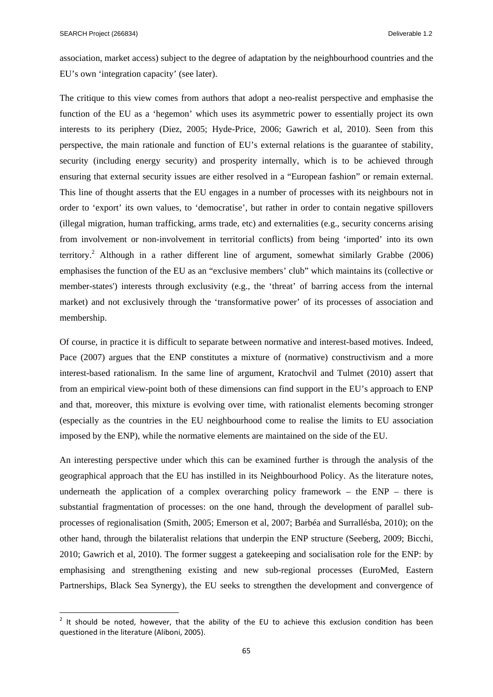association, market access) subject to the degree of adaptation by the neighbourhood countries and the EU's own 'integration capacity' (see later).

The critique to this view comes from authors that adopt a neo-realist perspective and emphasise the function of the EU as a 'hegemon' which uses its asymmetric power to essentially project its own interests to its periphery (Diez, 2005; Hyde-Price, 2006; Gawrich et al, 2010). Seen from this perspective, the main rationale and function of EU's external relations is the guarantee of stability, security (including energy security) and prosperity internally, which is to be achieved through ensuring that external security issues are either resolved in a "European fashion" or remain external. This line of thought asserts that the EU engages in a number of processes with its neighbours not in order to 'export' its own values, to 'democratise', but rather in order to contain negative spillovers (illegal migration, human trafficking, arms trade, etc) and externalities (e.g., security concerns arising from involvement or non-involvement in territorial conflicts) from being 'imported' into its own territory.<sup>2</sup> Although in a rather different line of argument, somewhat similarly Grabbe (2006) emphasises the function of the EU as an "exclusive members' club" which maintains its (collective or member-states') interests through exclusivity (e.g., the 'threat' of barring access from the internal market) and not exclusively through the 'transformative power' of its processes of association and membership.

Of course, in practice it is difficult to separate between normative and interest-based motives. Indeed, Pace (2007) argues that the ENP constitutes a mixture of (normative) constructivism and a more interest-based rationalism. In the same line of argument, Kratochvil and Tulmet (2010) assert that from an empirical view-point both of these dimensions can find support in the EU's approach to ENP and that, moreover, this mixture is evolving over time, with rationalist elements becoming stronger (especially as the countries in the EU neighbourhood come to realise the limits to EU association imposed by the ENP), while the normative elements are maintained on the side of the EU.

An interesting perspective under which this can be examined further is through the analysis of the geographical approach that the EU has instilled in its Neighbourhood Policy. As the literature notes, underneath the application of a complex overarching policy framework – the  $ENP$  – there is substantial fragmentation of processes: on the one hand, through the development of parallel subprocesses of regionalisation (Smith, 2005; Emerson et al, 2007; Barbéa and Surrallésba, 2010); on the other hand, through the bilateralist relations that underpin the ENP structure (Seeberg, 2009; Bicchi, 2010; Gawrich et al, 2010). The former suggest a gatekeeping and socialisation role for the ENP: by emphasising and strengthening existing and new sub-regional processes (EuroMed, Eastern Partnerships, Black Sea Synergy), the EU seeks to strengthen the development and convergence of

 $2$  It should be noted, however, that the ability of the EU to achieve this exclusion condition has been questioned in the literature (Aliboni, 2005).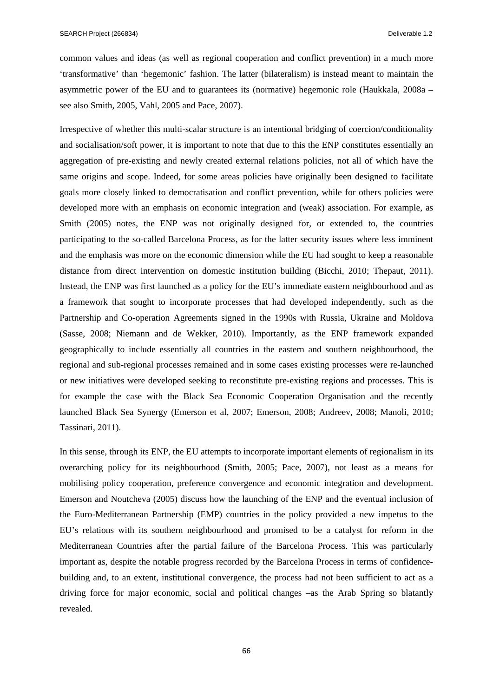common values and ideas (as well as regional cooperation and conflict prevention) in a much more 'transformative' than 'hegemonic' fashion. The latter (bilateralism) is instead meant to maintain the asymmetric power of the EU and to guarantees its (normative) hegemonic role (Haukkala, 2008a – see also Smith, 2005, Vahl, 2005 and Pace, 2007).

Irrespective of whether this multi-scalar structure is an intentional bridging of coercion/conditionality and socialisation/soft power, it is important to note that due to this the ENP constitutes essentially an aggregation of pre-existing and newly created external relations policies, not all of which have the same origins and scope. Indeed, for some areas policies have originally been designed to facilitate goals more closely linked to democratisation and conflict prevention, while for others policies were developed more with an emphasis on economic integration and (weak) association. For example, as Smith (2005) notes, the ENP was not originally designed for, or extended to, the countries participating to the so-called Barcelona Process, as for the latter security issues where less imminent and the emphasis was more on the economic dimension while the EU had sought to keep a reasonable distance from direct intervention on domestic institution building (Bicchi, 2010; Thepaut, 2011). Instead, the ENP was first launched as a policy for the EU's immediate eastern neighbourhood and as a framework that sought to incorporate processes that had developed independently, such as the Partnership and Co-operation Agreements signed in the 1990s with Russia, Ukraine and Moldova (Sasse, 2008; Niemann and de Wekker, 2010). Importantly, as the ENP framework expanded geographically to include essentially all countries in the eastern and southern neighbourhood, the regional and sub-regional processes remained and in some cases existing processes were re-launched or new initiatives were developed seeking to reconstitute pre-existing regions and processes. This is for example the case with the Black Sea Economic Cooperation Organisation and the recently launched Black Sea Synergy (Emerson et al, 2007; Emerson, 2008; Andreev, 2008; Manoli, 2010; Tassinari, 2011).

In this sense, through its ENP, the EU attempts to incorporate important elements of regionalism in its overarching policy for its neighbourhood (Smith, 2005; Pace, 2007), not least as a means for mobilising policy cooperation, preference convergence and economic integration and development. Emerson and Noutcheva (2005) discuss how the launching of the ENP and the eventual inclusion of the Euro-Mediterranean Partnership (EMP) countries in the policy provided a new impetus to the EU's relations with its southern neighbourhood and promised to be a catalyst for reform in the Mediterranean Countries after the partial failure of the Barcelona Process. This was particularly important as, despite the notable progress recorded by the Barcelona Process in terms of confidencebuilding and, to an extent, institutional convergence, the process had not been sufficient to act as a driving force for major economic, social and political changes –as the Arab Spring so blatantly revealed.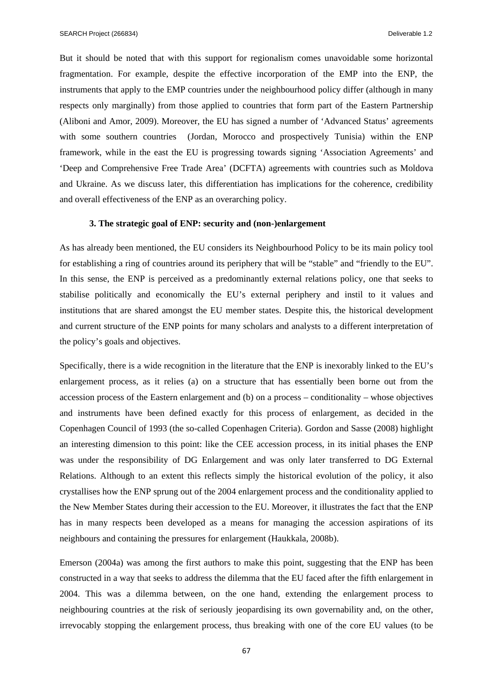SEARCH Project (266834) Deliverable 1.2

But it should be noted that with this support for regionalism comes unavoidable some horizontal fragmentation. For example, despite the effective incorporation of the EMP into the ENP, the instruments that apply to the EMP countries under the neighbourhood policy differ (although in many respects only marginally) from those applied to countries that form part of the Eastern Partnership (Aliboni and Amor, 2009). Moreover, the EU has signed a number of 'Advanced Status' agreements with some southern countries (Jordan, Morocco and prospectively Tunisia) within the ENP framework, while in the east the EU is progressing towards signing 'Association Agreements' and 'Deep and Comprehensive Free Trade Area' (DCFTA) agreements with countries such as Moldova and Ukraine. As we discuss later, this differentiation has implications for the coherence, credibility and overall effectiveness of the ENP as an overarching policy.

## **3. The strategic goal of ENP: security and (non-)enlargement**

As has already been mentioned, the EU considers its Neighbourhood Policy to be its main policy tool for establishing a ring of countries around its periphery that will be "stable" and "friendly to the EU". In this sense, the ENP is perceived as a predominantly external relations policy, one that seeks to stabilise politically and economically the EU's external periphery and instil to it values and institutions that are shared amongst the EU member states. Despite this, the historical development and current structure of the ENP points for many scholars and analysts to a different interpretation of the policy's goals and objectives.

Specifically, there is a wide recognition in the literature that the ENP is inexorably linked to the EU's enlargement process, as it relies (a) on a structure that has essentially been borne out from the accession process of the Eastern enlargement and (b) on a process – conditionality – whose objectives and instruments have been defined exactly for this process of enlargement, as decided in the Copenhagen Council of 1993 (the so-called Copenhagen Criteria). Gordon and Sasse (2008) highlight an interesting dimension to this point: like the CEE accession process, in its initial phases the ENP was under the responsibility of DG Enlargement and was only later transferred to DG External Relations. Although to an extent this reflects simply the historical evolution of the policy, it also crystallises how the ENP sprung out of the 2004 enlargement process and the conditionality applied to the New Member States during their accession to the EU. Moreover, it illustrates the fact that the ENP has in many respects been developed as a means for managing the accession aspirations of its neighbours and containing the pressures for enlargement (Haukkala, 2008b).

Emerson (2004a) was among the first authors to make this point, suggesting that the ENP has been constructed in a way that seeks to address the dilemma that the EU faced after the fifth enlargement in 2004. This was a dilemma between, on the one hand, extending the enlargement process to neighbouring countries at the risk of seriously jeopardising its own governability and, on the other, irrevocably stopping the enlargement process, thus breaking with one of the core EU values (to be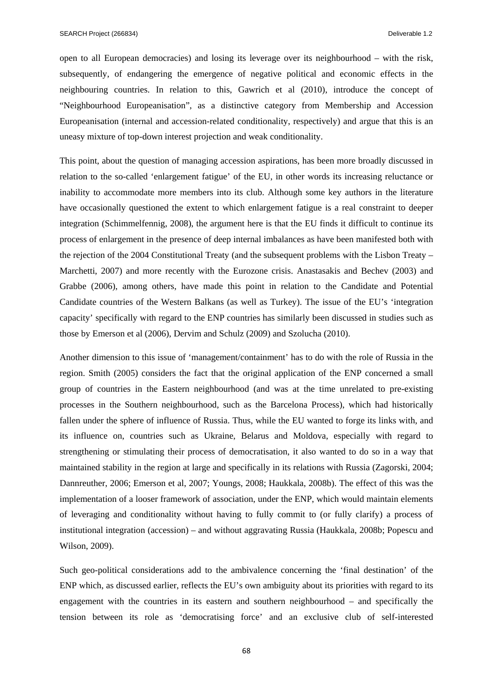open to all European democracies) and losing its leverage over its neighbourhood – with the risk, subsequently, of endangering the emergence of negative political and economic effects in the neighbouring countries. In relation to this, Gawrich et al (2010), introduce the concept of "Neighbourhood Europeanisation", as a distinctive category from Membership and Accession Europeanisation (internal and accession-related conditionality, respectively) and argue that this is an uneasy mixture of top-down interest projection and weak conditionality.

This point, about the question of managing accession aspirations, has been more broadly discussed in relation to the so-called 'enlargement fatigue' of the EU, in other words its increasing reluctance or inability to accommodate more members into its club. Although some key authors in the literature have occasionally questioned the extent to which enlargement fatigue is a real constraint to deeper integration (Schimmelfennig, 2008), the argument here is that the EU finds it difficult to continue its process of enlargement in the presence of deep internal imbalances as have been manifested both with the rejection of the 2004 Constitutional Treaty (and the subsequent problems with the Lisbon Treaty – Marchetti, 2007) and more recently with the Eurozone crisis. Anastasakis and Bechev (2003) and Grabbe (2006), among others, have made this point in relation to the Candidate and Potential Candidate countries of the Western Balkans (as well as Turkey). The issue of the EU's 'integration capacity' specifically with regard to the ENP countries has similarly been discussed in studies such as those by Emerson et al (2006), Dervim and Schulz (2009) and Szolucha (2010).

Another dimension to this issue of 'management/containment' has to do with the role of Russia in the region. Smith (2005) considers the fact that the original application of the ENP concerned a small group of countries in the Eastern neighbourhood (and was at the time unrelated to pre-existing processes in the Southern neighbourhood, such as the Barcelona Process), which had historically fallen under the sphere of influence of Russia. Thus, while the EU wanted to forge its links with, and its influence on, countries such as Ukraine, Belarus and Moldova, especially with regard to strengthening or stimulating their process of democratisation, it also wanted to do so in a way that maintained stability in the region at large and specifically in its relations with Russia (Zagorski, 2004; Dannreuther, 2006; Emerson et al, 2007; Youngs, 2008; Haukkala, 2008b). The effect of this was the implementation of a looser framework of association, under the ENP, which would maintain elements of leveraging and conditionality without having to fully commit to (or fully clarify) a process of institutional integration (accession) – and without aggravating Russia (Haukkala, 2008b; Popescu and Wilson, 2009).

Such geo-political considerations add to the ambivalence concerning the 'final destination' of the ENP which, as discussed earlier, reflects the EU's own ambiguity about its priorities with regard to its engagement with the countries in its eastern and southern neighbourhood – and specifically the tension between its role as 'democratising force' and an exclusive club of self-interested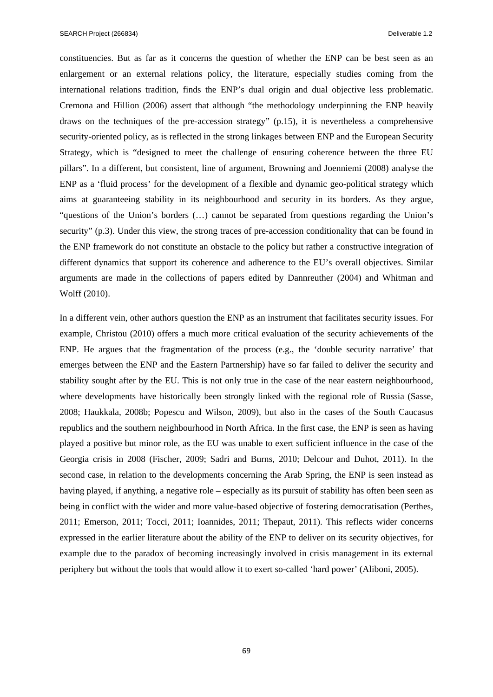constituencies. But as far as it concerns the question of whether the ENP can be best seen as an enlargement or an external relations policy, the literature, especially studies coming from the international relations tradition, finds the ENP's dual origin and dual objective less problematic. Cremona and Hillion (2006) assert that although "the methodology underpinning the ENP heavily draws on the techniques of the pre-accession strategy" (p.15), it is nevertheless a comprehensive security-oriented policy, as is reflected in the strong linkages between ENP and the European Security Strategy, which is "designed to meet the challenge of ensuring coherence between the three EU pillars". In a different, but consistent, line of argument, Browning and Joenniemi (2008) analyse the ENP as a 'fluid process' for the development of a flexible and dynamic geo-political strategy which aims at guaranteeing stability in its neighbourhood and security in its borders. As they argue, "questions of the Union's borders (…) cannot be separated from questions regarding the Union's security" (p.3). Under this view, the strong traces of pre-accession conditionality that can be found in the ENP framework do not constitute an obstacle to the policy but rather a constructive integration of different dynamics that support its coherence and adherence to the EU's overall objectives. Similar arguments are made in the collections of papers edited by Dannreuther (2004) and Whitman and Wolff (2010).

In a different vein, other authors question the ENP as an instrument that facilitates security issues. For example, Christou (2010) offers a much more critical evaluation of the security achievements of the ENP. He argues that the fragmentation of the process (e.g., the 'double security narrative' that emerges between the ENP and the Eastern Partnership) have so far failed to deliver the security and stability sought after by the EU. This is not only true in the case of the near eastern neighbourhood, where developments have historically been strongly linked with the regional role of Russia (Sasse, 2008; Haukkala, 2008b; Popescu and Wilson, 2009), but also in the cases of the South Caucasus republics and the southern neighbourhood in North Africa. In the first case, the ENP is seen as having played a positive but minor role, as the EU was unable to exert sufficient influence in the case of the Georgia crisis in 2008 (Fischer, 2009; Sadri and Burns, 2010; Delcour and Duhot, 2011). In the second case, in relation to the developments concerning the Arab Spring, the ENP is seen instead as having played, if anything, a negative role – especially as its pursuit of stability has often been seen as being in conflict with the wider and more value-based objective of fostering democratisation (Perthes, 2011; Emerson, 2011; Tocci, 2011; Ioannides, 2011; Thepaut, 2011). This reflects wider concerns expressed in the earlier literature about the ability of the ENP to deliver on its security objectives, for example due to the paradox of becoming increasingly involved in crisis management in its external periphery but without the tools that would allow it to exert so-called 'hard power' (Aliboni, 2005).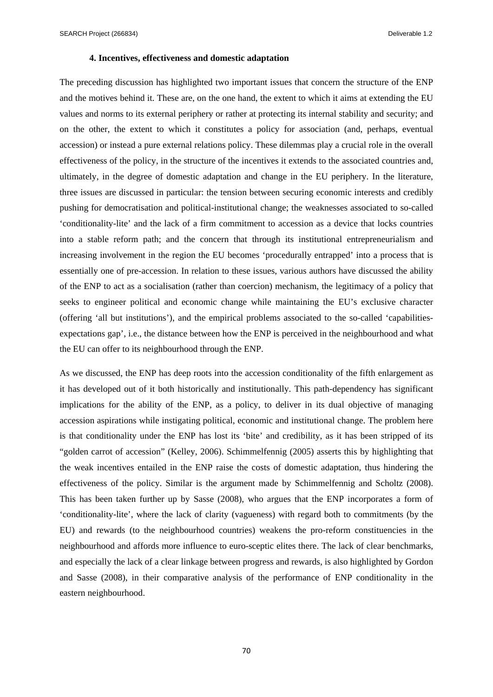SEARCH Project (266834) SEARCH Project (266834)

## **4. Incentives, effectiveness and domestic adaptation**

The preceding discussion has highlighted two important issues that concern the structure of the ENP and the motives behind it. These are, on the one hand, the extent to which it aims at extending the EU values and norms to its external periphery or rather at protecting its internal stability and security; and on the other, the extent to which it constitutes a policy for association (and, perhaps, eventual accession) or instead a pure external relations policy. These dilemmas play a crucial role in the overall effectiveness of the policy, in the structure of the incentives it extends to the associated countries and, ultimately, in the degree of domestic adaptation and change in the EU periphery. In the literature, three issues are discussed in particular: the tension between securing economic interests and credibly pushing for democratisation and political-institutional change; the weaknesses associated to so-called 'conditionality-lite' and the lack of a firm commitment to accession as a device that locks countries into a stable reform path; and the concern that through its institutional entrepreneurialism and increasing involvement in the region the EU becomes 'procedurally entrapped' into a process that is essentially one of pre-accession. In relation to these issues, various authors have discussed the ability of the ENP to act as a socialisation (rather than coercion) mechanism, the legitimacy of a policy that seeks to engineer political and economic change while maintaining the EU's exclusive character (offering 'all but institutions'), and the empirical problems associated to the so-called 'capabilitiesexpectations gap', i.e., the distance between how the ENP is perceived in the neighbourhood and what the EU can offer to its neighbourhood through the ENP.

As we discussed, the ENP has deep roots into the accession conditionality of the fifth enlargement as it has developed out of it both historically and institutionally. This path-dependency has significant implications for the ability of the ENP, as a policy, to deliver in its dual objective of managing accession aspirations while instigating political, economic and institutional change. The problem here is that conditionality under the ENP has lost its 'bite' and credibility, as it has been stripped of its "golden carrot of accession" (Kelley, 2006). Schimmelfennig (2005) asserts this by highlighting that the weak incentives entailed in the ENP raise the costs of domestic adaptation, thus hindering the effectiveness of the policy. Similar is the argument made by Schimmelfennig and Scholtz (2008). This has been taken further up by Sasse (2008), who argues that the ENP incorporates a form of 'conditionality-lite', where the lack of clarity (vagueness) with regard both to commitments (by the EU) and rewards (to the neighbourhood countries) weakens the pro-reform constituencies in the neighbourhood and affords more influence to euro-sceptic elites there. The lack of clear benchmarks, and especially the lack of a clear linkage between progress and rewards, is also highlighted by Gordon and Sasse (2008), in their comparative analysis of the performance of ENP conditionality in the eastern neighbourhood.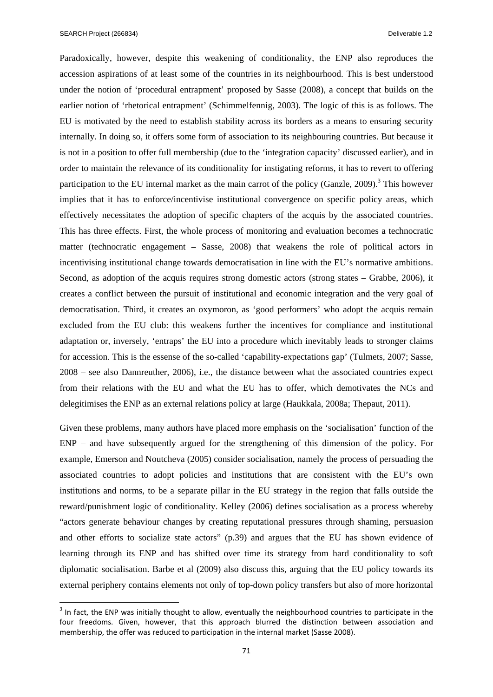Paradoxically, however, despite this weakening of conditionality, the ENP also reproduces the accession aspirations of at least some of the countries in its neighbourhood. This is best understood under the notion of 'procedural entrapment' proposed by Sasse (2008), a concept that builds on the earlier notion of 'rhetorical entrapment' (Schimmelfennig, 2003). The logic of this is as follows. The EU is motivated by the need to establish stability across its borders as a means to ensuring security internally. In doing so, it offers some form of association to its neighbouring countries. But because it is not in a position to offer full membership (due to the 'integration capacity' discussed earlier), and in order to maintain the relevance of its conditionality for instigating reforms, it has to revert to offering participation to the EU internal market as the main carrot of the policy (Ganzle,  $2009$ ).<sup>3</sup> This however implies that it has to enforce/incentivise institutional convergence on specific policy areas, which effectively necessitates the adoption of specific chapters of the acquis by the associated countries. This has three effects. First, the whole process of monitoring and evaluation becomes a technocratic matter (technocratic engagement – Sasse, 2008) that weakens the role of political actors in incentivising institutional change towards democratisation in line with the EU's normative ambitions. Second, as adoption of the acquis requires strong domestic actors (strong states – Grabbe, 2006), it creates a conflict between the pursuit of institutional and economic integration and the very goal of democratisation. Third, it creates an oxymoron, as 'good performers' who adopt the acquis remain excluded from the EU club: this weakens further the incentives for compliance and institutional adaptation or, inversely, 'entraps' the EU into a procedure which inevitably leads to stronger claims for accession. This is the essense of the so-called 'capability-expectations gap' (Tulmets, 2007; Sasse, 2008 – see also Dannreuther, 2006), i.e., the distance between what the associated countries expect from their relations with the EU and what the EU has to offer, which demotivates the NCs and delegitimises the ENP as an external relations policy at large (Haukkala, 2008a; Thepaut, 2011).

Given these problems, many authors have placed more emphasis on the 'socialisation' function of the ENP – and have subsequently argued for the strengthening of this dimension of the policy. For example, Emerson and Noutcheva (2005) consider socialisation, namely the process of persuading the associated countries to adopt policies and institutions that are consistent with the EU's own institutions and norms, to be a separate pillar in the EU strategy in the region that falls outside the reward/punishment logic of conditionality. Kelley (2006) defines socialisation as a process whereby "actors generate behaviour changes by creating reputational pressures through shaming, persuasion and other efforts to socialize state actors" (p.39) and argues that the EU has shown evidence of learning through its ENP and has shifted over time its strategy from hard conditionality to soft diplomatic socialisation. Barbe et al (2009) also discuss this, arguing that the EU policy towards its external periphery contains elements not only of top-down policy transfers but also of more horizontal

 $3$  In fact, the ENP was initially thought to allow, eventually the neighbourhood countries to participate in the four freedoms. Given, however, that this approach blurred the distinction between association and membership, the offer was reduced to participation in the internal market (Sasse 2008).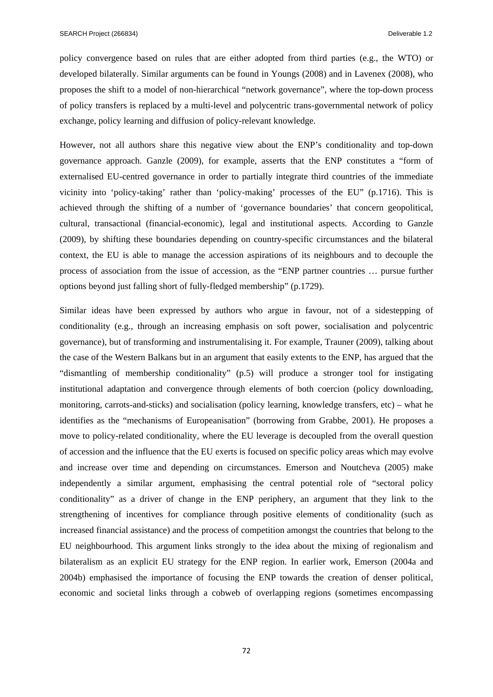policy convergence based on rules that are either adopted from third parties (e.g., the WTO) or developed bilaterally. Similar arguments can be found in Youngs (2008) and in Lavenex (2008), who proposes the shift to a model of non-hierarchical "network governance", where the top-down process of policy transfers is replaced by a multi-level and polycentric trans-governmental network of policy exchange, policy learning and diffusion of policy-relevant knowledge.

However, not all authors share this negative view about the ENP's conditionality and top-down governance approach. Ganzle (2009), for example, asserts that the ENP constitutes a "form of externalised EU-centred governance in order to partially integrate third countries of the immediate vicinity into 'policy-taking' rather than 'policy-making' processes of the EU" (p.1716). This is achieved through the shifting of a number of 'governance boundaries' that concern geopolitical, cultural, transactional (financial-economic), legal and institutional aspects. According to Ganzle (2009), by shifting these boundaries depending on country-specific circumstances and the bilateral context, the EU is able to manage the accession aspirations of its neighbours and to decouple the process of association from the issue of accession, as the "ENP partner countries … pursue further options beyond just falling short of fully-fledged membership" (p.1729).

Similar ideas have been expressed by authors who argue in favour, not of a sidestepping of conditionality (e.g., through an increasing emphasis on soft power, socialisation and polycentric governance), but of transforming and instrumentalising it. For example, Trauner (2009), talking about the case of the Western Balkans but in an argument that easily extents to the ENP, has argued that the "dismantling of membership conditionality" (p.5) will produce a stronger tool for instigating institutional adaptation and convergence through elements of both coercion (policy downloading, monitoring, carrots-and-sticks) and socialisation (policy learning, knowledge transfers, etc) – what he identifies as the "mechanisms of Europeanisation" (borrowing from Grabbe, 2001). He proposes a move to policy-related conditionality, where the EU leverage is decoupled from the overall question of accession and the influence that the EU exerts is focused on specific policy areas which may evolve and increase over time and depending on circumstances. Emerson and Noutcheva (2005) make independently a similar argument, emphasising the central potential role of "sectoral policy conditionality" as a driver of change in the ENP periphery, an argument that they link to the strengthening of incentives for compliance through positive elements of conditionality (such as increased financial assistance) and the process of competition amongst the countries that belong to the EU neighbourhood. This argument links strongly to the idea about the mixing of regionalism and bilateralism as an explicit EU strategy for the ENP region. In earlier work, Emerson (2004a and 2004b) emphasised the importance of focusing the ENP towards the creation of denser political, economic and societal links through a cobweb of overlapping regions (sometimes encompassing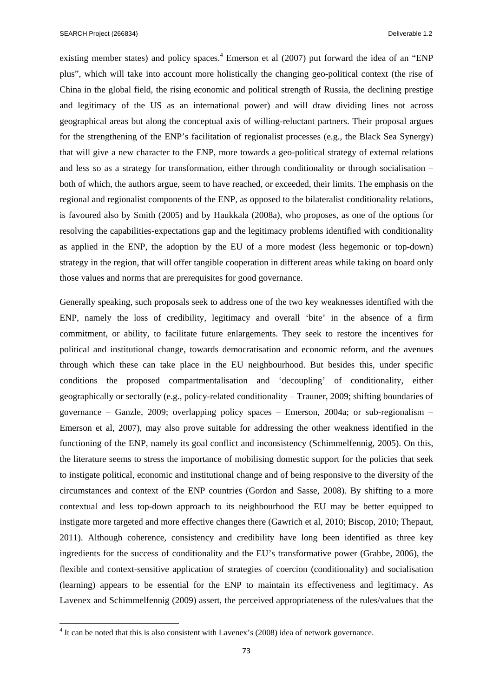SEARCH Project (266834) Deliverable 1.2

existing member states) and policy spaces.<sup>4</sup> Emerson et al (2007) put forward the idea of an "ENP plus", which will take into account more holistically the changing geo-political context (the rise of China in the global field, the rising economic and political strength of Russia, the declining prestige and legitimacy of the US as an international power) and will draw dividing lines not across geographical areas but along the conceptual axis of willing-reluctant partners. Their proposal argues for the strengthening of the ENP's facilitation of regionalist processes (e.g., the Black Sea Synergy) that will give a new character to the ENP, more towards a geo-political strategy of external relations and less so as a strategy for transformation, either through conditionality or through socialisation – both of which, the authors argue, seem to have reached, or exceeded, their limits. The emphasis on the regional and regionalist components of the ENP, as opposed to the bilateralist conditionality relations, is favoured also by Smith (2005) and by Haukkala (2008a), who proposes, as one of the options for resolving the capabilities-expectations gap and the legitimacy problems identified with conditionality as applied in the ENP, the adoption by the EU of a more modest (less hegemonic or top-down) strategy in the region, that will offer tangible cooperation in different areas while taking on board only those values and norms that are prerequisites for good governance.

Generally speaking, such proposals seek to address one of the two key weaknesses identified with the ENP, namely the loss of credibility, legitimacy and overall 'bite' in the absence of a firm commitment, or ability, to facilitate future enlargements. They seek to restore the incentives for political and institutional change, towards democratisation and economic reform, and the avenues through which these can take place in the EU neighbourhood. But besides this, under specific conditions the proposed compartmentalisation and 'decoupling' of conditionality, either geographically or sectorally (e.g., policy-related conditionality – Trauner, 2009; shifting boundaries of governance – Ganzle, 2009; overlapping policy spaces – Emerson, 2004a; or sub-regionalism – Emerson et al, 2007), may also prove suitable for addressing the other weakness identified in the functioning of the ENP, namely its goal conflict and inconsistency (Schimmelfennig, 2005). On this, the literature seems to stress the importance of mobilising domestic support for the policies that seek to instigate political, economic and institutional change and of being responsive to the diversity of the circumstances and context of the ENP countries (Gordon and Sasse, 2008). By shifting to a more contextual and less top-down approach to its neighbourhood the EU may be better equipped to instigate more targeted and more effective changes there (Gawrich et al, 2010; Biscop, 2010; Thepaut, 2011). Although coherence, consistency and credibility have long been identified as three key ingredients for the success of conditionality and the EU's transformative power (Grabbe, 2006), the flexible and context-sensitive application of strategies of coercion (conditionality) and socialisation (learning) appears to be essential for the ENP to maintain its effectiveness and legitimacy. As Lavenex and Schimmelfennig (2009) assert, the perceived appropriateness of the rules/values that the

<sup>&</sup>lt;sup>4</sup> It can be noted that this is also consistent with Lavenex's (2008) idea of network governance.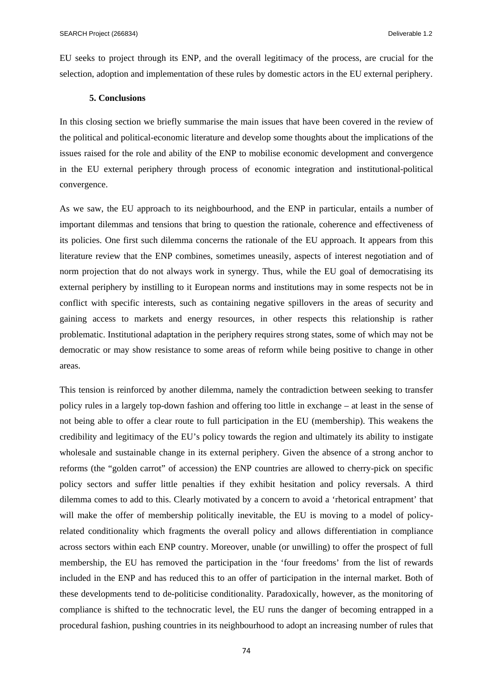EU seeks to project through its ENP, and the overall legitimacy of the process, are crucial for the selection, adoption and implementation of these rules by domestic actors in the EU external periphery.

## **5. Conclusions**

In this closing section we briefly summarise the main issues that have been covered in the review of the political and political-economic literature and develop some thoughts about the implications of the issues raised for the role and ability of the ENP to mobilise economic development and convergence in the EU external periphery through process of economic integration and institutional-political convergence.

As we saw, the EU approach to its neighbourhood, and the ENP in particular, entails a number of important dilemmas and tensions that bring to question the rationale, coherence and effectiveness of its policies. One first such dilemma concerns the rationale of the EU approach. It appears from this literature review that the ENP combines, sometimes uneasily, aspects of interest negotiation and of norm projection that do not always work in synergy. Thus, while the EU goal of democratising its external periphery by instilling to it European norms and institutions may in some respects not be in conflict with specific interests, such as containing negative spillovers in the areas of security and gaining access to markets and energy resources, in other respects this relationship is rather problematic. Institutional adaptation in the periphery requires strong states, some of which may not be democratic or may show resistance to some areas of reform while being positive to change in other areas.

This tension is reinforced by another dilemma, namely the contradiction between seeking to transfer policy rules in a largely top-down fashion and offering too little in exchange – at least in the sense of not being able to offer a clear route to full participation in the EU (membership). This weakens the credibility and legitimacy of the EU's policy towards the region and ultimately its ability to instigate wholesale and sustainable change in its external periphery. Given the absence of a strong anchor to reforms (the "golden carrot" of accession) the ENP countries are allowed to cherry-pick on specific policy sectors and suffer little penalties if they exhibit hesitation and policy reversals. A third dilemma comes to add to this. Clearly motivated by a concern to avoid a 'rhetorical entrapment' that will make the offer of membership politically inevitable, the EU is moving to a model of policyrelated conditionality which fragments the overall policy and allows differentiation in compliance across sectors within each ENP country. Moreover, unable (or unwilling) to offer the prospect of full membership, the EU has removed the participation in the 'four freedoms' from the list of rewards included in the ENP and has reduced this to an offer of participation in the internal market. Both of these developments tend to de-politicise conditionality. Paradoxically, however, as the monitoring of compliance is shifted to the technocratic level, the EU runs the danger of becoming entrapped in a procedural fashion, pushing countries in its neighbourhood to adopt an increasing number of rules that

74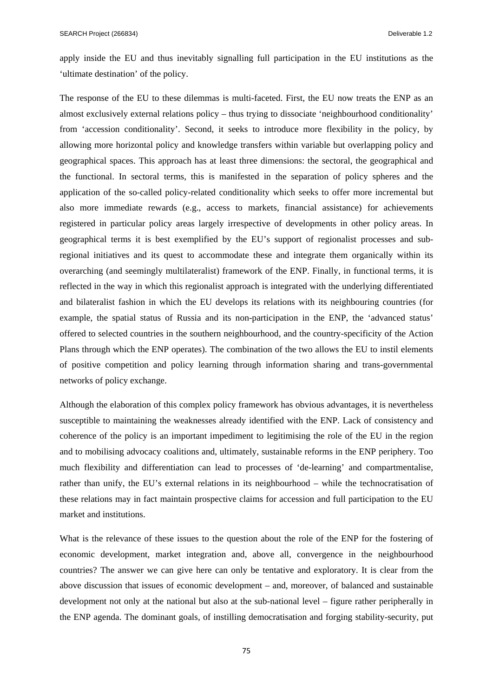apply inside the EU and thus inevitably signalling full participation in the EU institutions as the 'ultimate destination' of the policy.

The response of the EU to these dilemmas is multi-faceted. First, the EU now treats the ENP as an almost exclusively external relations policy – thus trying to dissociate 'neighbourhood conditionality' from 'accession conditionality'. Second, it seeks to introduce more flexibility in the policy, by allowing more horizontal policy and knowledge transfers within variable but overlapping policy and geographical spaces. This approach has at least three dimensions: the sectoral, the geographical and the functional. In sectoral terms, this is manifested in the separation of policy spheres and the application of the so-called policy-related conditionality which seeks to offer more incremental but also more immediate rewards (e.g., access to markets, financial assistance) for achievements registered in particular policy areas largely irrespective of developments in other policy areas. In geographical terms it is best exemplified by the EU's support of regionalist processes and subregional initiatives and its quest to accommodate these and integrate them organically within its overarching (and seemingly multilateralist) framework of the ENP. Finally, in functional terms, it is reflected in the way in which this regionalist approach is integrated with the underlying differentiated and bilateralist fashion in which the EU develops its relations with its neighbouring countries (for example, the spatial status of Russia and its non-participation in the ENP, the 'advanced status' offered to selected countries in the southern neighbourhood, and the country-specificity of the Action Plans through which the ENP operates). The combination of the two allows the EU to instil elements of positive competition and policy learning through information sharing and trans-governmental networks of policy exchange.

Although the elaboration of this complex policy framework has obvious advantages, it is nevertheless susceptible to maintaining the weaknesses already identified with the ENP. Lack of consistency and coherence of the policy is an important impediment to legitimising the role of the EU in the region and to mobilising advocacy coalitions and, ultimately, sustainable reforms in the ENP periphery. Too much flexibility and differentiation can lead to processes of 'de-learning' and compartmentalise, rather than unify, the EU's external relations in its neighbourhood – while the technocratisation of these relations may in fact maintain prospective claims for accession and full participation to the EU market and institutions.

What is the relevance of these issues to the question about the role of the ENP for the fostering of economic development, market integration and, above all, convergence in the neighbourhood countries? The answer we can give here can only be tentative and exploratory. It is clear from the above discussion that issues of economic development – and, moreover, of balanced and sustainable development not only at the national but also at the sub-national level – figure rather peripherally in the ENP agenda. The dominant goals, of instilling democratisation and forging stability-security, put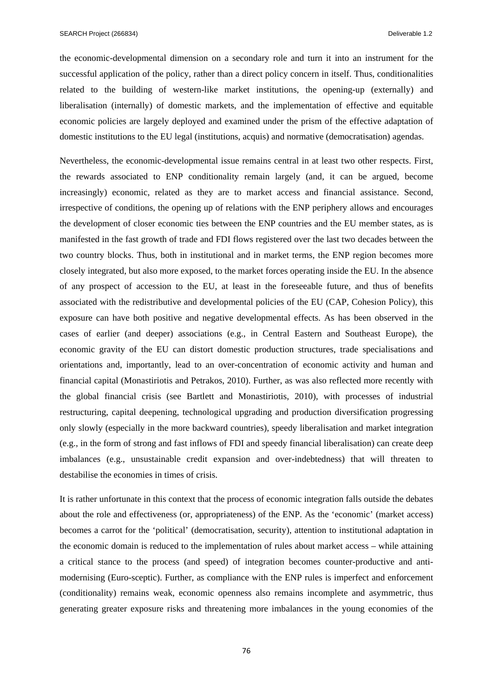the economic-developmental dimension on a secondary role and turn it into an instrument for the successful application of the policy, rather than a direct policy concern in itself. Thus, conditionalities related to the building of western-like market institutions, the opening-up (externally) and liberalisation (internally) of domestic markets, and the implementation of effective and equitable economic policies are largely deployed and examined under the prism of the effective adaptation of domestic institutions to the EU legal (institutions, acquis) and normative (democratisation) agendas.

Nevertheless, the economic-developmental issue remains central in at least two other respects. First, the rewards associated to ENP conditionality remain largely (and, it can be argued, become increasingly) economic, related as they are to market access and financial assistance. Second, irrespective of conditions, the opening up of relations with the ENP periphery allows and encourages the development of closer economic ties between the ENP countries and the EU member states, as is manifested in the fast growth of trade and FDI flows registered over the last two decades between the two country blocks. Thus, both in institutional and in market terms, the ENP region becomes more closely integrated, but also more exposed, to the market forces operating inside the EU. In the absence of any prospect of accession to the EU, at least in the foreseeable future, and thus of benefits associated with the redistributive and developmental policies of the EU (CAP, Cohesion Policy), this exposure can have both positive and negative developmental effects. As has been observed in the cases of earlier (and deeper) associations (e.g., in Central Eastern and Southeast Europe), the economic gravity of the EU can distort domestic production structures, trade specialisations and orientations and, importantly, lead to an over-concentration of economic activity and human and financial capital (Monastiriotis and Petrakos, 2010). Further, as was also reflected more recently with the global financial crisis (see Bartlett and Monastiriotis, 2010), with processes of industrial restructuring, capital deepening, technological upgrading and production diversification progressing only slowly (especially in the more backward countries), speedy liberalisation and market integration (e.g., in the form of strong and fast inflows of FDI and speedy financial liberalisation) can create deep imbalances (e.g., unsustainable credit expansion and over-indebtedness) that will threaten to destabilise the economies in times of crisis.

It is rather unfortunate in this context that the process of economic integration falls outside the debates about the role and effectiveness (or, appropriateness) of the ENP. As the 'economic' (market access) becomes a carrot for the 'political' (democratisation, security), attention to institutional adaptation in the economic domain is reduced to the implementation of rules about market access – while attaining a critical stance to the process (and speed) of integration becomes counter-productive and antimodernising (Euro-sceptic). Further, as compliance with the ENP rules is imperfect and enforcement (conditionality) remains weak, economic openness also remains incomplete and asymmetric, thus generating greater exposure risks and threatening more imbalances in the young economies of the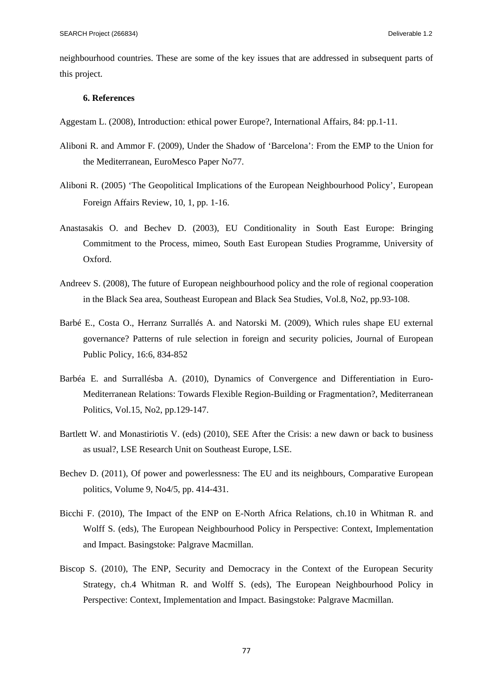neighbourhood countries. These are some of the key issues that are addressed in subsequent parts of this project.

## **6. References**

Aggestam L. (2008), Introduction: ethical power Europe?, International Affairs, 84: pp.1-11.

- Aliboni R. and Ammor F. (2009), Under the Shadow of 'Barcelona': From the EMP to the Union for the Mediterranean, EuroMesco Paper No77.
- Aliboni R. (2005) 'The Geopolitical Implications of the European Neighbourhood Policy', European Foreign Affairs Review, 10, 1, pp. 1-16.
- Anastasakis O. and Bechev D. (2003), EU Conditionality in South East Europe: Bringing Commitment to the Process, mimeo, South East European Studies Programme, University of Oxford.
- Andreev S. (2008), The future of European neighbourhood policy and the role of regional cooperation in the Black Sea area, Southeast European and Black Sea Studies, Vol.8, No2, pp.93-108.
- Barbé E., Costa O., Herranz Surrallés A. and Natorski M. (2009), Which rules shape EU external governance? Patterns of rule selection in foreign and security policies, Journal of European Public Policy, 16:6, 834-852
- Barbéa E. and Surrallésba A. (2010), Dynamics of Convergence and Differentiation in Euro-Mediterranean Relations: Towards Flexible Region-Building or Fragmentation?, Mediterranean Politics, Vol.15, No2, pp.129-147.
- Bartlett W. and Monastiriotis V. (eds) (2010), SEE After the Crisis: a new dawn or back to business as usual?, LSE Research Unit on Southeast Europe, LSE.
- Bechev D. (2011), Of power and powerlessness: The EU and its neighbours, Comparative European politics, Volume 9, No4/5, pp. 414-431.
- Bicchi F. (2010), The Impact of the ENP on E-North Africa Relations, ch.10 in Whitman R. and Wolff S. (eds), The European Neighbourhood Policy in Perspective: Context, Implementation and Impact. Basingstoke: Palgrave Macmillan.
- Biscop S. (2010), The ENP, Security and Democracy in the Context of the European Security Strategy, ch.4 Whitman R. and Wolff S. (eds), The European Neighbourhood Policy in Perspective: Context, Implementation and Impact. Basingstoke: Palgrave Macmillan.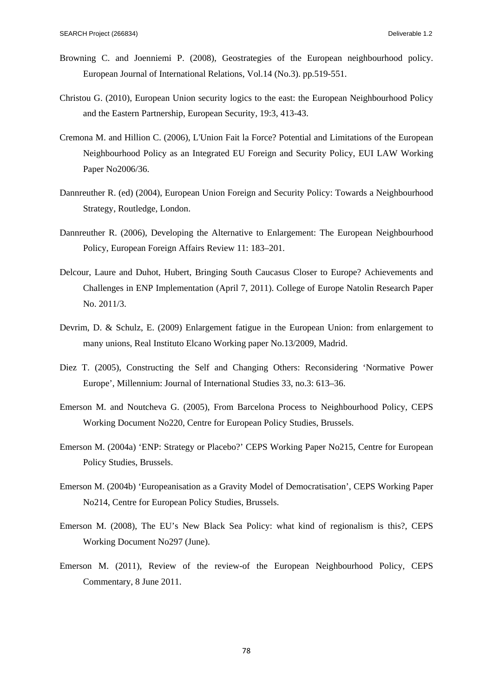- Browning C. and Joenniemi P. (2008), Geostrategies of the European neighbourhood policy. European Journal of International Relations, Vol.14 (No.3). pp.519-551.
- Christou G. (2010), European Union security logics to the east: the European Neighbourhood Policy and the Eastern Partnership, European Security, 19:3, 413-43.
- Cremona M. and Hillion C. (2006), L'Union Fait la Force? Potential and Limitations of the European Neighbourhood Policy as an Integrated EU Foreign and Security Policy, EUI LAW Working Paper No2006/36.
- Dannreuther R. (ed) (2004), European Union Foreign and Security Policy: Towards a Neighbourhood Strategy, Routledge, London.
- Dannreuther R. (2006), Developing the Alternative to Enlargement: The European Neighbourhood Policy, European Foreign Affairs Review 11: 183–201.
- Delcour, Laure and Duhot, Hubert, Bringing South Caucasus Closer to Europe? Achievements and Challenges in ENP Implementation (April 7, 2011). College of Europe Natolin Research Paper No. 2011/3.
- Devrim, D. & Schulz, E. (2009) Enlargement fatigue in the European Union: from enlargement to many unions, Real Instituto Elcano Working paper No.13/2009, Madrid.
- Diez T. (2005), Constructing the Self and Changing Others: Reconsidering 'Normative Power Europe', Millennium: Journal of International Studies 33, no.3: 613–36.
- Emerson M. and Noutcheva G. (2005), From Barcelona Process to Neighbourhood Policy, CEPS Working Document No220, Centre for European Policy Studies, Brussels.
- Emerson M. (2004a) 'ENP: Strategy or Placebo?' CEPS Working Paper No215, Centre for European Policy Studies, Brussels.
- Emerson M. (2004b) 'Europeanisation as a Gravity Model of Democratisation', CEPS Working Paper No214, Centre for European Policy Studies, Brussels.
- Emerson M. (2008), The EU's New Black Sea Policy: what kind of regionalism is this?, CEPS Working Document No297 (June).
- Emerson M. (2011), Review of the review-of the European Neighbourhood Policy, CEPS Commentary, 8 June 2011.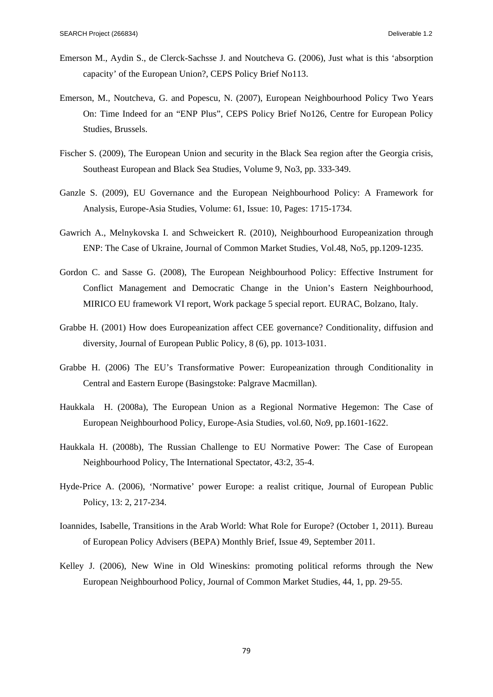- Emerson M., Aydin S., de Clerck-Sachsse J. and Noutcheva G. (2006), Just what is this 'absorption capacity' of the European Union?, CEPS Policy Brief No113.
- Emerson, M., Noutcheva, G. and Popescu, N. (2007), European Neighbourhood Policy Two Years On: Time Indeed for an "ENP Plus", CEPS Policy Brief No126, Centre for European Policy Studies, Brussels.
- Fischer S. (2009), The European Union and security in the Black Sea region after the Georgia crisis, Southeast European and Black Sea Studies, Volume 9, No3, pp. 333-349.
- Ganzle S. (2009), EU Governance and the European Neighbourhood Policy: A Framework for Analysis, Europe-Asia Studies, Volume: 61, Issue: 10, Pages: 1715-1734.
- Gawrich A., Melnykovska I. and Schweickert R. (2010), Neighbourhood Europeanization through ENP: The Case of Ukraine, Journal of Common Market Studies, Vol.48, No5, pp.1209-1235.
- Gordon C. and Sasse G. (2008), The European Neighbourhood Policy: Effective Instrument for Conflict Management and Democratic Change in the Union's Eastern Neighbourhood, MIRICO EU framework VI report, Work package 5 special report. EURAC, Bolzano, Italy.
- Grabbe H. (2001) How does Europeanization affect CEE governance? Conditionality, diffusion and diversity, Journal of European Public Policy, 8 (6), pp. 1013-1031.
- Grabbe H. (2006) The EU's Transformative Power: Europeanization through Conditionality in Central and Eastern Europe (Basingstoke: Palgrave Macmillan).
- Haukkala H. (2008a), The European Union as a Regional Normative Hegemon: The Case of European Neighbourhood Policy, Europe-Asia Studies, vol.60, No9, pp.1601-1622.
- Haukkala H. (2008b), The Russian Challenge to EU Normative Power: The Case of European Neighbourhood Policy, The International Spectator, 43:2, 35-4.
- Hyde-Price A. (2006), 'Normative' power Europe: a realist critique, Journal of European Public Policy, 13: 2, 217-234.
- Ioannides, Isabelle, Transitions in the Arab World: What Role for Europe? (October 1, 2011). Bureau of European Policy Advisers (BEPA) Monthly Brief, Issue 49, September 2011.
- Kelley J. (2006), New Wine in Old Wineskins: promoting political reforms through the New European Neighbourhood Policy, Journal of Common Market Studies, 44, 1, pp. 29-55.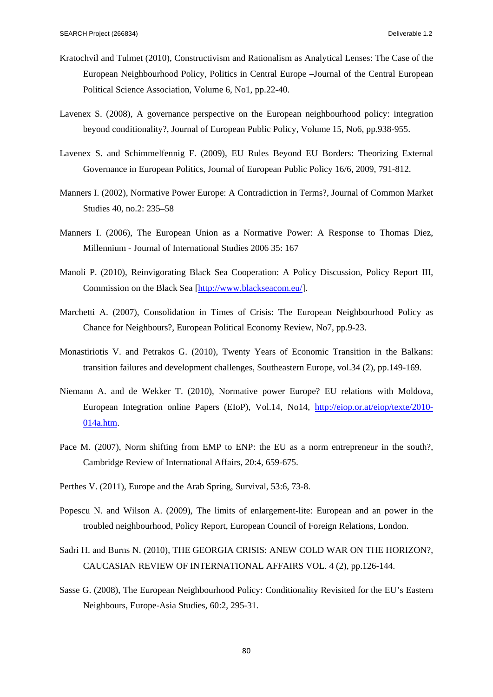- Kratochvil and Tulmet (2010), Constructivism and Rationalism as Analytical Lenses: The Case of the European Neighbourhood Policy, Politics in Central Europe –Journal of the Central European Political Science Association, Volume 6, No1, pp.22-40.
- Lavenex S. (2008), A governance perspective on the European neighbourhood policy: integration beyond conditionality?, Journal of European Public Policy, Volume 15, No6, pp.938-955.
- Lavenex S. and Schimmelfennig F. (2009), EU Rules Beyond EU Borders: Theorizing External Governance in European Politics, Journal of European Public Policy 16/6, 2009, 791-812.
- Manners I. (2002), Normative Power Europe: A Contradiction in Terms?, Journal of Common Market Studies 40, no.2: 235–58
- Manners I. (2006), The European Union as a Normative Power: A Response to Thomas Diez, Millennium - Journal of International Studies 2006 35: 167
- Manoli P. (2010), Reinvigorating Black Sea Cooperation: A Policy Discussion, Policy Report III, Commission on the Black Sea [http://www.blackseacom.eu/].
- Marchetti A. (2007), Consolidation in Times of Crisis: The European Neighbourhood Policy as Chance for Neighbours?, European Political Economy Review, No7, pp.9-23.
- Monastiriotis V. and Petrakos G. (2010), Twenty Years of Economic Transition in the Balkans: transition failures and development challenges, Southeastern Europe, vol.34 (2), pp.149-169.
- Niemann A. and de Wekker T. (2010), Normative power Europe? EU relations with Moldova, European Integration online Papers (EIoP), Vol.14, No14, http://eiop.or.at/eiop/texte/2010- 014a.htm.
- Pace M. (2007), Norm shifting from EMP to ENP: the EU as a norm entrepreneur in the south?, Cambridge Review of International Affairs, 20:4, 659-675.
- Perthes V. (2011), Europe and the Arab Spring, Survival, 53:6, 73-8.
- Popescu N. and Wilson A. (2009), The limits of enlargement-lite: European and an power in the troubled neighbourhood, Policy Report, European Council of Foreign Relations, London.
- Sadri H. and Burns N. (2010), THE GEORGIA CRISIS: ANEW COLD WAR ON THE HORIZON?, CAUCASIAN REVIEW OF INTERNATIONAL AFFAIRS VOL. 4 (2), pp.126-144.
- Sasse G. (2008), The European Neighbourhood Policy: Conditionality Revisited for the EU's Eastern Neighbours, Europe-Asia Studies, 60:2, 295-31.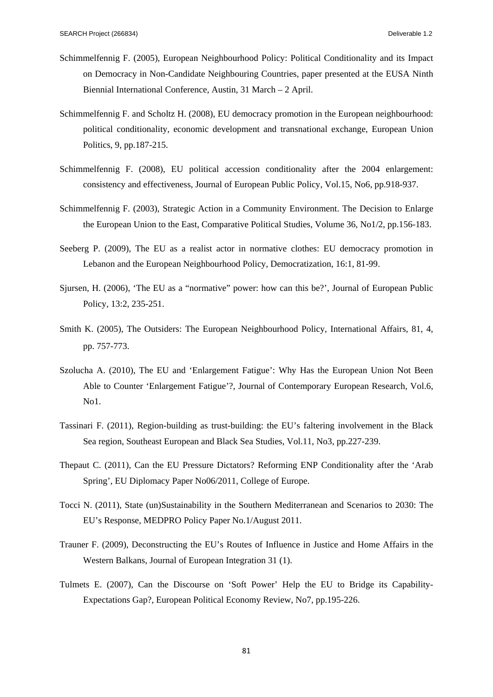- Schimmelfennig F. (2005), European Neighbourhood Policy: Political Conditionality and its Impact on Democracy in Non-Candidate Neighbouring Countries, paper presented at the EUSA Ninth Biennial International Conference, Austin, 31 March – 2 April.
- Schimmelfennig F. and Scholtz H. (2008), EU democracy promotion in the European neighbourhood: political conditionality, economic development and transnational exchange, European Union Politics, 9, pp.187-215.
- Schimmelfennig F. (2008), EU political accession conditionality after the 2004 enlargement: consistency and effectiveness, Journal of European Public Policy, Vol.15, No6, pp.918-937.
- Schimmelfennig F. (2003), Strategic Action in a Community Environment. The Decision to Enlarge the European Union to the East, Comparative Political Studies, Volume 36, No1/2, pp.156-183.
- Seeberg P. (2009), The EU as a realist actor in normative clothes: EU democracy promotion in Lebanon and the European Neighbourhood Policy, Democratization, 16:1, 81-99.
- Sjursen, H. (2006), 'The EU as a "normative" power: how can this be?', Journal of European Public Policy, 13:2, 235-251.
- Smith K. (2005), The Outsiders: The European Neighbourhood Policy, International Affairs, 81, 4, pp. 757-773.
- Szolucha A. (2010), The EU and 'Enlargement Fatigue': Why Has the European Union Not Been Able to Counter 'Enlargement Fatigue'?, Journal of Contemporary European Research, Vol.6, No1.
- Tassinari F. (2011), Region-building as trust-building: the EU's faltering involvement in the Black Sea region, Southeast European and Black Sea Studies, Vol.11, No3, pp.227-239.
- Thepaut C. (2011), Can the EU Pressure Dictators? Reforming ENP Conditionality after the 'Arab Spring', EU Diplomacy Paper No06/2011, College of Europe.
- Tocci N. (2011), State (un)Sustainability in the Southern Mediterranean and Scenarios to 2030: The EU's Response, MEDPRO Policy Paper No.1/August 2011.
- Trauner F. (2009), Deconstructing the EU's Routes of Influence in Justice and Home Affairs in the Western Balkans, Journal of European Integration 31 (1).
- Tulmets E. (2007), Can the Discourse on 'Soft Power' Help the EU to Bridge its Capability-Expectations Gap?, European Political Economy Review, No7, pp.195-226.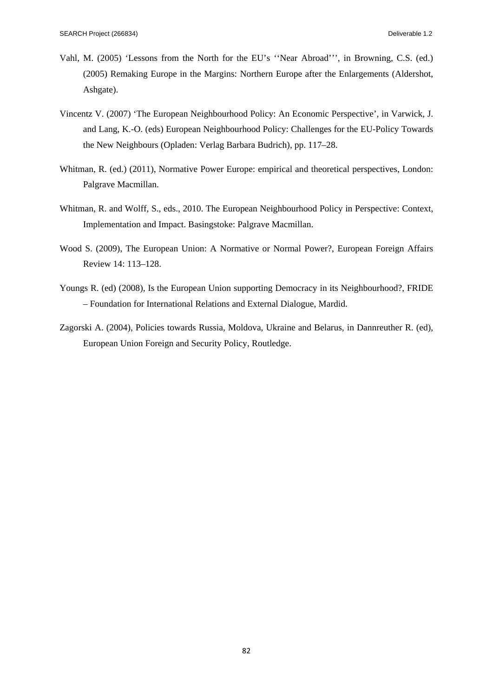- Vahl, M. (2005) 'Lessons from the North for the EU's ''Near Abroad''', in Browning, C.S. (ed.) (2005) Remaking Europe in the Margins: Northern Europe after the Enlargements (Aldershot, Ashgate).
- Vincentz V. (2007) 'The European Neighbourhood Policy: An Economic Perspective', in Varwick, J. and Lang, K.-O. (eds) European Neighbourhood Policy: Challenges for the EU-Policy Towards the New Neighbours (Opladen: Verlag Barbara Budrich), pp. 117–28.
- Whitman, R. (ed.) (2011), Normative Power Europe: empirical and theoretical perspectives, London: Palgrave Macmillan.
- Whitman, R. and Wolff, S., eds., 2010. The European Neighbourhood Policy in Perspective: Context, Implementation and Impact. Basingstoke: Palgrave Macmillan.
- Wood S. (2009), The European Union: A Normative or Normal Power?, European Foreign Affairs Review 14: 113–128.
- Youngs R. (ed) (2008), Is the European Union supporting Democracy in its Neighbourhood?, FRIDE – Foundation for International Relations and External Dialogue, Mardid.
- Zagorski A. (2004), Policies towards Russia, Moldova, Ukraine and Belarus, in Dannreuther R. (ed), European Union Foreign and Security Policy, Routledge.